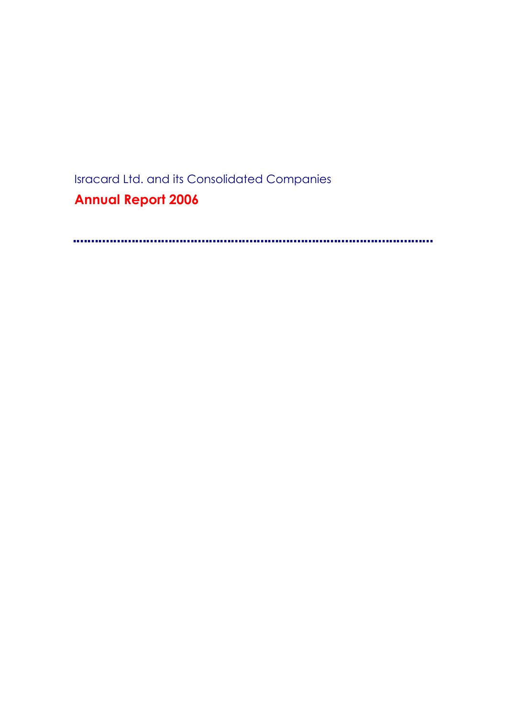Isracard Ltd. and its Consolidated Companies **Annual Report 2006** 

....................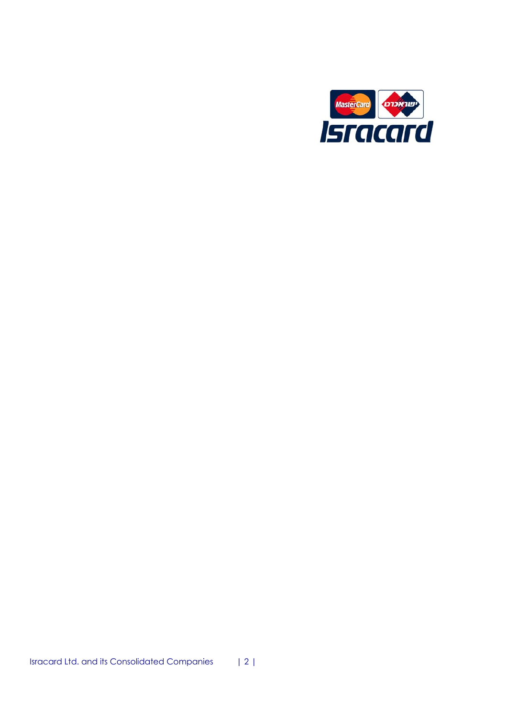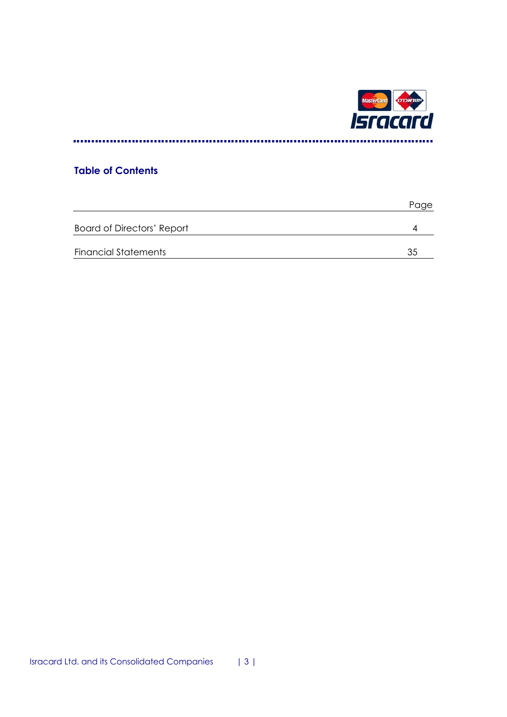

# **Table of Contents**

|                                   | Page |
|-----------------------------------|------|
|                                   |      |
| <b>Board of Directors' Report</b> |      |
|                                   |      |
| <b>Financial Statements</b>       | 35   |

,,,,,,,,,,,,,,,,,,,,,,,,,,,,,,,,,,,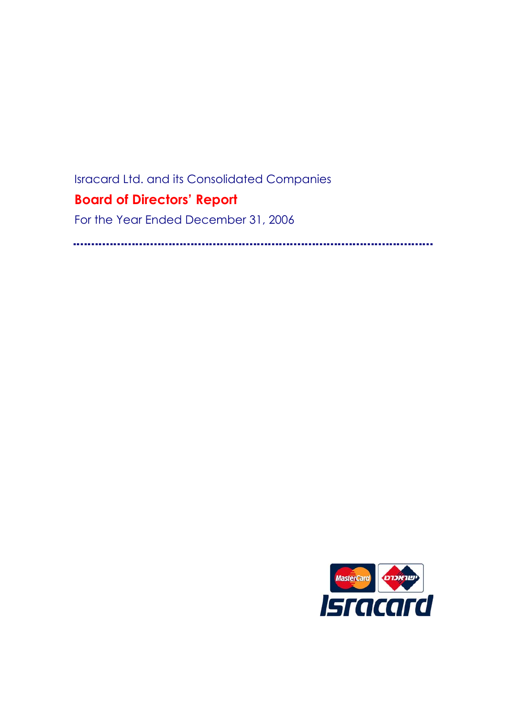Isracard Ltd. and its Consolidated Companies

# **Board of Directors' Report**

For the Year Ended December 31, 2006

,,,,,,,,,,,,,,,,,,,,,,,,,,,,,,,,,

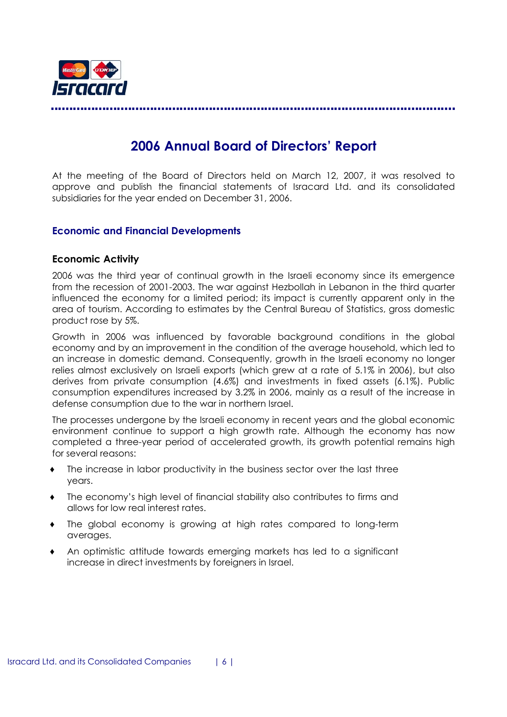

# **2006 Annual Board of Directors' Report**

At the meeting of the Board of Directors held on March 12, 2007, it was resolved to approve and publish the financial statements of Isracard Ltd. and its consolidated subsidiaries for the year ended on December 31, 2006.

#### **Economic and Financial Developments**

#### **Economic Activity**

2006 was the third year of continual growth in the Israeli economy since its emergence from the recession of 2001-2003. The war against Hezbollah in Lebanon in the third quarter influenced the economy for a limited period; its impact is currently apparent only in the area of tourism. According to estimates by the Central Bureau of Statistics, gross domestic product rose by 5%.

Growth in 2006 was influenced by favorable background conditions in the global economy and by an improvement in the condition of the average household, which led to an increase in domestic demand. Consequently, growth in the Israeli economy no longer relies almost exclusively on Israeli exports (which grew at a rate of 5.1% in 2006), but also derives from private consumption (4.6%) and investments in fixed assets (6.1%). Public consumption expenditures increased by 3.2% in 2006, mainly as a result of the increase in defense consumption due to the war in northern Israel.

The processes undergone by the Israeli economy in recent years and the global economic environment continue to support a high growth rate. Although the economy has now completed a three-year period of accelerated growth, its growth potential remains high for several reasons:

- The increase in labor productivity in the business sector over the last three years.
- ♦ The economy's high level of financial stability also contributes to firms and allows for low real interest rates.
- The global economy is growing at high rates compared to long-term averages.
- An optimistic attitude towards emerging markets has led to a significant increase in direct investments by foreigners in Israel.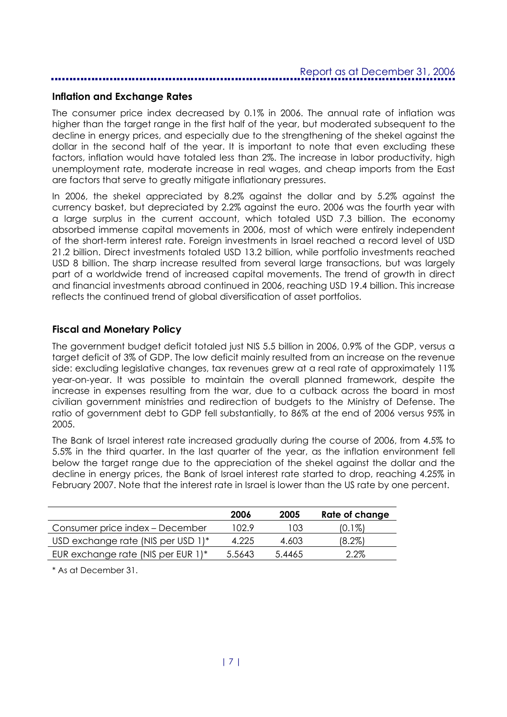## **Inflation and Exchange Rates**

The consumer price index decreased by 0.1% in 2006. The annual rate of inflation was higher than the target range in the first half of the year, but moderated subsequent to the decline in energy prices, and especially due to the strengthening of the shekel against the dollar in the second half of the year. It is important to note that even excluding these factors, inflation would have totaled less than 2%. The increase in labor productivity, high unemployment rate, moderate increase in real wages, and cheap imports from the East are factors that serve to greatly mitigate inflationary pressures.

In 2006, the shekel appreciated by 8.2% against the dollar and by 5.2% against the currency basket, but depreciated by 2.2% against the euro. 2006 was the fourth year with a large surplus in the current account, which totaled USD 7.3 billion. The economy absorbed immense capital movements in 2006, most of which were entirely independent of the short-term interest rate. Foreign investments in Israel reached a record level of USD 21.2 billion. Direct investments totaled USD 13.2 billion, while portfolio investments reached USD 8 billion. The sharp increase resulted from several large transactions, but was largely part of a worldwide trend of increased capital movements. The trend of growth in direct and financial investments abroad continued in 2006, reaching USD 19.4 billion. This increase reflects the continued trend of global diversification of asset portfolios.

### **Fiscal and Monetary Policy**

The government budget deficit totaled just NIS 5.5 billion in 2006, 0.9% of the GDP, versus a target deficit of 3% of GDP. The low deficit mainly resulted from an increase on the revenue side: excluding legislative changes, tax revenues grew at a real rate of approximately 11% year-on-year. It was possible to maintain the overall planned framework, despite the increase in expenses resulting from the war, due to a cutback across the board in most civilian government ministries and redirection of budgets to the Ministry of Defense. The ratio of government debt to GDP fell substantially, to 86% at the end of 2006 versus 95% in 2005.

The Bank of Israel interest rate increased gradually during the course of 2006, from 4.5% to 5.5% in the third quarter. In the last quarter of the year, as the inflation environment fell below the target range due to the appreciation of the shekel against the dollar and the decline in energy prices, the Bank of Israel interest rate started to drop, reaching 4.25% in February 2007. Note that the interest rate in Israel is lower than the US rate by one percent.

|                                    | 2006   | 2005   | Rate of change |
|------------------------------------|--------|--------|----------------|
| Consumer price index - December    | 102.9  | 103    | $(0.1\%)$      |
| USD exchange rate (NIS per USD 1)* | 4.225  | 4.603  | (8.2%)         |
| EUR exchange rate (NIS per EUR 1)* | 5.5643 | 5.4465 | 2.2%           |

\* As at December 31.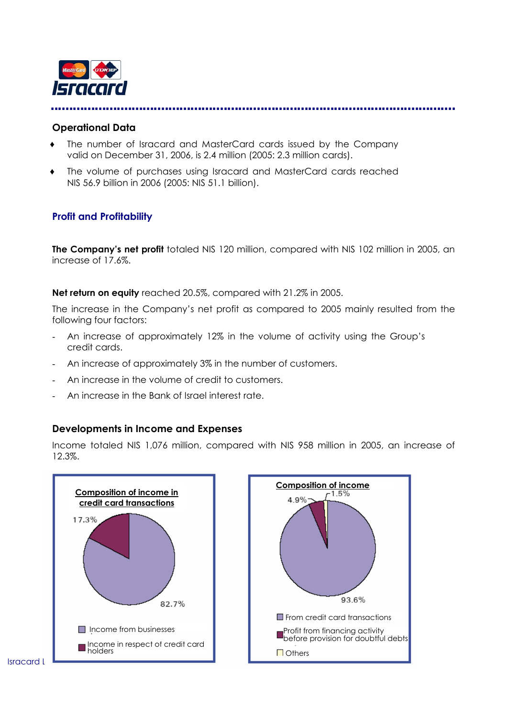

#### **Operational Data**

- The number of Isracard and MasterCard cards issued by the Company valid on December 31, 2006, is 2.4 million (2005: 2.3 million cards).
- ♦ The volume of purchases using Isracard and MasterCard cards reached NIS 56.9 billion in 2006 (2005: NIS 51.1 billion).

## **Profit and Profitability**

**The Company's net profit** totaled NIS 120 million, compared with NIS 102 million in 2005, an increase of 17.6%.

**Net return on equity** reached 20.5%, compared with 21.2% in 2005.

The increase in the Company's net profit as compared to 2005 mainly resulted from the following four factors:

- An increase of approximately 12% in the volume of activity using the Group's credit cards.
- An increase of approximately 3% in the number of customers.
- An increase in the volume of credit to customers.
- An increase in the Bank of Israel interest rate.

### **Developments in Income and Expenses**

Income totaled NIS 1,076 million, compared with NIS 958 million in 2005, an increase of 12.3%.

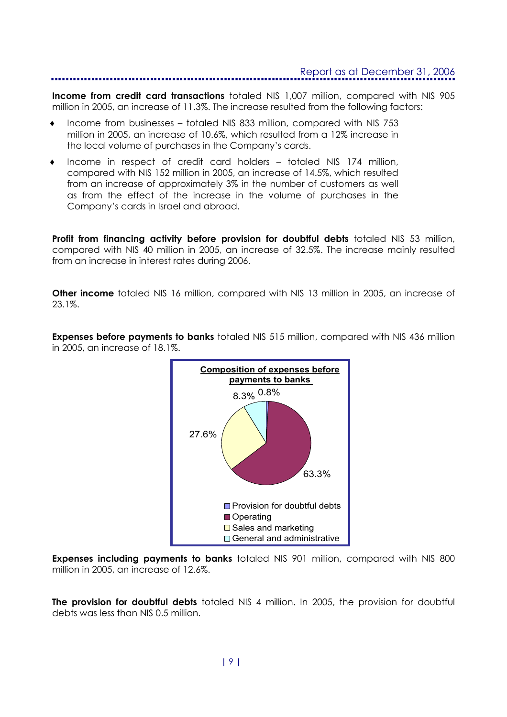## Report as at December 31, 2006

**Income from credit card transactions** totaled NIS 1,007 million, compared with NIS 905 million in 2005, an increase of 11.3%. The increase resulted from the following factors:

- Income from businesses totaled NIS 833 million, compared with NIS 753 million in 2005, an increase of 10.6%, which resulted from a 12% increase in the local volume of purchases in the Company's cards.
- Income in respect of credit card holders totaled NIS 174 million, compared with NIS 152 million in 2005, an increase of 14.5%, which resulted from an increase of approximately 3% in the number of customers as well as from the effect of the increase in the volume of purchases in the Company's cards in Israel and abroad.

**Profit from financing activity before provision for doubtful debts** totaled NIS 53 million, compared with NIS 40 million in 2005, an increase of 32.5%. The increase mainly resulted from an increase in interest rates during 2006.

**Other income** totaled NIS 16 million, compared with NIS 13 million in 2005, an increase of 23.1%.

**Expenses before payments to banks** totaled NIS 515 million, compared with NIS 436 million in 2005, an increase of 18.1%.



**Expenses including payments to banks** totaled NIS 901 million, compared with NIS 800 million in 2005, an increase of 12.6%.

**The provision for doubtful debts** totaled NIS 4 million. In 2005, the provision for doubtful debts was less than NIS 0.5 million.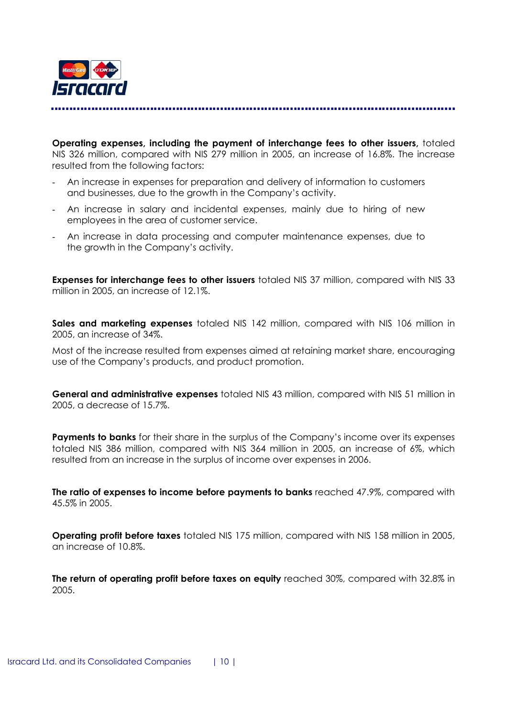

**Operating expenses, including the payment of interchange fees to other issuers,** totaled NIS 326 million, compared with NIS 279 million in 2005, an increase of 16.8%. The increase resulted from the following factors:

- An increase in expenses for preparation and delivery of information to customers and businesses, due to the growth in the Company's activity.
- An increase in salary and incidental expenses, mainly due to hiring of new employees in the area of customer service.
- An increase in data processing and computer maintenance expenses, due to the growth in the Company's activity.

**Expenses for interchange fees to other issuers** totaled NIS 37 million, compared with NIS 33 million in 2005, an increase of 12.1%.

**Sales and marketing expenses** totaled NIS 142 million, compared with NIS 106 million in 2005, an increase of 34%.

Most of the increase resulted from expenses aimed at retaining market share, encouraging use of the Company's products, and product promotion.

**General and administrative expenses** totaled NIS 43 million, compared with NIS 51 million in 2005, a decrease of 15.7%.

**Payments to banks** for their share in the surplus of the Company's income over its expenses totaled NIS 386 million, compared with NIS 364 million in 2005, an increase of 6%, which resulted from an increase in the surplus of income over expenses in 2006.

**The ratio of expenses to income before payments to banks** reached 47.9%, compared with 45.5% in 2005.

**Operating profit before taxes** totaled NIS 175 million, compared with NIS 158 million in 2005, an increase of 10.8%.

**The return of operating profit before taxes on equity** reached 30%, compared with 32.8% in 2005.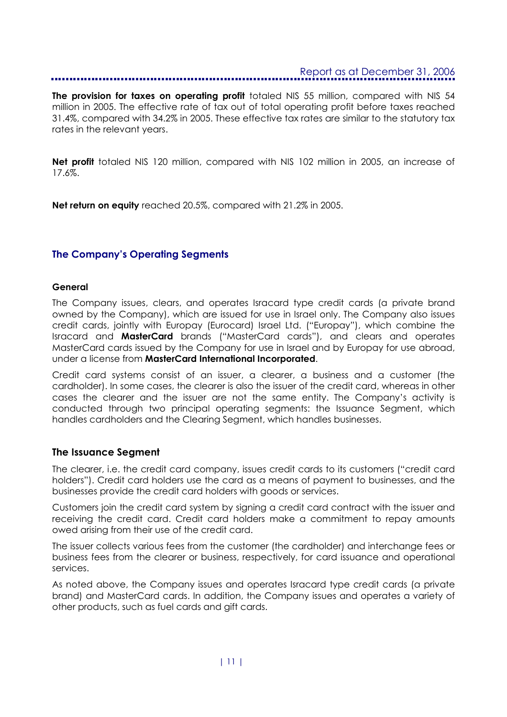## Report as at December 31, 2006

**The provision for taxes on operating profit** totaled NIS 55 million, compared with NIS 54 million in 2005. The effective rate of tax out of total operating profit before taxes reached 31.4%, compared with 34.2% in 2005. These effective tax rates are similar to the statutory tax rates in the relevant years.

**Net profit** totaled NIS 120 million, compared with NIS 102 million in 2005, an increase of 17.6%.

**Net return on equity** reached 20.5%, compared with 21.2% in 2005.

#### **The Company's Operating Segments**

#### **General**

The Company issues, clears, and operates Isracard type credit cards (a private brand owned by the Company), which are issued for use in Israel only. The Company also issues credit cards, jointly with Europay (Eurocard) Israel Ltd. ("Europay"), which combine the Isracard and **MasterCard** brands ("MasterCard cards"), and clears and operates MasterCard cards issued by the Company for use in Israel and by Europay for use abroad, under a license from **MasterCard International Incorporated**.

Credit card systems consist of an issuer, a clearer, a business and a customer (the cardholder). In some cases, the clearer is also the issuer of the credit card, whereas in other cases the clearer and the issuer are not the same entity. The Company's activity is conducted through two principal operating segments: the Issuance Segment, which handles cardholders and the Clearing Segment, which handles businesses.

#### **The Issuance Segment**

The clearer, i.e. the credit card company, issues credit cards to its customers ("credit card holders"). Credit card holders use the card as a means of payment to businesses, and the businesses provide the credit card holders with goods or services.

Customers join the credit card system by signing a credit card contract with the issuer and receiving the credit card. Credit card holders make a commitment to repay amounts owed arising from their use of the credit card.

The issuer collects various fees from the customer (the cardholder) and interchange fees or business fees from the clearer or business, respectively, for card issuance and operational services.

As noted above, the Company issues and operates Isracard type credit cards (a private brand) and MasterCard cards. In addition, the Company issues and operates a variety of other products, such as fuel cards and gift cards.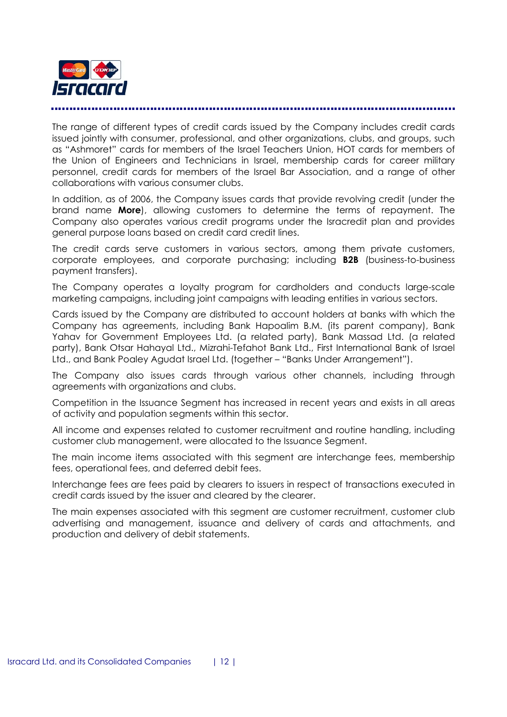

The range of different types of credit cards issued by the Company includes credit cards issued jointly with consumer, professional, and other organizations, clubs, and groups, such as "Ashmoret" cards for members of the Israel Teachers Union, HOT cards for members of the Union of Engineers and Technicians in Israel, membership cards for career military personnel, credit cards for members of the Israel Bar Association, and a range of other collaborations with various consumer clubs.

In addition, as of 2006, the Company issues cards that provide revolving credit (under the brand name **More**), allowing customers to determine the terms of repayment. The Company also operates various credit programs under the Isracredit plan and provides general purpose loans based on credit card credit lines.

The credit cards serve customers in various sectors, among them private customers, corporate employees, and corporate purchasing; including **B2B** (business-to-business payment transfers).

The Company operates a loyalty program for cardholders and conducts large-scale marketing campaigns, including joint campaigns with leading entities in various sectors.

Cards issued by the Company are distributed to account holders at banks with which the Company has agreements, including Bank Hapoalim B.M. (its parent company), Bank Yahav for Government Employees Ltd. (a related party), Bank Massad Ltd. (a related party), Bank Otsar Hahayal Ltd., Mizrahi-Tefahot Bank Ltd., First International Bank of Israel Ltd., and Bank Poaley Agudat Israel Ltd. (together – "Banks Under Arrangement").

The Company also issues cards through various other channels, including through agreements with organizations and clubs.

Competition in the Issuance Segment has increased in recent years and exists in all areas of activity and population segments within this sector.

All income and expenses related to customer recruitment and routine handling, including customer club management, were allocated to the Issuance Segment.

The main income items associated with this segment are interchange fees, membership fees, operational fees, and deferred debit fees.

Interchange fees are fees paid by clearers to issuers in respect of transactions executed in credit cards issued by the issuer and cleared by the clearer.

The main expenses associated with this segment are customer recruitment, customer club advertising and management, issuance and delivery of cards and attachments, and production and delivery of debit statements.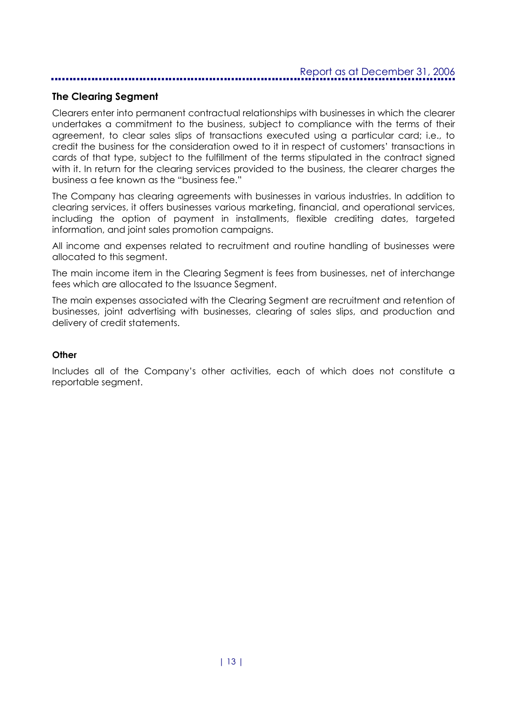## **The Clearing Segment**

Clearers enter into permanent contractual relationships with businesses in which the clearer undertakes a commitment to the business, subject to compliance with the terms of their agreement, to clear sales slips of transactions executed using a particular card; i.e., to credit the business for the consideration owed to it in respect of customers' transactions in cards of that type, subject to the fulfillment of the terms stipulated in the contract signed with it. In return for the clearing services provided to the business, the clearer charges the business a fee known as the "business fee."

The Company has clearing agreements with businesses in various industries. In addition to clearing services, it offers businesses various marketing, financial, and operational services, including the option of payment in installments, flexible crediting dates, targeted information, and joint sales promotion campaigns.

All income and expenses related to recruitment and routine handling of businesses were allocated to this segment.

The main income item in the Clearing Segment is fees from businesses, net of interchange fees which are allocated to the Issuance Segment.

The main expenses associated with the Clearing Segment are recruitment and retention of businesses, joint advertising with businesses, clearing of sales slips, and production and delivery of credit statements.

#### **Other**

Includes all of the Company's other activities, each of which does not constitute a reportable segment.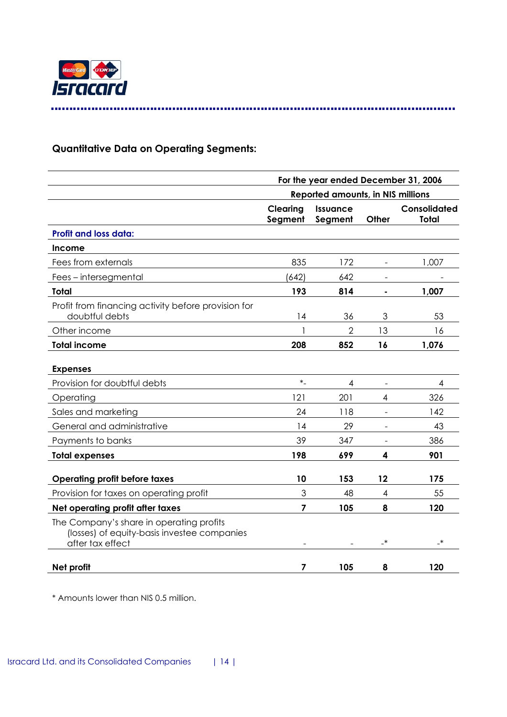

# **Quantitative Data on Operating Segments:**

|                                                                                                             |                                          | For the year ended December 31, 2006 |                          |                              |
|-------------------------------------------------------------------------------------------------------------|------------------------------------------|--------------------------------------|--------------------------|------------------------------|
|                                                                                                             | <b>Reported amounts, in NIS millions</b> |                                      |                          |                              |
|                                                                                                             | Clearing<br>Segment                      | Issuance<br>Segment                  | Other                    | Consolidated<br><b>Total</b> |
| <b>Profit and loss data:</b>                                                                                |                                          |                                      |                          |                              |
| Income                                                                                                      |                                          |                                      |                          |                              |
| Fees from externals                                                                                         | 835                                      | 172                                  | $\overline{\phantom{0}}$ | 1,007                        |
| Fees-intersegmental                                                                                         | (642)                                    | 642                                  | $\overline{\phantom{a}}$ |                              |
| <b>Total</b>                                                                                                | 193                                      | 814                                  | $\blacksquare$           | 1,007                        |
| Profit from financing activity before provision for<br>doubtful debts                                       | 14                                       | 36                                   | 3                        | 53                           |
| Other income                                                                                                |                                          | $\overline{2}$                       | 13                       | 16                           |
| <b>Total income</b>                                                                                         | 208                                      | 852                                  | 16                       | 1,076                        |
| <b>Expenses</b><br>Provision for doubtful debts                                                             | $*_{-}$                                  | $\overline{4}$                       | $\overline{\phantom{a}}$ | 4                            |
| Operating                                                                                                   | 121                                      | 201                                  | $\overline{4}$           | 326                          |
| Sales and marketing                                                                                         | 24                                       | 118                                  |                          | 142                          |
| General and administrative                                                                                  | 14                                       | 29                                   | $\overline{\phantom{a}}$ | 43                           |
| Payments to banks                                                                                           | 39                                       | 347                                  | $\equiv$                 | 386                          |
| <b>Total expenses</b>                                                                                       | 198                                      | 699                                  | 4                        | 901                          |
| <b>Operating profit before taxes</b>                                                                        | 10                                       | 153                                  | 12                       | 175                          |
| Provision for taxes on operating profit                                                                     | $\mathfrak{Z}$                           | 48                                   | $\overline{4}$           | 55                           |
| Net operating profit after taxes                                                                            | $\overline{7}$                           | 105                                  | 8                        | 120                          |
| The Company's share in operating profits<br>(losses) of equity-basis investee companies<br>after tax effect |                                          |                                      | _*                       | _*                           |
| Net profit                                                                                                  | 7                                        | 105                                  | 8                        | 120                          |

\* Amounts lower than NIS 0.5 million.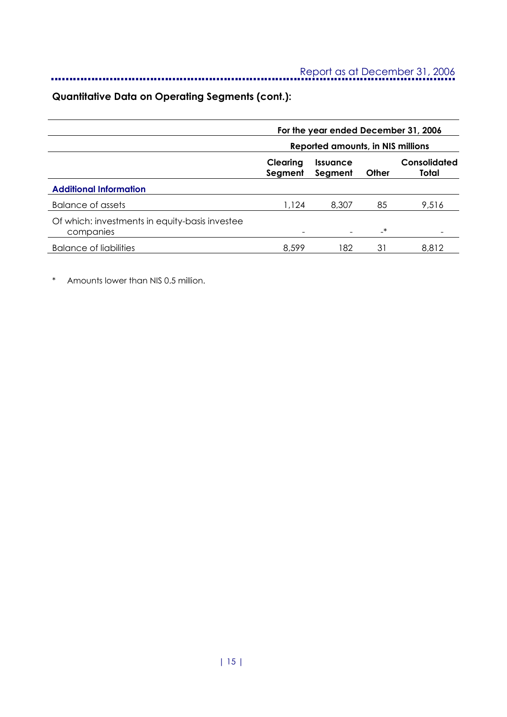# **Quantitative Data on Operating Segments (cont.):**

|                                                             | For the year ended December 31, 2006     |                                          |       |                       |
|-------------------------------------------------------------|------------------------------------------|------------------------------------------|-------|-----------------------|
|                                                             | <b>Reported amounts, in NIS millions</b> |                                          |       |                       |
| Clearing<br>Segment                                         |                                          | <i><u><b>Issuance</b></u></i><br>Segment | Other | Consolidated<br>Total |
| <b>Additional Information</b>                               |                                          |                                          |       |                       |
| Balance of assets                                           | 1,124                                    | 8,307                                    | 85    | 9,516                 |
| Of which: investments in equity-basis investee<br>companies |                                          |                                          | _*    |                       |
| <b>Balance of liabilities</b>                               | 8,599                                    | 182                                      | 31    | 8,812                 |

\* Amounts lower than NIS 0.5 million.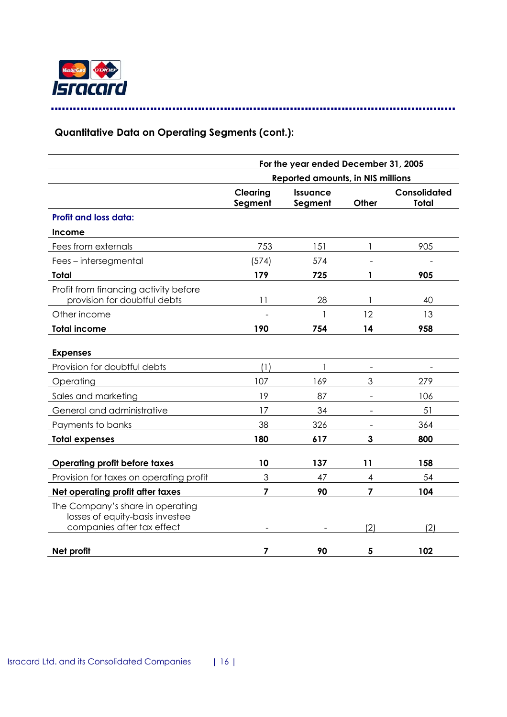

# **Quantitative Data on Operating Segments (cont.):**

|                                                                                                   | For the year ended December 31, 2005     |                            |                |                              |
|---------------------------------------------------------------------------------------------------|------------------------------------------|----------------------------|----------------|------------------------------|
|                                                                                                   | <b>Reported amounts, in NIS millions</b> |                            |                |                              |
|                                                                                                   | Clearing<br>Segment                      | <b>Issuance</b><br>Segment | Other          | Consolidated<br><b>Total</b> |
| <b>Profit and loss data:</b>                                                                      |                                          |                            |                |                              |
| Income                                                                                            |                                          |                            |                |                              |
| Fees from externals                                                                               | 753                                      | 151                        | 1              | 905                          |
| Fees-intersegmental                                                                               | (574)                                    | 574                        |                |                              |
| <b>Total</b>                                                                                      | 179                                      | 725                        | 1              | 905                          |
| Profit from financing activity before<br>provision for doubtful debts                             | 11                                       | 28                         | 1              | 40                           |
| Other income                                                                                      |                                          | $\mathbf{1}$               | 12             | 13                           |
| <b>Total income</b>                                                                               | 190                                      | 754                        | 14             | 958                          |
| <b>Expenses</b>                                                                                   |                                          |                            |                |                              |
| Provision for doubtful debts                                                                      | (1)                                      | 1                          |                |                              |
| Operating                                                                                         | 107                                      | 169                        | 3              | 279                          |
| Sales and marketing                                                                               | 19                                       | 87                         |                | 106                          |
| General and administrative                                                                        | 17                                       | 34                         | $\overline{a}$ | 51                           |
| Payments to banks                                                                                 | 38                                       | 326                        |                | 364                          |
| <b>Total expenses</b>                                                                             | 180                                      | 617                        | 3              | 800                          |
| <b>Operating profit before taxes</b>                                                              | 10                                       | 137                        | 11             | 158                          |
| Provision for taxes on operating profit                                                           | 3                                        | 47                         | $\overline{4}$ | 54                           |
| Net operating profit after taxes                                                                  | $\overline{7}$                           | 90                         | $\overline{7}$ | 104                          |
| The Company's share in operating<br>losses of equity-basis investee<br>companies after tax effect |                                          |                            | (2)            | (2)                          |
| Net profit                                                                                        | 7                                        | 90                         | 5              | 102                          |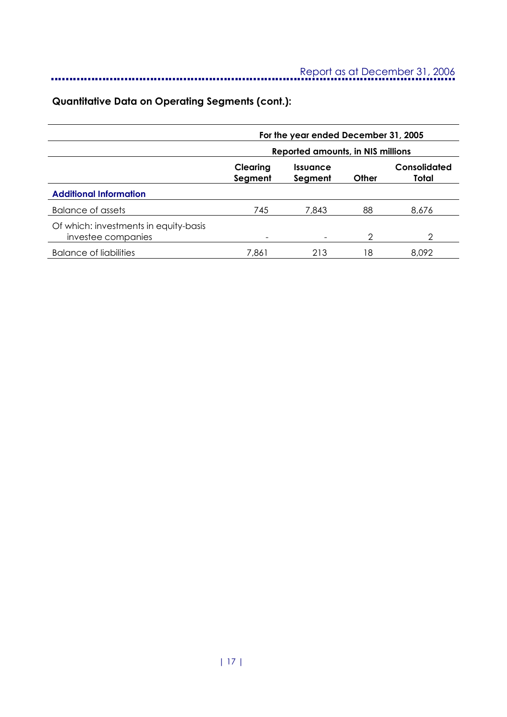|                                                                   | For the year ended December 31, 2005     |       |    |                       |
|-------------------------------------------------------------------|------------------------------------------|-------|----|-----------------------|
|                                                                   | <b>Reported amounts, in NIS millions</b> |       |    |                       |
| <b>Clearing</b><br><b>Issuance</b><br>Segment<br>Other<br>Segment |                                          |       |    | Consolidated<br>Total |
| <b>Additional Information</b>                                     |                                          |       |    |                       |
| Balance of assets                                                 | 745                                      | 7,843 | 88 | 8,676                 |
| Of which: investments in equity-basis<br>investee companies       |                                          |       | 2  | 2                     |
| Balance of liabilities                                            | 7.861                                    | 213   | 18 | 8,092                 |

# **Quantitative Data on Operating Segments (cont.):**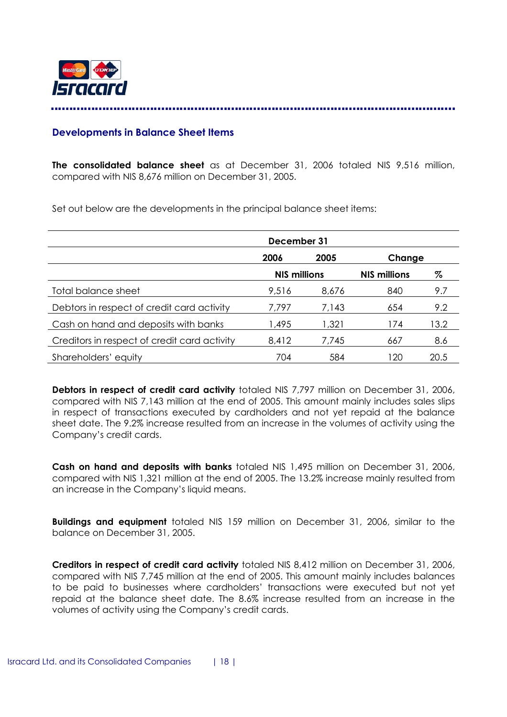

**Developments in Balance Sheet Items** 

**The consolidated balance sheet** as at December 31, 2006 totaled NIS 9,516 million, compared with NIS 8,676 million on December 31, 2005.

Set out below are the developments in the principal balance sheet items:

|                                              | December 31         |       |                     |      |
|----------------------------------------------|---------------------|-------|---------------------|------|
|                                              | 2006                | 2005  | Change              |      |
|                                              | <b>NIS millions</b> |       | <b>NIS millions</b> | %    |
| Total balance sheet                          | 9,516               | 8,676 | 840                 | 9.7  |
| Debtors in respect of credit card activity   | 7,797               | 7,143 | 654                 | 9.2  |
| Cash on hand and deposits with banks         | ,495                | 1,321 | 174                 | 13.2 |
| Creditors in respect of credit card activity | 8,412               | 7,745 | 667                 | 8.6  |
| Shareholders' equity                         | 704                 | 584   | 120                 | 20.5 |

**Debtors in respect of credit card activity** totaled NIS 7,797 million on December 31, 2006, compared with NIS 7,143 million at the end of 2005. This amount mainly includes sales slips in respect of transactions executed by cardholders and not yet repaid at the balance sheet date. The 9.2% increase resulted from an increase in the volumes of activity using the Company's credit cards.

**Cash on hand and deposits with banks** totaled NIS 1,495 million on December 31, 2006, compared with NIS 1,321 million at the end of 2005. The 13.2% increase mainly resulted from an increase in the Company's liquid means.

**Buildings and equipment** totaled NIS 159 million on December 31, 2006, similar to the balance on December 31, 2005.

**Creditors in respect of credit card activity** totaled NIS 8,412 million on December 31, 2006, compared with NIS 7,745 million at the end of 2005. This amount mainly includes balances to be paid to businesses where cardholders' transactions were executed but not yet repaid at the balance sheet date. The 8.6% increase resulted from an increase in the volumes of activity using the Company's credit cards.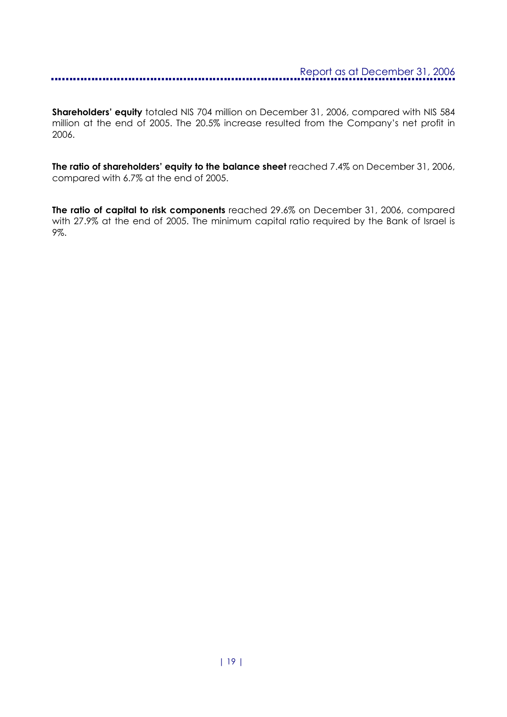**Shareholders' equity** totaled NIS 704 million on December 31, 2006, compared with NIS 584 million at the end of 2005. The 20.5% increase resulted from the Company's net profit in 2006.

**The ratio of shareholders' equity to the balance sheet** reached 7.4% on December 31, 2006, compared with 6.7% at the end of 2005.

**The ratio of capital to risk components** reached 29.6% on December 31, 2006, compared with 27.9% at the end of 2005. The minimum capital ratio required by the Bank of Israel is 9%.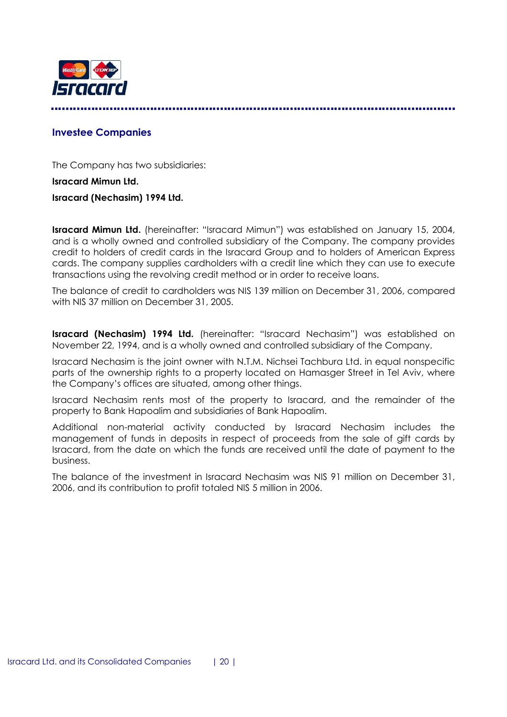

## **Investee Companies**

The Company has two subsidiaries: **Isracard Mimun Ltd. Isracard (Nechasim) 1994 Ltd.** 

**Isracard Mimun Ltd.** (hereinafter: "Isracard Mimun") was established on January 15, 2004, and is a wholly owned and controlled subsidiary of the Company. The company provides credit to holders of credit cards in the Isracard Group and to holders of American Express cards. The company supplies cardholders with a credit line which they can use to execute transactions using the revolving credit method or in order to receive loans.

The balance of credit to cardholders was NIS 139 million on December 31, 2006, compared with NIS 37 million on December 31, 2005.

**Isracard (Nechasim) 1994 Ltd.** (hereinafter: "Isracard Nechasim") was established on November 22, 1994, and is a wholly owned and controlled subsidiary of the Company.

Isracard Nechasim is the joint owner with N.T.M. Nichsei Tachbura Ltd. in equal nonspecific parts of the ownership rights to a property located on Hamasger Street in Tel Aviv, where the Company's offices are situated, among other things.

Isracard Nechasim rents most of the property to Isracard, and the remainder of the property to Bank Hapoalim and subsidiaries of Bank Hapoalim.

Additional non-material activity conducted by Isracard Nechasim includes the management of funds in deposits in respect of proceeds from the sale of gift cards by Isracard, from the date on which the funds are received until the date of payment to the business.

The balance of the investment in Isracard Nechasim was NIS 91 million on December 31, 2006, and its contribution to profit totaled NIS 5 million in 2006.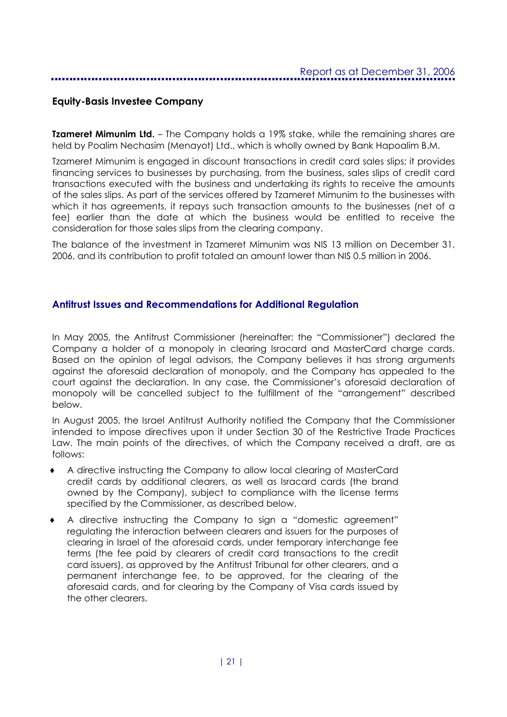### **Equity-Basis Investee Company**

**Tzameret Mimunim Ltd.** – The Company holds a 19% stake, while the remaining shares are held by Poalim Nechasim (Menayot) Ltd., which is wholly owned by Bank Hapoalim B.M.

Tzameret Mimunim is engaged in discount transactions in credit card sales slips; it provides financing services to businesses by purchasing, from the business, sales slips of credit card transactions executed with the business and undertaking its rights to receive the amounts of the sales slips. As part of the services offered by Tzameret Mimunim to the businesses with which it has agreements, it repays such transaction amounts to the businesses (net of a fee) earlier than the date at which the business would be entitled to receive the consideration for those sales slips from the clearing company.

The balance of the investment in Tzameret Mimunim was NIS 13 million on December 31, 2006, and its contribution to profit totaled an amount lower than NIS 0.5 million in 2006.

#### **Antitrust Issues and Recommendations for Additional Regulation**

In May 2005, the Antitrust Commissioner (hereinafter: the "Commissioner") declared the Company a holder of a monopoly in clearing Isracard and MasterCard charge cards. Based on the opinion of legal advisors, the Company believes it has strong arguments against the aforesaid declaration of monopoly, and the Company has appealed to the court against the declaration. In any case, the Commissioner's aforesaid declaration of monopoly will be cancelled subject to the fulfillment of the "arrangement" described below.

In August 2005, the Israel Antitrust Authority notified the Company that the Commissioner intended to impose directives upon it under Section 30 of the Restrictive Trade Practices Law. The main points of the directives, of which the Company received a draft, are as follows:

- A directive instructing the Company to allow local clearing of MasterCard credit cards by additional clearers, as well as Isracard cards (the brand owned by the Company), subject to compliance with the license terms specified by the Commissioner, as described below.
- ♦ A directive instructing the Company to sign a "domestic agreement" regulating the interaction between clearers and issuers for the purposes of clearing in Israel of the aforesaid cards, under temporary interchange fee terms (the fee paid by clearers of credit card transactions to the credit card issuers), as approved by the Antitrust Tribunal for other clearers, and a permanent interchange fee, to be approved, for the clearing of the aforesaid cards, and for clearing by the Company of Visa cards issued by the other clearers.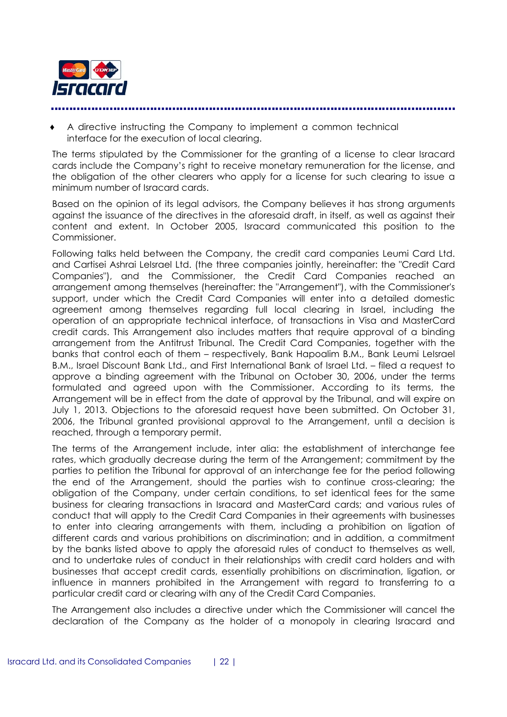

A directive instructing the Company to implement a common technical interface for the execution of local clearing.

The terms stipulated by the Commissioner for the granting of a license to clear Isracard cards include the Company's right to receive monetary remuneration for the license, and the obligation of the other clearers who apply for a license for such clearing to issue a minimum number of Isracard cards.

Based on the opinion of its legal advisors, the Company believes it has strong arguments against the issuance of the directives in the aforesaid draft, in itself, as well as against their content and extent. In October 2005, Isracard communicated this position to the Commissioner.

Following talks held between the Company, the credit card companies Leumi Card Ltd. and Cartisei Ashrai LeIsrael Ltd. (the three companies jointly, hereinafter: the "Credit Card Companies"), and the Commissioner, the Credit Card Companies reached an arrangement among themselves (hereinafter: the "Arrangement"), with the Commissioner's support, under which the Credit Card Companies will enter into a detailed domestic agreement among themselves regarding full local clearing in Israel, including the operation of an appropriate technical interface, of transactions in Visa and MasterCard credit cards. This Arrangement also includes matters that require approval of a binding arrangement from the Antitrust Tribunal. The Credit Card Companies, together with the banks that control each of them – respectively, Bank Hapoalim B.M., Bank Leumi LeIsrael B.M., Israel Discount Bank Ltd., and First International Bank of Israel Ltd. – filed a request to approve a binding agreement with the Tribunal on October 30, 2006, under the terms formulated and agreed upon with the Commissioner. According to its terms, the Arrangement will be in effect from the date of approval by the Tribunal, and will expire on July 1, 2013. Objections to the aforesaid request have been submitted. On October 31, 2006, the Tribunal granted provisional approval to the Arrangement, until a decision is reached, through a temporary permit.

The terms of the Arrangement include, inter alia: the establishment of interchange fee rates, which gradually decrease during the term of the Arrangement; commitment by the parties to petition the Tribunal for approval of an interchange fee for the period following the end of the Arrangement, should the parties wish to continue cross-clearing; the obligation of the Company, under certain conditions, to set identical fees for the same business for clearing transactions in Isracard and MasterCard cards; and various rules of conduct that will apply to the Credit Card Companies in their agreements with businesses to enter into clearing arrangements with them, including a prohibition on ligation of different cards and various prohibitions on discrimination; and in addition, a commitment by the banks listed above to apply the aforesaid rules of conduct to themselves as well, and to undertake rules of conduct in their relationships with credit card holders and with businesses that accept credit cards, essentially prohibitions on discrimination, ligation, or influence in manners prohibited in the Arrangement with regard to transferring to a particular credit card or clearing with any of the Credit Card Companies.

The Arrangement also includes a directive under which the Commissioner will cancel the declaration of the Company as the holder of a monopoly in clearing Isracard and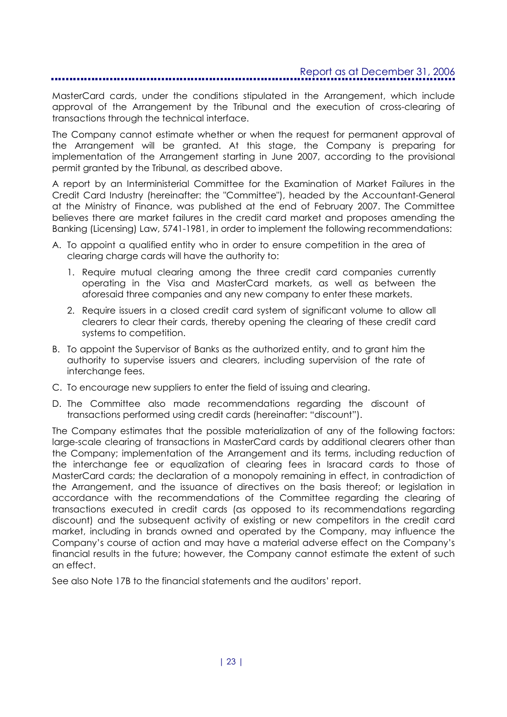MasterCard cards, under the conditions stipulated in the Arrangement, which include approval of the Arrangement by the Tribunal and the execution of cross-clearing of transactions through the technical interface.

The Company cannot estimate whether or when the request for permanent approval of the Arrangement will be granted. At this stage, the Company is preparing for implementation of the Arrangement starting in June 2007, according to the provisional permit granted by the Tribunal, as described above.

A report by an Interministerial Committee for the Examination of Market Failures in the Credit Card Industry (hereinafter: the "Committee"), headed by the Accountant-General at the Ministry of Finance, was published at the end of February 2007. The Committee believes there are market failures in the credit card market and proposes amending the Banking (Licensing) Law, 5741-1981, in order to implement the following recommendations:

- A. To appoint a qualified entity who in order to ensure competition in the area of clearing charge cards will have the authority to:
	- 1. Require mutual clearing among the three credit card companies currently operating in the Visa and MasterCard markets, as well as between the aforesaid three companies and any new company to enter these markets.
	- 2. Require issuers in a closed credit card system of significant volume to allow all clearers to clear their cards, thereby opening the clearing of these credit card systems to competition.
- B. To appoint the Supervisor of Banks as the authorized entity, and to grant him the authority to supervise issuers and clearers, including supervision of the rate of interchange fees.
- C. To encourage new suppliers to enter the field of issuing and clearing.
- D. The Committee also made recommendations regarding the discount of transactions performed using credit cards (hereinafter: "discount").

The Company estimates that the possible materialization of any of the following factors: large-scale clearing of transactions in MasterCard cards by additional clearers other than the Company; implementation of the Arrangement and its terms, including reduction of the interchange fee or equalization of clearing fees in Isracard cards to those of MasterCard cards; the declaration of a monopoly remaining in effect, in contradiction of the Arrangement, and the issuance of directives on the basis thereof; or legislation in accordance with the recommendations of the Committee regarding the clearing of transactions executed in credit cards (as opposed to its recommendations regarding discount) and the subsequent activity of existing or new competitors in the credit card market, including in brands owned and operated by the Company, may influence the Company's course of action and may have a material adverse effect on the Company's financial results in the future; however, the Company cannot estimate the extent of such an effect.

See also Note 17B to the financial statements and the auditors' report.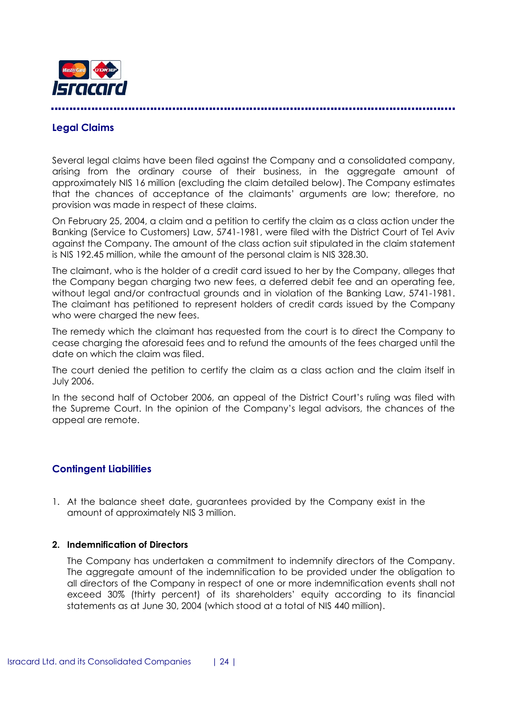

#### **Legal Claims**

Several legal claims have been filed against the Company and a consolidated company, arising from the ordinary course of their business, in the aggregate amount of approximately NIS 16 million (excluding the claim detailed below). The Company estimates that the chances of acceptance of the claimants' arguments are low; therefore, no provision was made in respect of these claims.

On February 25, 2004, a claim and a petition to certify the claim as a class action under the Banking (Service to Customers) Law, 5741-1981, were filed with the District Court of Tel Aviv against the Company. The amount of the class action suit stipulated in the claim statement is NIS 192.45 million, while the amount of the personal claim is NIS 328.30.

The claimant, who is the holder of a credit card issued to her by the Company, alleges that the Company began charging two new fees, a deferred debit fee and an operating fee, without legal and/or contractual grounds and in violation of the Banking Law, 5741-1981. The claimant has petitioned to represent holders of credit cards issued by the Company who were charged the new fees.

The remedy which the claimant has requested from the court is to direct the Company to cease charging the aforesaid fees and to refund the amounts of the fees charged until the date on which the claim was filed.

The court denied the petition to certify the claim as a class action and the claim itself in July 2006.

In the second half of October 2006, an appeal of the District Court's ruling was filed with the Supreme Court. In the opinion of the Company's legal advisors, the chances of the appeal are remote.

### **Contingent Liabilities**

1. At the balance sheet date, guarantees provided by the Company exist in the amount of approximately NIS 3 million.

#### **2. Indemnification of Directors**

The Company has undertaken a commitment to indemnify directors of the Company. The aggregate amount of the indemnification to be provided under the obligation to all directors of the Company in respect of one or more indemnification events shall not exceed 30% (thirty percent) of its shareholders' equity according to its financial statements as at June 30, 2004 (which stood at a total of NIS 440 million).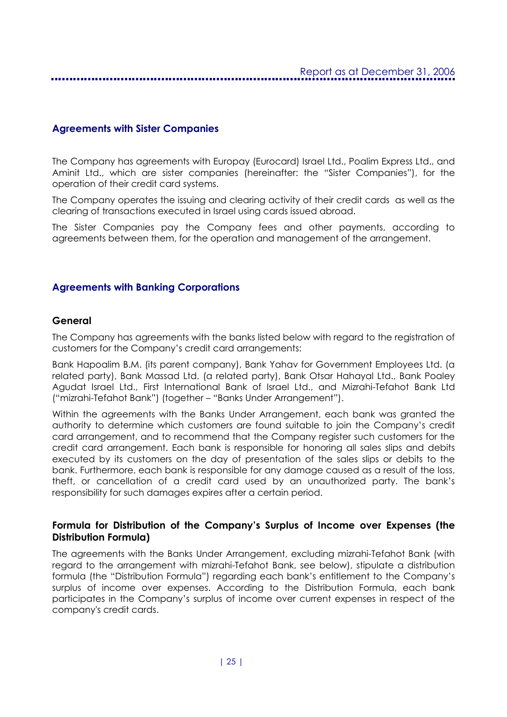### **Agreements with Sister Companies**

The Company has agreements with Europay (Eurocard) Israel Ltd., Poalim Express Ltd., and Aminit Ltd., which are sister companies (hereinafter: the "Sister Companies"), for the operation of their credit card systems.

The Company operates the issuing and clearing activity of their credit cards as well as the clearing of transactions executed in Israel using cards issued abroad.

The Sister Companies pay the Company fees and other payments, according to agreements between them, for the operation and management of the arrangement.

#### **Agreements with Banking Corporations**

#### **General**

The Company has agreements with the banks listed below with regard to the registration of customers for the Company's credit card arrangements:

Bank Hapoalim B.M. (its parent company), Bank Yahav for Government Employees Ltd. (a related party), Bank Massad Ltd. (a related party), Bank Otsar Hahayal Ltd., Bank Poaley Agudat Israel Ltd., First International Bank of Israel Ltd., and Mizrahi-Tefahot Bank Ltd ("mizrahi-Tefahot Bank") (together – "Banks Under Arrangement").

Within the agreements with the Banks Under Arrangement, each bank was granted the authority to determine which customers are found suitable to join the Company's credit card arrangement, and to recommend that the Company register such customers for the credit card arrangement. Each bank is responsible for honoring all sales slips and debits executed by its customers on the day of presentation of the sales slips or debits to the bank. Furthermore, each bank is responsible for any damage caused as a result of the loss, theft, or cancellation of a credit card used by an unauthorized party. The bank's responsibility for such damages expires after a certain period.

#### **Formula for Distribution of the Company's Surplus of Income over Expenses (the Distribution Formula)**

The agreements with the Banks Under Arrangement, excluding mizrahi-Tefahot Bank (with regard to the arrangement with mizrahi-Tefahot Bank, see below), stipulate a distribution formula (the "Distribution Formula") regarding each bank's entitlement to the Company's surplus of income over expenses. According to the Distribution Formula, each bank participates in the Company's surplus of income over current expenses in respect of the company's credit cards.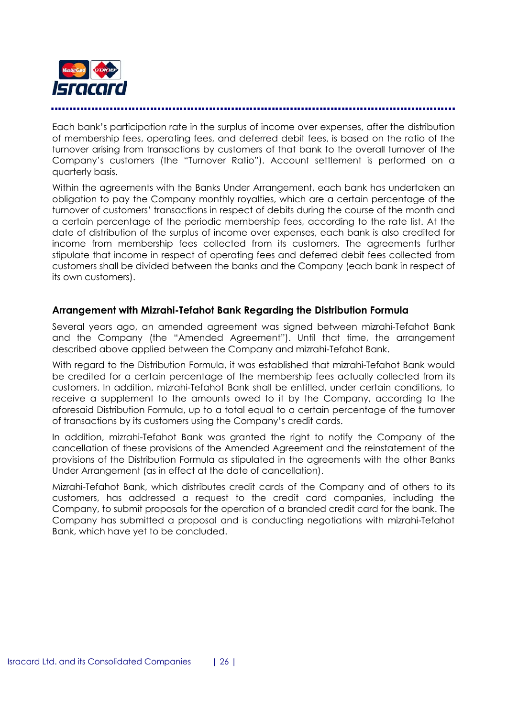

Each bank's participation rate in the surplus of income over expenses, after the distribution of membership fees, operating fees, and deferred debit fees, is based on the ratio of the turnover arising from transactions by customers of that bank to the overall turnover of the Company's customers (the "Turnover Ratio"). Account settlement is performed on a quarterly basis.

Within the agreements with the Banks Under Arrangement, each bank has undertaken an obligation to pay the Company monthly royalties, which are a certain percentage of the turnover of customers' transactions in respect of debits during the course of the month and a certain percentage of the periodic membership fees, according to the rate list. At the date of distribution of the surplus of income over expenses, each bank is also credited for income from membership fees collected from its customers. The agreements further stipulate that income in respect of operating fees and deferred debit fees collected from customers shall be divided between the banks and the Company (each bank in respect of its own customers).

### **Arrangement with Mizrahi-Tefahot Bank Regarding the Distribution Formula**

Several years ago, an amended agreement was signed between mizrahi-Tefahot Bank and the Company (the "Amended Agreement"). Until that time, the arrangement described above applied between the Company and mizrahi-Tefahot Bank.

With regard to the Distribution Formula, it was established that mizrahi-Tefahot Bank would be credited for a certain percentage of the membership fees actually collected from its customers. In addition, mizrahi-Tefahot Bank shall be entitled, under certain conditions, to receive a supplement to the amounts owed to it by the Company, according to the aforesaid Distribution Formula, up to a total equal to a certain percentage of the turnover of transactions by its customers using the Company's credit cards.

In addition, mizrahi-Tefahot Bank was granted the right to notify the Company of the cancellation of these provisions of the Amended Agreement and the reinstatement of the provisions of the Distribution Formula as stipulated in the agreements with the other Banks Under Arrangement (as in effect at the date of cancellation).

Mizrahi-Tefahot Bank, which distributes credit cards of the Company and of others to its customers, has addressed a request to the credit card companies, including the Company, to submit proposals for the operation of a branded credit card for the bank. The Company has submitted a proposal and is conducting negotiations with mizrahi-Tefahot Bank, which have yet to be concluded.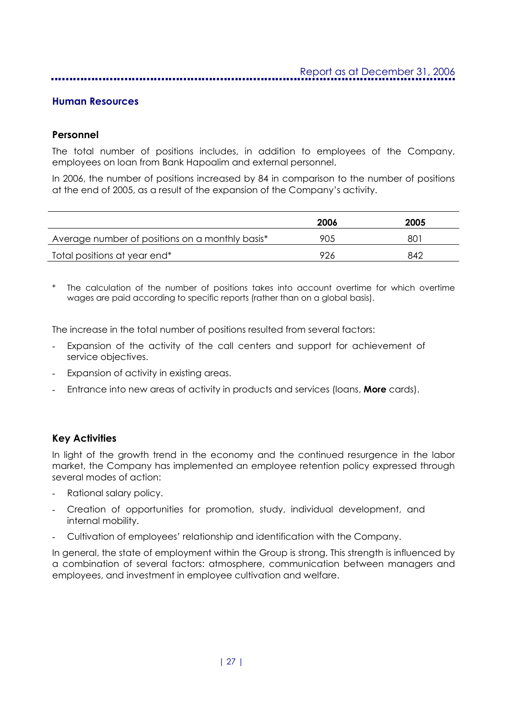#### **Human Resources**

#### **Personnel**

The total number of positions includes, in addition to employees of the Company, employees on loan from Bank Hapoalim and external personnel.

In 2006, the number of positions increased by 84 in comparison to the number of positions at the end of 2005, as a result of the expansion of the Company's activity.

|                                                 | 2006 | 2005 |
|-------------------------------------------------|------|------|
| Average number of positions on a monthly basis* | 905  | 801  |
| Total positions at year end*                    | 926  | 842  |

The calculation of the number of positions takes into account overtime for which overtime wages are paid according to specific reports (rather than on a global basis).

The increase in the total number of positions resulted from several factors:

- Expansion of the activity of the call centers and support for achievement of service objectives.
- Expansion of activity in existing areas.
- Entrance into new areas of activity in products and services (loans, **More** cards).

#### **Key Activities**

In light of the growth trend in the economy and the continued resurgence in the labor market, the Company has implemented an employee retention policy expressed through several modes of action:

- Rational salary policy.
- Creation of opportunities for promotion, study, individual development, and internal mobility.
- Cultivation of employees' relationship and identification with the Company.

In general, the state of employment within the Group is strong. This strength is influenced by a combination of several factors: atmosphere, communication between managers and employees, and investment in employee cultivation and welfare.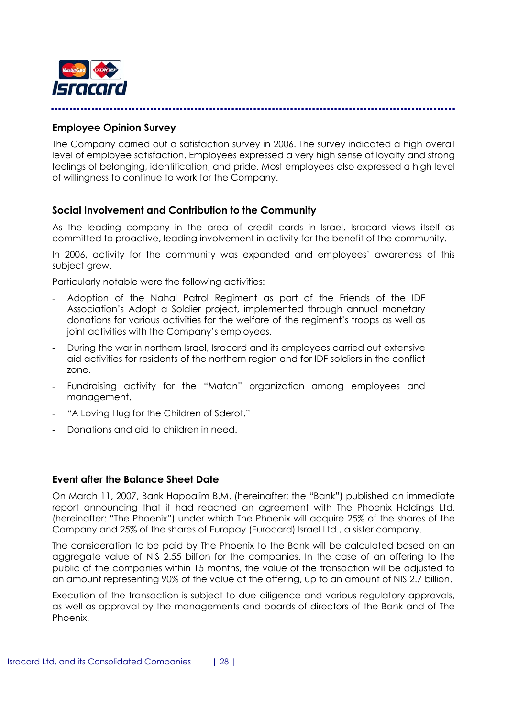

#### **Employee Opinion Survey**

The Company carried out a satisfaction survey in 2006. The survey indicated a high overall level of employee satisfaction. Employees expressed a very high sense of loyalty and strong feelings of belonging, identification, and pride. Most employees also expressed a high level of willingness to continue to work for the Company.

#### **Social Involvement and Contribution to the Community**

As the leading company in the area of credit cards in Israel, Isracard views itself as committed to proactive, leading involvement in activity for the benefit of the community.

In 2006, activity for the community was expanded and employees' awareness of this subject grew.

Particularly notable were the following activities:

- Adoption of the Nahal Patrol Regiment as part of the Friends of the IDF Association's Adopt a Soldier project, implemented through annual monetary donations for various activities for the welfare of the regiment's troops as well as joint activities with the Company's employees.
- During the war in northern Israel, Isracard and its employees carried out extensive aid activities for residents of the northern region and for IDF soldiers in the conflict zone.
- Fundraising activity for the "Matan" organization among employees and management.
- "A Loving Hug for the Children of Sderot."
- Donations and aid to children in need.

#### **Event after the Balance Sheet Date**

On March 11, 2007, Bank Hapoalim B.M. (hereinafter: the "Bank") published an immediate report announcing that it had reached an agreement with The Phoenix Holdings Ltd. (hereinafter: "The Phoenix") under which The Phoenix will acquire 25% of the shares of the Company and 25% of the shares of Europay (Eurocard) Israel Ltd., a sister company.

The consideration to be paid by The Phoenix to the Bank will be calculated based on an aggregate value of NIS 2.55 billion for the companies. In the case of an offering to the public of the companies within 15 months, the value of the transaction will be adjusted to an amount representing 90% of the value at the offering, up to an amount of NIS 2.7 billion.

Execution of the transaction is subject to due diligence and various regulatory approvals, as well as approval by the managements and boards of directors of the Bank and of The Phoenix.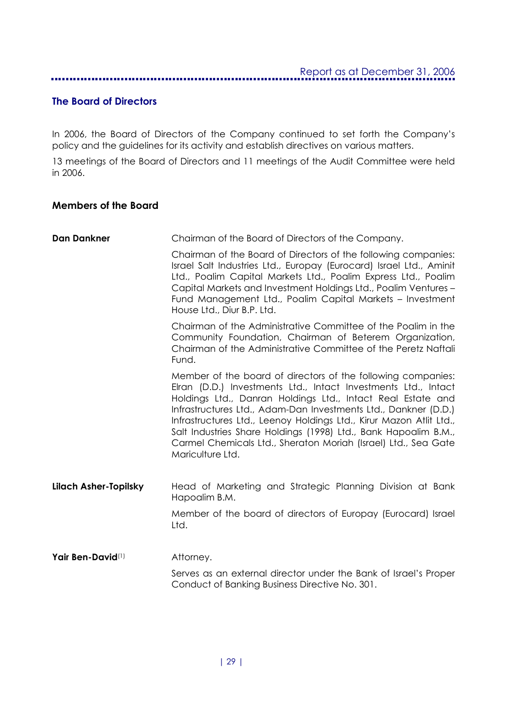#### **The Board of Directors**

In 2006, the Board of Directors of the Company continued to set forth the Company's policy and the guidelines for its activity and establish directives on various matters.

13 meetings of the Board of Directors and 11 meetings of the Audit Committee were held in 2006.

#### **Members of the Board**

| <b>Dan Dankner</b>            | Chairman of the Board of Directors of the Company.<br>Chairman of the Board of Directors of the following companies:<br>Israel Salt Industries Ltd., Europay (Eurocard) Israel Ltd., Aminit<br>Ltd., Poalim Capital Markets Ltd., Poalim Express Ltd., Poalim<br>Capital Markets and Investment Holdings Ltd., Poalim Ventures -<br>Fund Management Ltd., Poalim Capital Markets - Investment<br>House Ltd., Diur B.P. Ltd.                                                                      |
|-------------------------------|--------------------------------------------------------------------------------------------------------------------------------------------------------------------------------------------------------------------------------------------------------------------------------------------------------------------------------------------------------------------------------------------------------------------------------------------------------------------------------------------------|
|                               | Chairman of the Administrative Committee of the Poalim in the<br>Community Foundation, Chairman of Beterem Organization,<br>Chairman of the Administrative Committee of the Peretz Naftali<br>Fund.                                                                                                                                                                                                                                                                                              |
|                               | Member of the board of directors of the following companies:<br>Elran (D.D.) Investments Ltd., Intact Investments Ltd., Intact<br>Holdings Ltd., Danran Holdings Ltd., Intact Real Estate and<br>Infrastructures Ltd., Adam-Dan Investments Ltd., Dankner (D.D.)<br>Infrastructures Ltd., Leenoy Holdings Ltd., Kirur Mazon Atlit Ltd.,<br>Salt Industries Share Holdings (1998) Ltd., Bank Hapoalim B.M.,<br>Carmel Chemicals Ltd., Sheraton Moriah (Israel) Ltd., Sea Gate<br>Mariculture Ltd. |
| <b>Lilach Asher-Topilsky</b>  | Head of Marketing and Strategic Planning Division at Bank<br>Hapoalim B.M.                                                                                                                                                                                                                                                                                                                                                                                                                       |
|                               | Member of the board of directors of Europay (Eurocard) Israel<br>Ltd.                                                                                                                                                                                                                                                                                                                                                                                                                            |
| Yair Ben-David <sup>(1)</sup> | Attorney.                                                                                                                                                                                                                                                                                                                                                                                                                                                                                        |
|                               | Serves as an external director under the Bank of Israel's Proper<br>Conduct of Banking Business Directive No. 301.                                                                                                                                                                                                                                                                                                                                                                               |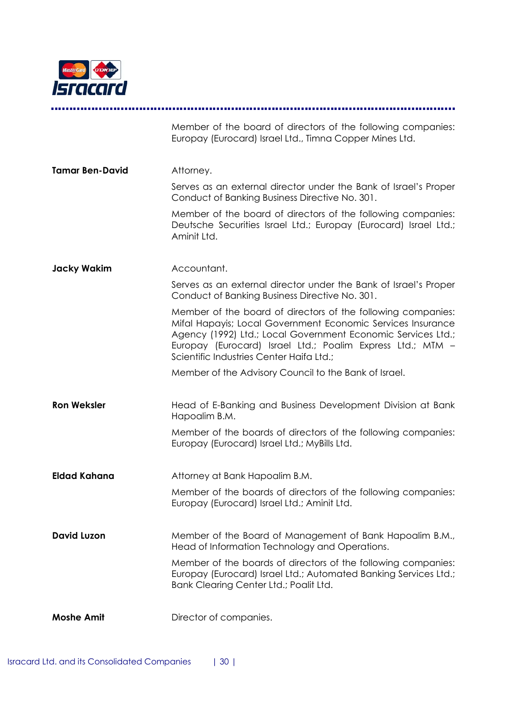

.........................

|                        | Member of the board of directors of the following companies:<br>Europay (Eurocard) Israel Ltd., Timna Copper Mines Ltd.                                                                                                                                                                               |
|------------------------|-------------------------------------------------------------------------------------------------------------------------------------------------------------------------------------------------------------------------------------------------------------------------------------------------------|
| <b>Tamar Ben-David</b> | Attorney.                                                                                                                                                                                                                                                                                             |
|                        | Serves as an external director under the Bank of Israel's Proper<br>Conduct of Banking Business Directive No. 301.                                                                                                                                                                                    |
|                        | Member of the board of directors of the following companies:<br>Deutsche Securities Israel Ltd.; Europay (Eurocard) Israel Ltd.;<br>Aminit Ltd.                                                                                                                                                       |
| <b>Jacky Wakim</b>     | Accountant.                                                                                                                                                                                                                                                                                           |
|                        | Serves as an external director under the Bank of Israel's Proper<br>Conduct of Banking Business Directive No. 301.                                                                                                                                                                                    |
|                        | Member of the board of directors of the following companies:<br>Mifal Hapayis; Local Government Economic Services Insurance<br>Agency (1992) Ltd.; Local Government Economic Services Ltd.;<br>Europay (Eurocard) Israel Ltd.; Poalim Express Ltd.; MTM -<br>Scientific Industries Center Haifa Ltd.; |
|                        | Member of the Advisory Council to the Bank of Israel.                                                                                                                                                                                                                                                 |
| <b>Ron Weksler</b>     | Head of E-Banking and Business Development Division at Bank<br>Hapoalim B.M.                                                                                                                                                                                                                          |
|                        | Member of the boards of directors of the following companies:<br>Europay (Eurocard) Israel Ltd.; MyBills Ltd.                                                                                                                                                                                         |
| <b>Eldad Kahana</b>    | Attorney at Bank Hapoalim B.M.                                                                                                                                                                                                                                                                        |
|                        | Member of the boards of directors of the following companies:<br>Europay (Eurocard) Israel Ltd.; Aminit Ltd.                                                                                                                                                                                          |
| <b>David Luzon</b>     | Member of the Board of Management of Bank Hapoalim B.M.,<br>Head of Information Technology and Operations.                                                                                                                                                                                            |
|                        | Member of the boards of directors of the following companies:<br>Europay (Eurocard) Israel Ltd.; Automated Banking Services Ltd.;<br>Bank Clearing Center Ltd.; Poalit Ltd.                                                                                                                           |
| <b>Moshe Amit</b>      | Director of companies.                                                                                                                                                                                                                                                                                |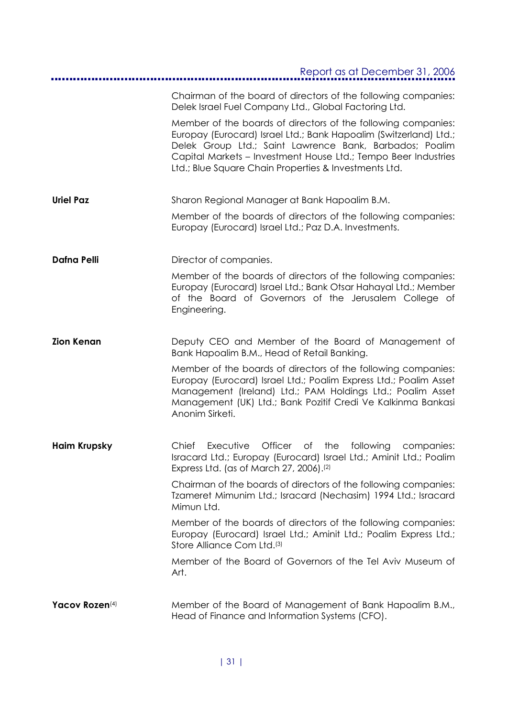|                            | Report as at December 31, 2006                                                                                                                                                                                                                                                                                           |
|----------------------------|--------------------------------------------------------------------------------------------------------------------------------------------------------------------------------------------------------------------------------------------------------------------------------------------------------------------------|
|                            | Chairman of the board of directors of the following companies:<br>Delek Israel Fuel Company Ltd., Global Factoring Ltd.                                                                                                                                                                                                  |
|                            | Member of the boards of directors of the following companies:<br>Europay (Eurocard) Israel Ltd.; Bank Hapoalim (Switzerland) Ltd.;<br>Delek Group Ltd.; Saint Lawrence Bank, Barbados; Poalim<br>Capital Markets - Investment House Ltd.; Tempo Beer Industries<br>Ltd.; Blue Square Chain Properties & Investments Ltd. |
| <b>Uriel Paz</b>           | Sharon Regional Manager at Bank Hapoalim B.M.                                                                                                                                                                                                                                                                            |
|                            | Member of the boards of directors of the following companies:<br>Europay (Eurocard) Israel Ltd.; Paz D.A. Investments.                                                                                                                                                                                                   |
| <b>Dafna Pelli</b>         | Director of companies.                                                                                                                                                                                                                                                                                                   |
|                            | Member of the boards of directors of the following companies:<br>Europay (Eurocard) Israel Ltd.; Bank Otsar Hahayal Ltd.; Member<br>of the Board of Governors of the Jerusalem College of<br>Engineering.                                                                                                                |
| <b>Zion Kenan</b>          | Deputy CEO and Member of the Board of Management of<br>Bank Hapoalim B.M., Head of Retail Banking.                                                                                                                                                                                                                       |
|                            | Member of the boards of directors of the following companies:<br>Europay (Eurocard) Israel Ltd.; Poalim Express Ltd.; Poalim Asset<br>Management (Ireland) Ltd.; PAM Holdings Ltd.; Poalim Asset<br>Management (UK) Ltd.; Bank Pozitif Credi Ve Kalkinma Bankasi<br>Anonim Sirketi.                                      |
| <b>Haim Krupsky</b>        | Chief Executive Officer of the following companies:<br>Isracard Ltd.; Europay (Eurocard) Israel Ltd.; Aminit Ltd.; Poalim<br>Express Ltd. (as of March 27, 2006). <sup>(2)</sup>                                                                                                                                         |
|                            | Chairman of the boards of directors of the following companies:<br>Tzameret Mimunim Ltd.; Isracard (Nechasim) 1994 Ltd.; Isracard<br>Mimun Ltd.                                                                                                                                                                          |
|                            | Member of the boards of directors of the following companies:<br>Europay (Eurocard) Israel Ltd.; Aminit Ltd.; Poalim Express Ltd.;<br>Store Alliance Com Ltd. <sup>(3)</sup>                                                                                                                                             |
|                            | Member of the Board of Governors of the Tel Aviv Museum of<br>Art.                                                                                                                                                                                                                                                       |
| Yacov Rozen <sup>(4)</sup> | Member of the Board of Management of Bank Hapoalim B.M.,<br>Head of Finance and Information Systems (CFO).                                                                                                                                                                                                               |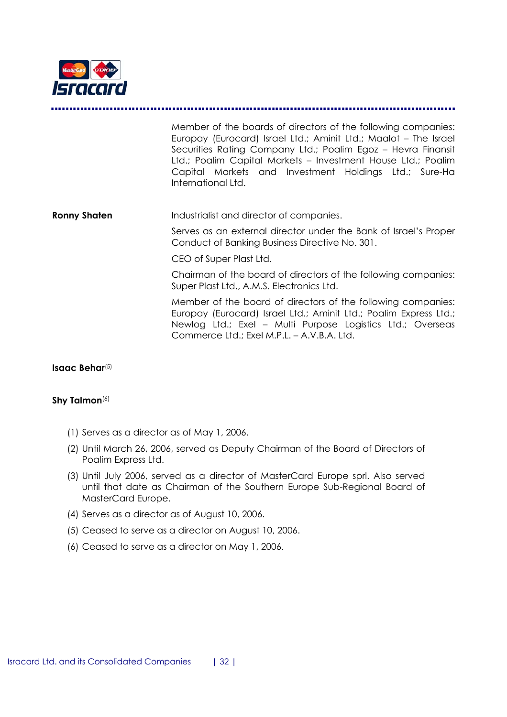

 Member of the boards of directors of the following companies: Europay (Eurocard) Israel Ltd.; Aminit Ltd.; Maalot – The Israel Securities Rating Company Ltd.; Poalim Egoz – Hevra Finansit Ltd.; Poalim Capital Markets – Investment House Ltd.; Poalim Capital Markets and Investment Holdings Ltd.; Sure-Ha International Ltd.

**Ronny Shaten Industrialist and director of companies.** 

 Serves as an external director under the Bank of Israel's Proper Conduct of Banking Business Directive No. 301.

CEO of Super Plast Ltd.

Chairman of the board of directors of the following companies: Super Plast Ltd., A.M.S. Electronics Ltd.

 Member of the board of directors of the following companies: Europay (Eurocard) Israel Ltd.; Aminit Ltd.; Poalim Express Ltd.; Newlog Ltd.; Exel – Multi Purpose Logistics Ltd.; Overseas Commerce Ltd.; Exel M.P.L. – A.V.B.A. Ltd.

#### **Isaac Behar**(5)

#### **Shy Talmon**(6)

- (1) Serves as a director as of May 1, 2006.
- (2) Until March 26, 2006, served as Deputy Chairman of the Board of Directors of Poalim Express Ltd.
- (3) Until July 2006, served as a director of MasterCard Europe sprl. Also served until that date as Chairman of the Southern Europe Sub-Regional Board of MasterCard Europe.
- (4) Serves as a director as of August 10, 2006.
- (5) Ceased to serve as a director on August 10, 2006.
- (6) Ceased to serve as a director on May 1, 2006.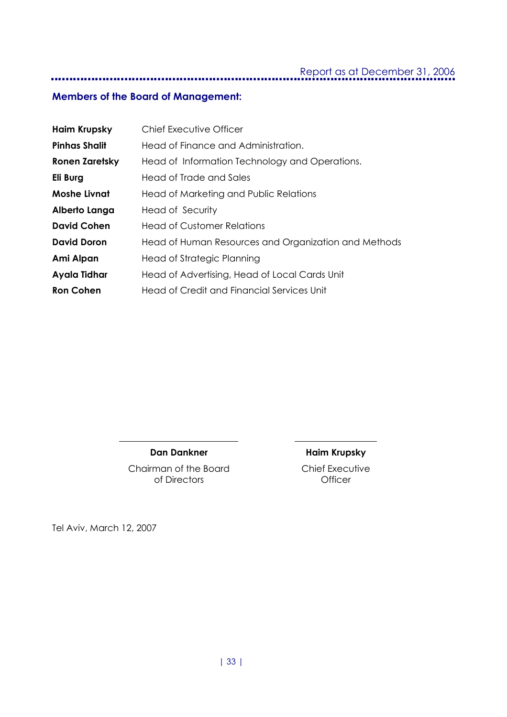Report as at December 31, 2006

## **Members of the Board of Management:**

.................................

| <b>Haim Krupsky</b>   | Chief Executive Officer                              |
|-----------------------|------------------------------------------------------|
| <b>Pinhas Shalit</b>  | Head of Finance and Administration.                  |
| <b>Ronen Zaretsky</b> | Head of Information Technology and Operations.       |
| Eli Burg              | Head of Trade and Sales                              |
| <b>Moshe Livnat</b>   | Head of Marketing and Public Relations               |
| Alberto Langa         | Head of Security                                     |
| <b>David Cohen</b>    | <b>Head of Customer Relations</b>                    |
| <b>David Doron</b>    | Head of Human Resources and Organization and Methods |
| Ami Alpan             | Head of Strategic Planning                           |
| Ayala Tidhar          | Head of Advertising, Head of Local Cards Unit        |
| <b>Ron Cohen</b>      | Head of Credit and Financial Services Unit           |

**Dan Dankner** 

Chairman of the Board of Directors

**Haim Krupsky** 

Chief Executive **Officer** 

Tel Aviv, March 12, 2007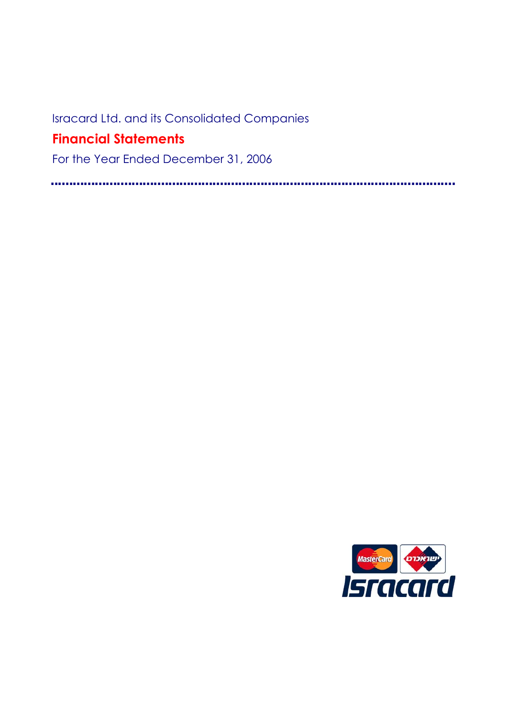Isracard Ltd. and its Consolidated Companies

# **Financial Statements**

For the Year Ended December 31, 2006

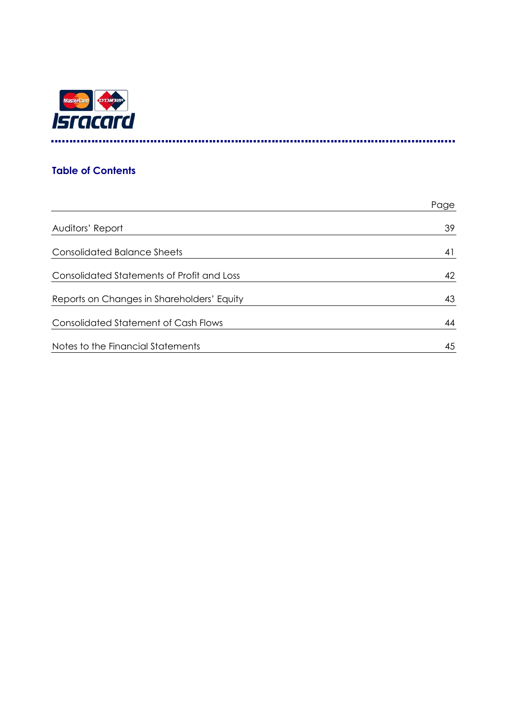

# **Table of Contents**

|                                             | Page |
|---------------------------------------------|------|
| Auditors' Report                            | 39   |
| Consolidated Balance Sheets                 | 41   |
| Consolidated Statements of Profit and Loss  | 42   |
| Reports on Changes in Shareholders' Equity  | 43   |
| <b>Consolidated Statement of Cash Flows</b> | 44   |
| Notes to the Financial Statements           | 45   |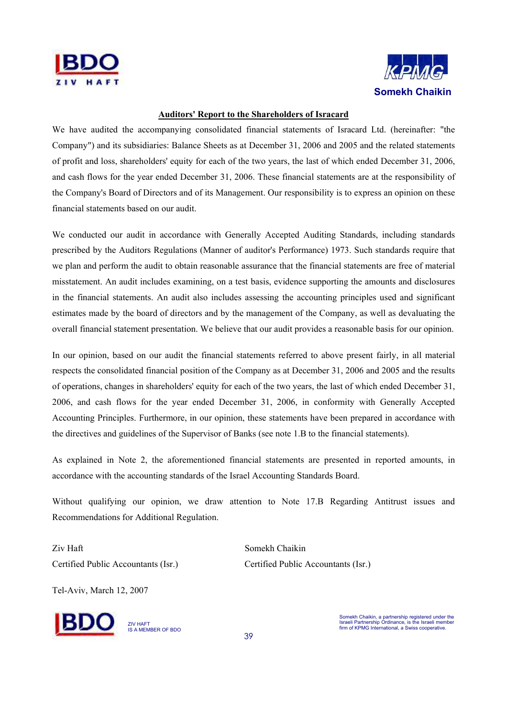



#### **Auditors' Report to the Shareholders of Isracard**

We have audited the accompanying consolidated financial statements of Isracard Ltd. (hereinafter: "the Company") and its subsidiaries: Balance Sheets as at December 31, 2006 and 2005 and the related statements of profit and loss, shareholders' equity for each of the two years, the last of which ended December 31, 2006, and cash flows for the year ended December 31, 2006. These financial statements are at the responsibility of the Company's Board of Directors and of its Management. Our responsibility is to express an opinion on these financial statements based on our audit.

We conducted our audit in accordance with Generally Accepted Auditing Standards, including standards prescribed by the Auditors Regulations (Manner of auditor's Performance) 1973. Such standards require that we plan and perform the audit to obtain reasonable assurance that the financial statements are free of material misstatement. An audit includes examining, on a test basis, evidence supporting the amounts and disclosures in the financial statements. An audit also includes assessing the accounting principles used and significant estimates made by the board of directors and by the management of the Company, as well as devaluating the overall financial statement presentation. We believe that our audit provides a reasonable basis for our opinion.

In our opinion, based on our audit the financial statements referred to above present fairly, in all material respects the consolidated financial position of the Company as at December 31, 2006 and 2005 and the results of operations, changes in shareholders' equity for each of the two years, the last of which ended December 31, 2006, and cash flows for the year ended December 31, 2006, in conformity with Generally Accepted Accounting Principles. Furthermore, in our opinion, these statements have been prepared in accordance with the directives and guidelines of the Supervisor of Banks (see note 1.B to the financial statements).

As explained in Note 2, the aforementioned financial statements are presented in reported amounts, in accordance with the accounting standards of the Israel Accounting Standards Board.

Without qualifying our opinion, we draw attention to Note 17.B Regarding Antitrust issues and Recommendations for Additional Regulation.

Ziv Haft Somekh Chaikin

Certified Public Accountants (Isr.) Certified Public Accountants (Isr.)

Tel-Aviv, March 12, 2007



Somekh Chaikin, a partnership registered under the Israeli Partnership Ordinance, is the Israeli member firm of KPMG International, a Swiss cooperative.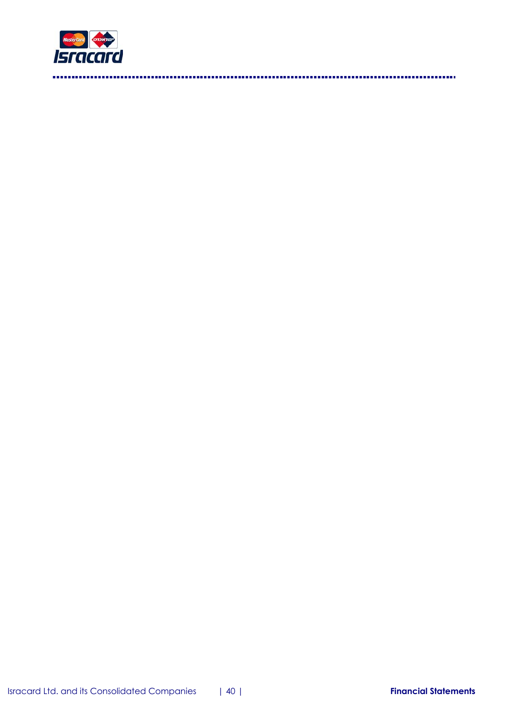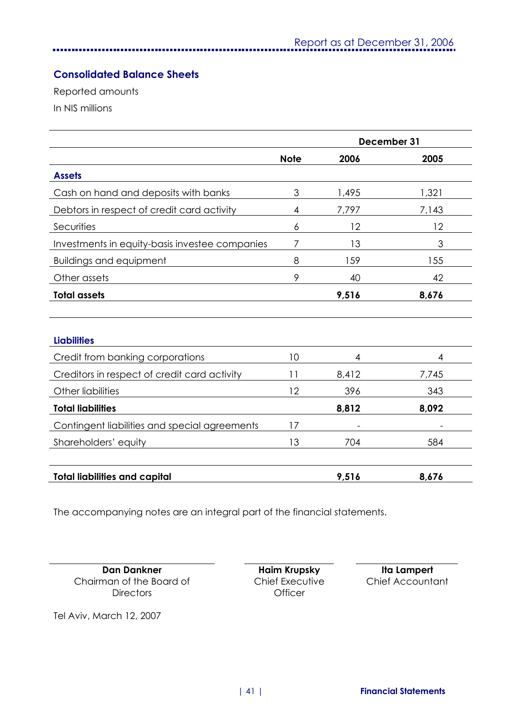## **Consolidated Balance Sheets**

Reported amounts

In NIS millions

..............

|                                                | December 31    |       |       |  |
|------------------------------------------------|----------------|-------|-------|--|
|                                                | <b>Note</b>    | 2006  | 2005  |  |
| <b>Assets</b>                                  |                |       |       |  |
| Cash on hand and deposits with banks           | 3              | 1,495 | 1,321 |  |
| Debtors in respect of credit card activity     | $\overline{4}$ | 7,797 | 7,143 |  |
| Securities                                     | 6              | 12    | 12    |  |
| Investments in equity-basis investee companies | 7              | 13    | 3     |  |
| <b>Buildings and equipment</b>                 | 8              | 159   | 155   |  |
| Other assets                                   | 9              | 40    | 42    |  |
| <b>Total assets</b>                            |                | 9,516 | 8,676 |  |
|                                                |                |       |       |  |
| <b>Liabilities</b>                             |                |       |       |  |
| Credit from banking corporations               | 10             | 4     | 4     |  |
| Creditors in respect of credit card activity   | 11             | 8,412 | 7,745 |  |
| Other liabilities                              | 12             | 396   | 343   |  |
| <b>Total liabilities</b>                       |                | 8,812 | 8,092 |  |
| Contingent liabilities and special agreements  | 17             |       |       |  |
| Shareholders' equity                           | 13             | 704   | 584   |  |
|                                                |                |       |       |  |
| <b>Total liabilities and capital</b>           |                | 9,516 | 8,676 |  |

The accompanying notes are an integral part of the financial statements.

**Dan Dankner**  Chairman of the Board of **Directors** 

**Haim Krupsky**  Chief Executive **Officer** 

**Ita Lampert**  Chief Accountant

Tel Aviv, March 12, 2007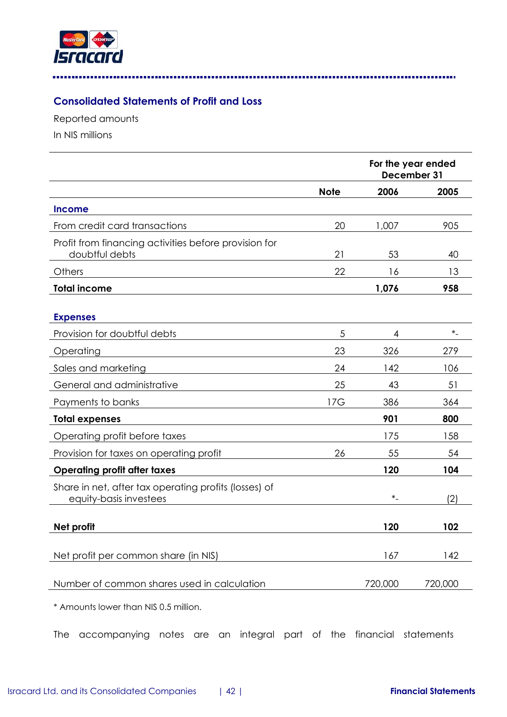

## **Consolidated Statements of Profit and Loss**

Reported amounts

In NIS millions

|                                                                                 |             |         | For the year ended<br>December 31 |
|---------------------------------------------------------------------------------|-------------|---------|-----------------------------------|
|                                                                                 | <b>Note</b> | 2006    | 2005                              |
| <b>Income</b>                                                                   |             |         |                                   |
| From credit card transactions                                                   | 20          | 1,007   | 905                               |
| Profit from financing activities before provision for<br>doubtful debts         | 21          | 53      | 40                                |
| Others                                                                          | 22          | 16      | 13                                |
| <b>Total income</b>                                                             |             | 1,076   | 958                               |
| <b>Expenses</b>                                                                 |             |         |                                   |
| Provision for doubtful debts                                                    | 5           | 4       | $*$                               |
| Operating                                                                       | 23          | 326     | 279                               |
| Sales and marketing                                                             | 24          | 142     | 106                               |
| General and administrative                                                      | 25          | 43      | 51                                |
| Payments to banks                                                               | 17G         | 386     | 364                               |
| <b>Total expenses</b>                                                           |             | 901     | 800                               |
| Operating profit before taxes                                                   |             | 175     | 158                               |
| Provision for taxes on operating profit                                         | 26          | 55      | 54                                |
| <b>Operating profit after taxes</b>                                             |             | 120     | 104                               |
| Share in net, after tax operating profits (losses) of<br>equity-basis investees |             | $\ast$  | (2)                               |
| Net profit                                                                      |             | 120     | 102                               |
| Net profit per common share (in NIS)                                            |             | 167     | 142                               |
| Number of common shares used in calculation                                     |             | 720,000 | 720,000                           |
|                                                                                 |             |         |                                   |

\* Amounts lower than NIS 0.5 million.

The accompanying notes are an integral part of the financial statements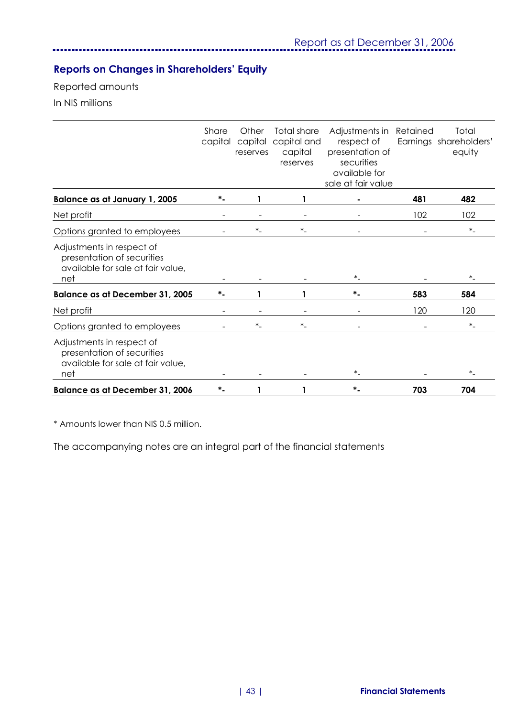# **Reports on Changes in Shareholders' Equity**

....................

Reported amounts

.....................

In NIS millions

|                                                                                                     | Share    | Other<br>reserves | Total share<br>capital capital capital and<br>capital<br>reserves | Adjustments in Retained<br>respect of<br>presentation of<br>securities<br>available for<br>sale at fair value |     | Total<br>Earnings shareholders'<br>equity |
|-----------------------------------------------------------------------------------------------------|----------|-------------------|-------------------------------------------------------------------|---------------------------------------------------------------------------------------------------------------|-----|-------------------------------------------|
| <b>Balance as at January 1, 2005</b>                                                                | $\ast$ . |                   | $\mathbf{1}$                                                      |                                                                                                               | 481 | 482                                       |
| Net profit                                                                                          |          |                   |                                                                   |                                                                                                               | 102 | 102                                       |
| Options granted to employees                                                                        |          | $*_{-}$           | $*_{-}$                                                           |                                                                                                               |     | $*$                                       |
| Adjustments in respect of<br>presentation of securities<br>available for sale at fair value,<br>net |          |                   |                                                                   | $*_{-}$                                                                                                       |     | $*$                                       |
| <b>Balance as at December 31, 2005</b>                                                              | $\ast$ . |                   | 1                                                                 | *.                                                                                                            | 583 | 584                                       |
| Net profit                                                                                          |          |                   |                                                                   |                                                                                                               | 120 | 120                                       |
| Options granted to employees                                                                        |          | $*_{-}$           | $*_{-}$                                                           |                                                                                                               |     | $*_{-}$                                   |
| Adjustments in respect of<br>presentation of securities<br>available for sale at fair value,<br>net |          |                   |                                                                   | $*_{-}$                                                                                                       |     | $*_{-}$                                   |
| <b>Balance as at December 31, 2006</b>                                                              | *.       |                   |                                                                   | *.                                                                                                            | 703 | 704                                       |

\* Amounts lower than NIS 0.5 million.

The accompanying notes are an integral part of the financial statements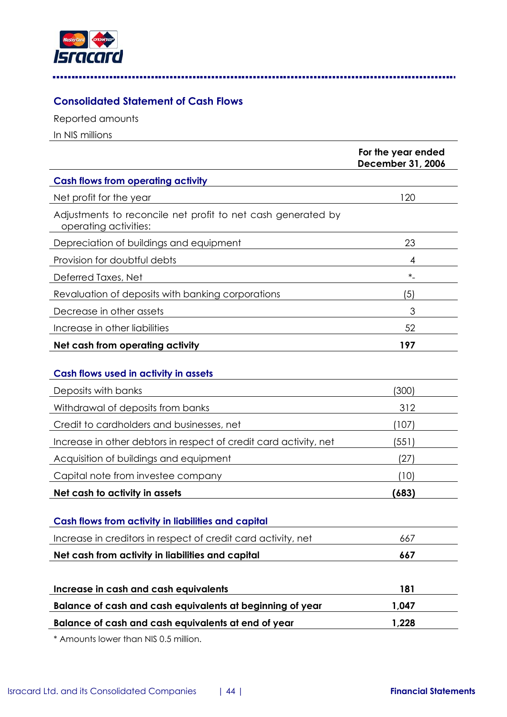

## **Consolidated Statement of Cash Flows**

Reported amounts

In NIS millions

|                                                                                       | For the year ended<br>December 31, 2006 |
|---------------------------------------------------------------------------------------|-----------------------------------------|
| <b>Cash flows from operating activity</b>                                             |                                         |
| Net profit for the year                                                               | 120                                     |
| Adjustments to reconcile net profit to net cash generated by<br>operating activities: |                                         |
| Depreciation of buildings and equipment                                               | 23                                      |
| Provision for doubtful debts                                                          | 4                                       |
| Deferred Taxes, Net                                                                   | $*_{-}$                                 |
| Revaluation of deposits with banking corporations                                     | (5)                                     |
| Decrease in other assets                                                              | 3                                       |
| Increase in other liabilities                                                         | 52                                      |
| Net cash from operating activity                                                      | 197                                     |
| Cash flows used in activity in assets                                                 |                                         |
| Deposits with banks                                                                   | (300)                                   |
| Withdrawal of deposits from banks                                                     | 312                                     |
| Credit to cardholders and businesses, net                                             | (107)                                   |
| Increase in other debtors in respect of credit card activity, net                     | (551)                                   |
| Acquisition of buildings and equipment                                                | (27)                                    |
| Capital note from investee company                                                    | (10)                                    |
| Net cash to activity in assets                                                        | (683)                                   |
| Cash flows from activity in liabilities and capital                                   |                                         |
| Increase in creditors in respect of credit card activity, net                         | 667                                     |
| Net cash from activity in liabilities and capital                                     | 667                                     |
|                                                                                       |                                         |
| Increase in cash and cash equivalents                                                 | 181                                     |
| Balance of cash and cash equivalents at beginning of year                             | 1,047                                   |
| Balance of cash and cash equivalents at end of year                                   | 1,228                                   |

\* Amounts lower than NIS 0.5 million.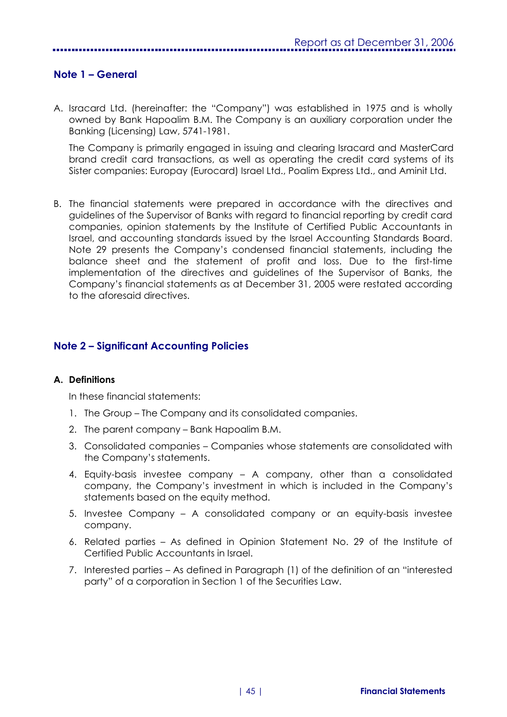## **Note 1 – General**

A. Isracard Ltd. (hereinafter: the "Company") was established in 1975 and is wholly owned by Bank Hapoalim B.M. The Company is an auxiliary corporation under the Banking (Licensing) Law, 5741-1981.

The Company is primarily engaged in issuing and clearing Isracard and MasterCard brand credit card transactions, as well as operating the credit card systems of its Sister companies: Europay (Eurocard) Israel Ltd., Poalim Express Ltd., and Aminit Ltd.

B. The financial statements were prepared in accordance with the directives and guidelines of the Supervisor of Banks with regard to financial reporting by credit card companies, opinion statements by the Institute of Certified Public Accountants in Israel, and accounting standards issued by the Israel Accounting Standards Board. Note 29 presents the Company's condensed financial statements, including the balance sheet and the statement of profit and loss. Due to the first-time implementation of the directives and guidelines of the Supervisor of Banks, the Company's financial statements as at December 31, 2005 were restated according to the aforesaid directives.

## **Note 2 – Significant Accounting Policies**

#### **A. Definitions**

In these financial statements:

- 1. The Group The Company and its consolidated companies.
- 2. The parent company Bank Hapoalim B.M.
- 3. Consolidated companies Companies whose statements are consolidated with the Company's statements.
- 4. Equity-basis investee company A company, other than a consolidated company, the Company's investment in which is included in the Company's statements based on the equity method.
- 5. Investee Company A consolidated company or an equity-basis investee company.
- 6. Related parties As defined in Opinion Statement No. 29 of the Institute of Certified Public Accountants in Israel.
- 7. Interested parties As defined in Paragraph (1) of the definition of an "interested party" of a corporation in Section 1 of the Securities Law.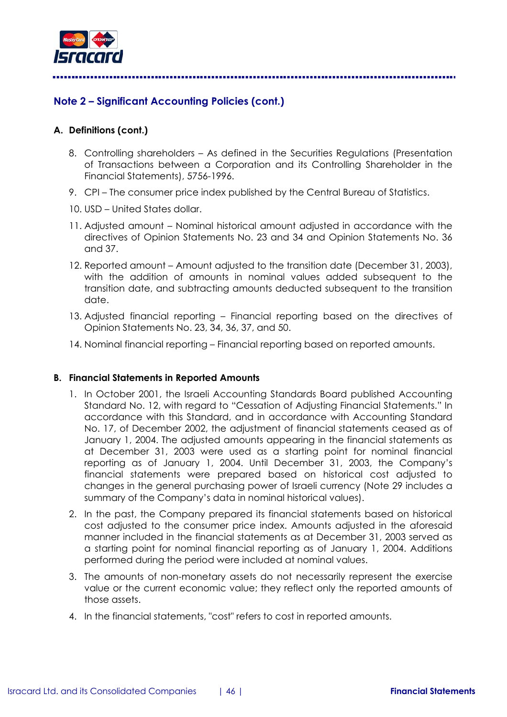

## **A. Definitions (cont.)**

- 8. Controlling shareholders As defined in the Securities Regulations (Presentation of Transactions between a Corporation and its Controlling Shareholder in the Financial Statements), 5756-1996.
- 9. CPI The consumer price index published by the Central Bureau of Statistics.
- 10. USD United States dollar.
- 11. Adjusted amount Nominal historical amount adjusted in accordance with the directives of Opinion Statements No. 23 and 34 and Opinion Statements No. 36 and 37.
- 12. Reported amount Amount adjusted to the transition date (December 31, 2003), with the addition of amounts in nominal values added subsequent to the transition date, and subtracting amounts deducted subsequent to the transition date.
- 13. Adjusted financial reporting Financial reporting based on the directives of Opinion Statements No. 23, 34, 36, 37, and 50.
- 14. Nominal financial reporting Financial reporting based on reported amounts.

#### **B. Financial Statements in Reported Amounts**

- 1. In October 2001, the Israeli Accounting Standards Board published Accounting Standard No. 12, with regard to "Cessation of Adjusting Financial Statements." In accordance with this Standard, and in accordance with Accounting Standard No. 17, of December 2002, the adjustment of financial statements ceased as of January 1, 2004. The adjusted amounts appearing in the financial statements as at December 31, 2003 were used as a starting point for nominal financial reporting as of January 1, 2004. Until December 31, 2003, the Company's financial statements were prepared based on historical cost adjusted to changes in the general purchasing power of Israeli currency (Note 29 includes a summary of the Company's data in nominal historical values).
- 2. In the past, the Company prepared its financial statements based on historical cost adjusted to the consumer price index. Amounts adjusted in the aforesaid manner included in the financial statements as at December 31, 2003 served as a starting point for nominal financial reporting as of January 1, 2004. Additions performed during the period were included at nominal values.
- 3. The amounts of non-monetary assets do not necessarily represent the exercise value or the current economic value; they reflect only the reported amounts of those assets.
- 4. In the financial statements, "cost" refers to cost in reported amounts.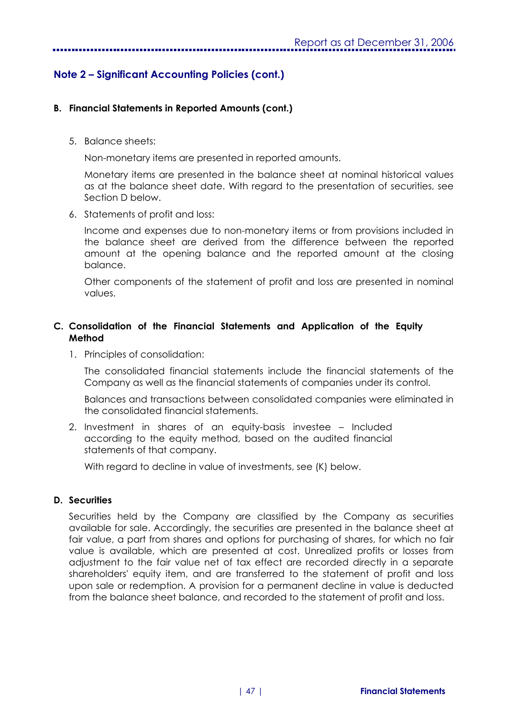## **B. Financial Statements in Reported Amounts (cont.)**

5. Balance sheets:

Non-monetary items are presented in reported amounts.

Monetary items are presented in the balance sheet at nominal historical values as at the balance sheet date. With regard to the presentation of securities, see Section D below.

6. Statements of profit and loss:

Income and expenses due to non-monetary items or from provisions included in the balance sheet are derived from the difference between the reported amount at the opening balance and the reported amount at the closing balance.

Other components of the statement of profit and loss are presented in nominal values.

## **C. Consolidation of the Financial Statements and Application of the Equity Method**

1. Principles of consolidation:

The consolidated financial statements include the financial statements of the Company as well as the financial statements of companies under its control.

Balances and transactions between consolidated companies were eliminated in the consolidated financial statements.

2. Investment in shares of an equity-basis investee – Included according to the equity method, based on the audited financial statements of that company.

With regard to decline in value of investments, see (K) below.

#### **D. Securities**

Securities held by the Company are classified by the Company as securities available for sale. Accordingly, the securities are presented in the balance sheet at fair value, a part from shares and options for purchasing of shares, for which no fair value is available, which are presented at cost. Unrealized profits or losses from adjustment to the fair value net of tax effect are recorded directly in a separate shareholders' equity item, and are transferred to the statement of profit and loss upon sale or redemption. A provision for a permanent decline in value is deducted from the balance sheet balance, and recorded to the statement of profit and loss.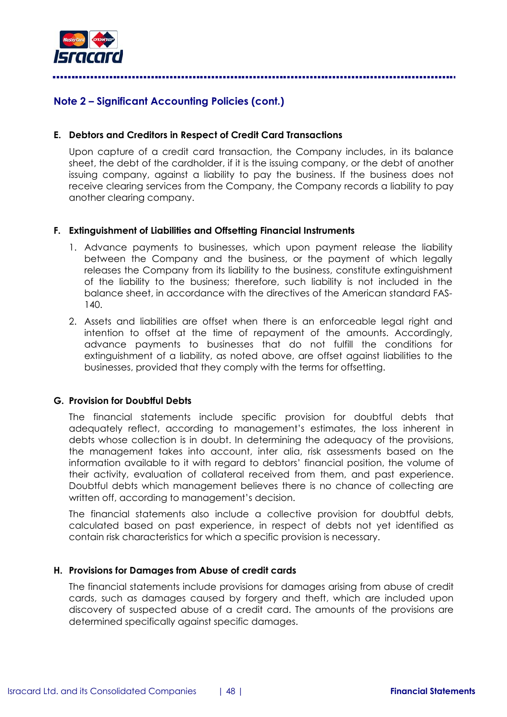

#### **E. Debtors and Creditors in Respect of Credit Card Transactions**

Upon capture of a credit card transaction, the Company includes, in its balance sheet, the debt of the cardholder, if it is the issuing company, or the debt of another issuing company, against a liability to pay the business. If the business does not receive clearing services from the Company, the Company records a liability to pay another clearing company.

#### **F. Extinguishment of Liabilities and Offsetting Financial Instruments**

- 1. Advance payments to businesses, which upon payment release the liability between the Company and the business, or the payment of which legally releases the Company from its liability to the business, constitute extinguishment of the liability to the business; therefore, such liability is not included in the balance sheet, in accordance with the directives of the American standard FAS-140.
- 2. Assets and liabilities are offset when there is an enforceable legal right and intention to offset at the time of repayment of the amounts. Accordingly, advance payments to businesses that do not fulfill the conditions for extinguishment of a liability, as noted above, are offset against liabilities to the businesses, provided that they comply with the terms for offsetting.

#### **G. Provision for Doubtful Debts**

The financial statements include specific provision for doubtful debts that adequately reflect, according to management's estimates, the loss inherent in debts whose collection is in doubt. In determining the adequacy of the provisions, the management takes into account, inter alia, risk assessments based on the information available to it with regard to debtors' financial position, the volume of their activity, evaluation of collateral received from them, and past experience. Doubtful debts which management believes there is no chance of collecting are written off, according to management's decision.

The financial statements also include a collective provision for doubtful debts, calculated based on past experience, in respect of debts not yet identified as contain risk characteristics for which a specific provision is necessary.

#### **H. Provisions for Damages from Abuse of credit cards**

The financial statements include provisions for damages arising from abuse of credit cards, such as damages caused by forgery and theft, which are included upon discovery of suspected abuse of a credit card. The amounts of the provisions are determined specifically against specific damages.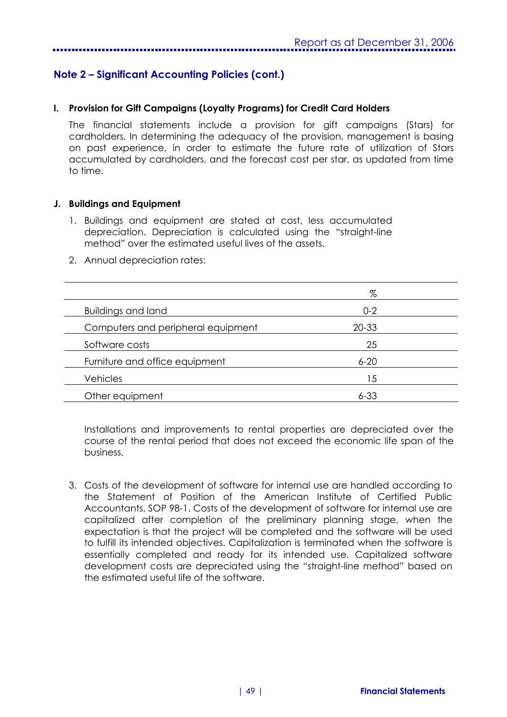#### **I. Provision for Gift Campaigns (Loyalty Programs) for Credit Card Holders**

The financial statements include a provision for gift campaigns (Stars) for cardholders. In determining the adequacy of the provision, management is basing on past experience, in order to estimate the future rate of utilization of Stars accumulated by cardholders, and the forecast cost per star, as updated from time to time.

#### **J. Buildings and Equipment**

- 1. Buildings and equipment are stated at cost, less accumulated depreciation. Depreciation is calculated using the "straight-line method" over the estimated useful lives of the assets.
- 2. Annual depreciation rates:

|                                    | %        |  |
|------------------------------------|----------|--|
| <b>Buildings and land</b>          | $0 - 2$  |  |
| Computers and peripheral equipment | 20-33    |  |
| Software costs                     | 25       |  |
| Furniture and office equipment     | $6 - 20$ |  |
| Vehicles                           | 15       |  |
| Other equipment                    | $6 - 33$ |  |

Installations and improvements to rental properties are depreciated over the course of the rental period that does not exceed the economic life span of the business.

3. Costs of the development of software for internal use are handled according to the Statement of Position of the American Institute of Certified Public Accountants, SOP 98-1. Costs of the development of software for internal use are capitalized after completion of the preliminary planning stage, when the expectation is that the project will be completed and the software will be used to fulfill its intended objectives. Capitalization is terminated when the software is essentially completed and ready for its intended use. Capitalized software development costs are depreciated using the "straight-line method" based on the estimated useful life of the software.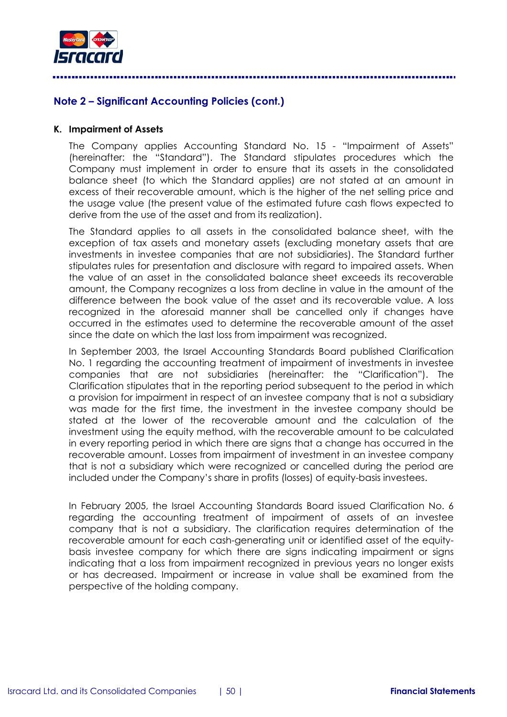

#### **K. Impairment of Assets**

The Company applies Accounting Standard No. 15 - "Impairment of Assets" (hereinafter: the "Standard"). The Standard stipulates procedures which the Company must implement in order to ensure that its assets in the consolidated balance sheet (to which the Standard applies) are not stated at an amount in excess of their recoverable amount, which is the higher of the net selling price and the usage value (the present value of the estimated future cash flows expected to derive from the use of the asset and from its realization).

The Standard applies to all assets in the consolidated balance sheet, with the exception of tax assets and monetary assets (excluding monetary assets that are investments in investee companies that are not subsidiaries). The Standard further stipulates rules for presentation and disclosure with regard to impaired assets. When the value of an asset in the consolidated balance sheet exceeds its recoverable amount, the Company recognizes a loss from decline in value in the amount of the difference between the book value of the asset and its recoverable value. A loss recognized in the aforesaid manner shall be cancelled only if changes have occurred in the estimates used to determine the recoverable amount of the asset since the date on which the last loss from impairment was recognized.

In September 2003, the Israel Accounting Standards Board published Clarification No. 1 regarding the accounting treatment of impairment of investments in investee companies that are not subsidiaries (hereinafter: the "Clarification"). The Clarification stipulates that in the reporting period subsequent to the period in which a provision for impairment in respect of an investee company that is not a subsidiary was made for the first time, the investment in the investee company should be stated at the lower of the recoverable amount and the calculation of the investment using the equity method, with the recoverable amount to be calculated in every reporting period in which there are signs that a change has occurred in the recoverable amount. Losses from impairment of investment in an investee company that is not a subsidiary which were recognized or cancelled during the period are included under the Company's share in profits (losses) of equity-basis investees.

In February 2005, the Israel Accounting Standards Board issued Clarification No. 6 regarding the accounting treatment of impairment of assets of an investee company that is not a subsidiary. The clarification requires determination of the recoverable amount for each cash-generating unit or identified asset of the equitybasis investee company for which there are signs indicating impairment or signs indicating that a loss from impairment recognized in previous years no longer exists or has decreased. Impairment or increase in value shall be examined from the perspective of the holding company.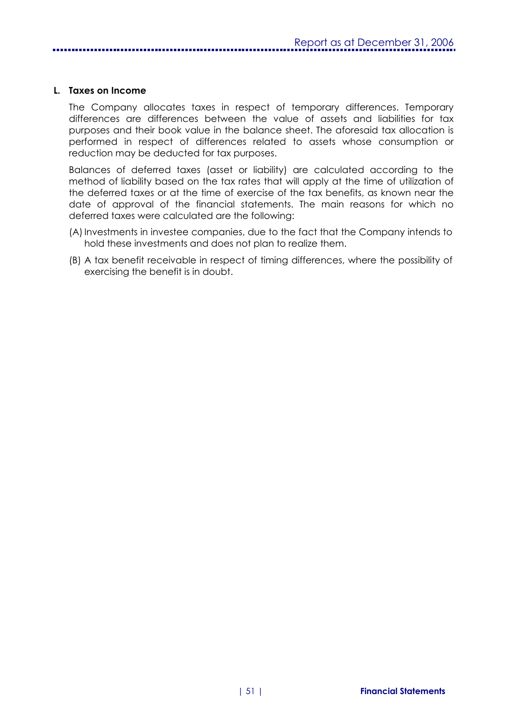#### **L. Taxes on Income**

The Company allocates taxes in respect of temporary differences. Temporary differences are differences between the value of assets and liabilities for tax purposes and their book value in the balance sheet. The aforesaid tax allocation is performed in respect of differences related to assets whose consumption or reduction may be deducted for tax purposes.

Balances of deferred taxes (asset or liability) are calculated according to the method of liability based on the tax rates that will apply at the time of utilization of the deferred taxes or at the time of exercise of the tax benefits, as known near the date of approval of the financial statements. The main reasons for which no deferred taxes were calculated are the following:

- (A)Investments in investee companies, due to the fact that the Company intends to hold these investments and does not plan to realize them.
- (B) A tax benefit receivable in respect of timing differences, where the possibility of exercising the benefit is in doubt.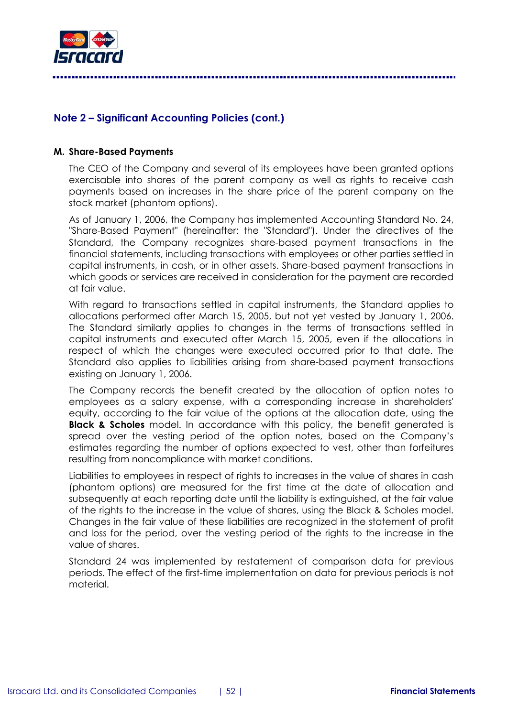

#### **M. Share-Based Payments**

The CEO of the Company and several of its employees have been granted options exercisable into shares of the parent company as well as rights to receive cash payments based on increases in the share price of the parent company on the stock market (phantom options).

As of January 1, 2006, the Company has implemented Accounting Standard No. 24, "Share-Based Payment" (hereinafter: the "Standard"). Under the directives of the Standard, the Company recognizes share-based payment transactions in the financial statements, including transactions with employees or other parties settled in capital instruments, in cash, or in other assets. Share-based payment transactions in which goods or services are received in consideration for the payment are recorded at fair value.

With regard to transactions settled in capital instruments, the Standard applies to allocations performed after March 15, 2005, but not yet vested by January 1, 2006. The Standard similarly applies to changes in the terms of transactions settled in capital instruments and executed after March 15, 2005, even if the allocations in respect of which the changes were executed occurred prior to that date. The Standard also applies to liabilities arising from share-based payment transactions existing on January 1, 2006.

The Company records the benefit created by the allocation of option notes to employees as a salary expense, with a corresponding increase in shareholders' equity, according to the fair value of the options at the allocation date, using the **Black & Scholes** model. In accordance with this policy, the benefit generated is spread over the vesting period of the option notes, based on the Company's estimates regarding the number of options expected to vest, other than forfeitures resulting from noncompliance with market conditions.

Liabilities to employees in respect of rights to increases in the value of shares in cash (phantom options) are measured for the first time at the date of allocation and subsequently at each reporting date until the liability is extinguished, at the fair value of the rights to the increase in the value of shares, using the Black & Scholes model. Changes in the fair value of these liabilities are recognized in the statement of profit and loss for the period, over the vesting period of the rights to the increase in the value of shares.

Standard 24 was implemented by restatement of comparison data for previous periods. The effect of the first-time implementation on data for previous periods is not material.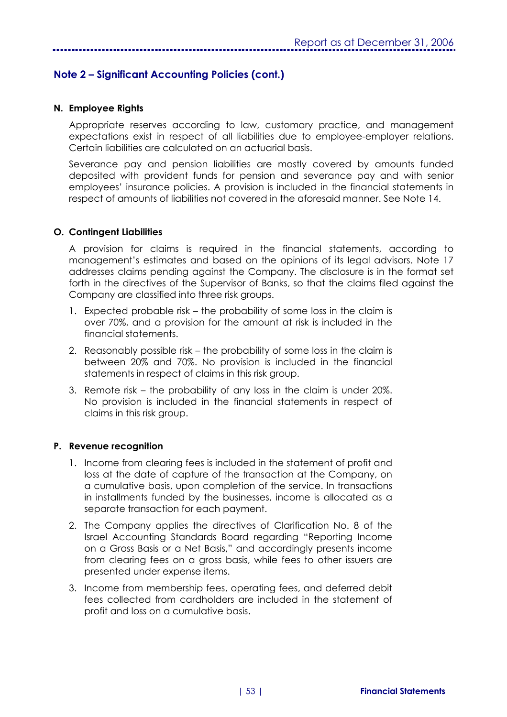#### **N. Employee Rights**

Appropriate reserves according to law, customary practice, and management expectations exist in respect of all liabilities due to employee-employer relations. Certain liabilities are calculated on an actuarial basis.

Severance pay and pension liabilities are mostly covered by amounts funded deposited with provident funds for pension and severance pay and with senior employees' insurance policies. A provision is included in the financial statements in respect of amounts of liabilities not covered in the aforesaid manner. See Note 14.

#### **O. Contingent Liabilities**

A provision for claims is required in the financial statements, according to management's estimates and based on the opinions of its legal advisors. Note 17 addresses claims pending against the Company. The disclosure is in the format set forth in the directives of the Supervisor of Banks, so that the claims filed against the Company are classified into three risk groups.

- 1. Expected probable risk the probability of some loss in the claim is over 70%, and a provision for the amount at risk is included in the financial statements.
- 2. Reasonably possible risk the probability of some loss in the claim is between 20% and 70%. No provision is included in the financial statements in respect of claims in this risk group.
- 3. Remote risk the probability of any loss in the claim is under 20%. No provision is included in the financial statements in respect of claims in this risk group.

#### **P. Revenue recognition**

- 1. Income from clearing fees is included in the statement of profit and loss at the date of capture of the transaction at the Company, on a cumulative basis, upon completion of the service. In transactions in installments funded by the businesses, income is allocated as a separate transaction for each payment.
- 2. The Company applies the directives of Clarification No. 8 of the Israel Accounting Standards Board regarding "Reporting Income on a Gross Basis or a Net Basis," and accordingly presents income from clearing fees on a gross basis, while fees to other issuers are presented under expense items.
- 3. Income from membership fees, operating fees, and deferred debit fees collected from cardholders are included in the statement of profit and loss on a cumulative basis.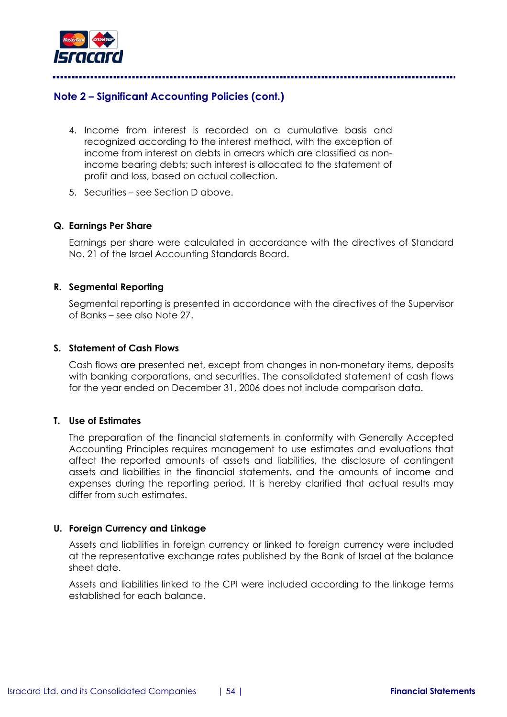

- 4. Income from interest is recorded on a cumulative basis and recognized according to the interest method, with the exception of income from interest on debts in arrears which are classified as nonincome bearing debts; such interest is allocated to the statement of profit and loss, based on actual collection.
- 5. Securities see Section D above.

#### **Q. Earnings Per Share**

Earnings per share were calculated in accordance with the directives of Standard No. 21 of the Israel Accounting Standards Board.

#### **R. Segmental Reporting**

Segmental reporting is presented in accordance with the directives of the Supervisor of Banks – see also Note 27.

#### **S. Statement of Cash Flows**

Cash flows are presented net, except from changes in non-monetary items, deposits with banking corporations, and securities. The consolidated statement of cash flows for the year ended on December 31, 2006 does not include comparison data.

#### **T. Use of Estimates**

The preparation of the financial statements in conformity with Generally Accepted Accounting Principles requires management to use estimates and evaluations that affect the reported amounts of assets and liabilities, the disclosure of contingent assets and liabilities in the financial statements, and the amounts of income and expenses during the reporting period. It is hereby clarified that actual results may differ from such estimates.

#### **U. Foreign Currency and Linkage**

Assets and liabilities in foreign currency or linked to foreign currency were included at the representative exchange rates published by the Bank of Israel at the balance sheet date.

Assets and liabilities linked to the CPI were included according to the linkage terms established for each balance.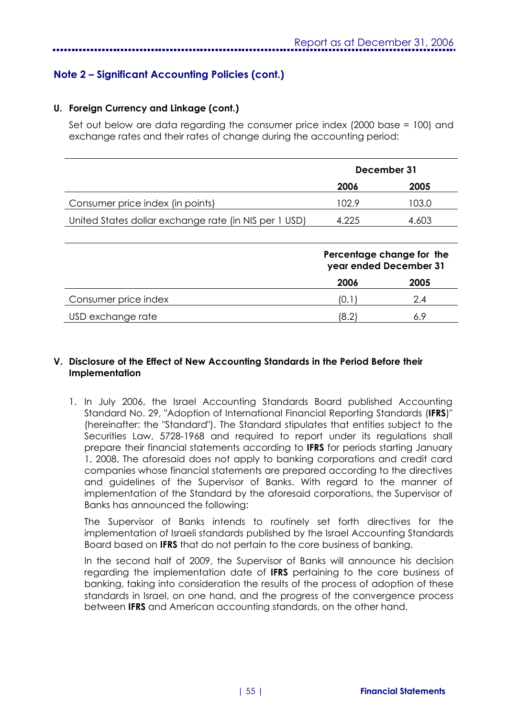## **U. Foreign Currency and Linkage (cont.)**

Set out below are data regarding the consumer price index (2000 base = 100) and exchange rates and their rates of change during the accounting period:

|                                                       | December 31 |       |
|-------------------------------------------------------|-------------|-------|
|                                                       | 2006        | 2005  |
| Consumer price index (in points)                      | 102.9       | 103.0 |
| United States dollar exchange rate (in NIS per 1 USD) | 4.225       | 4.603 |

|                      |       | Percentage change for the<br>year ended December 31 |  |  |
|----------------------|-------|-----------------------------------------------------|--|--|
|                      | 2006  | 2005                                                |  |  |
| Consumer price index | 10. I | 2.4                                                 |  |  |
| USD exchange rate    | 18.2  | 6.9                                                 |  |  |

#### **V. Disclosure of the Effect of New Accounting Standards in the Period Before their Implementation**

1. In July 2006, the Israel Accounting Standards Board published Accounting Standard No. 29, "Adoption of International Financial Reporting Standards (**IFRS**)" (hereinafter: the "Standard"). The Standard stipulates that entities subject to the Securities Law, 5728-1968 and required to report under its regulations shall prepare their financial statements according to **IFRS** for periods starting January 1, 2008. The aforesaid does not apply to banking corporations and credit card companies whose financial statements are prepared according to the directives and guidelines of the Supervisor of Banks. With regard to the manner of implementation of the Standard by the aforesaid corporations, the Supervisor of Banks has announced the following:

The Supervisor of Banks intends to routinely set forth directives for the implementation of Israeli standards published by the Israel Accounting Standards Board based on **IFRS** that do not pertain to the core business of banking.

In the second half of 2009, the Supervisor of Banks will announce his decision regarding the implementation date of **IFRS** pertaining to the core business of banking, taking into consideration the results of the process of adoption of these standards in Israel, on one hand, and the progress of the convergence process between **IFRS** and American accounting standards, on the other hand.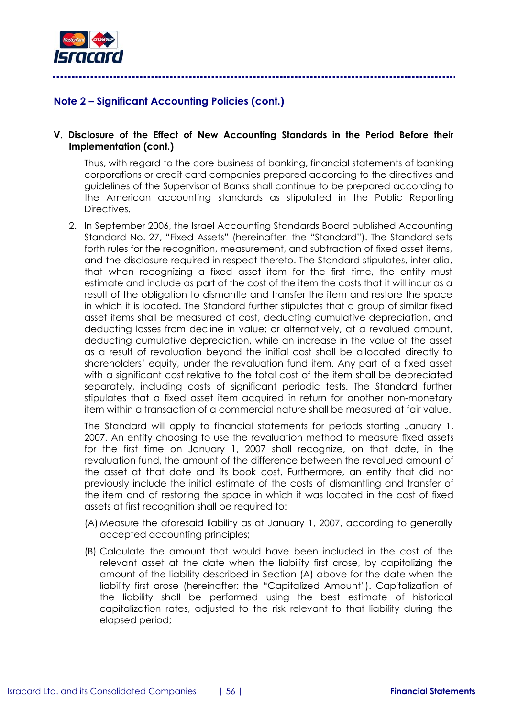

## **V. Disclosure of the Effect of New Accounting Standards in the Period Before their Implementation (cont.)**

Thus, with regard to the core business of banking, financial statements of banking corporations or credit card companies prepared according to the directives and guidelines of the Supervisor of Banks shall continue to be prepared according to the American accounting standards as stipulated in the Public Reporting Directives.

2. In September 2006, the Israel Accounting Standards Board published Accounting Standard No. 27, "Fixed Assets" (hereinafter: the "Standard"). The Standard sets forth rules for the recognition, measurement, and subtraction of fixed asset items, and the disclosure required in respect thereto. The Standard stipulates, inter alia, that when recognizing a fixed asset item for the first time, the entity must estimate and include as part of the cost of the item the costs that it will incur as a result of the obligation to dismantle and transfer the item and restore the space in which it is located. The Standard further stipulates that a group of similar fixed asset items shall be measured at cost, deducting cumulative depreciation, and deducting losses from decline in value; or alternatively, at a revalued amount, deducting cumulative depreciation, while an increase in the value of the asset as a result of revaluation beyond the initial cost shall be allocated directly to shareholders' equity, under the revaluation fund item. Any part of a fixed asset with a significant cost relative to the total cost of the item shall be depreciated separately, including costs of significant periodic tests. The Standard further stipulates that a fixed asset item acquired in return for another non-monetary item within a transaction of a commercial nature shall be measured at fair value.

The Standard will apply to financial statements for periods starting January 1, 2007. An entity choosing to use the revaluation method to measure fixed assets for the first time on January 1, 2007 shall recognize, on that date, in the revaluation fund, the amount of the difference between the revalued amount of the asset at that date and its book cost. Furthermore, an entity that did not previously include the initial estimate of the costs of dismantling and transfer of the item and of restoring the space in which it was located in the cost of fixed assets at first recognition shall be required to:

- (A) Measure the aforesaid liability as at January 1, 2007, according to generally accepted accounting principles;
- (B) Calculate the amount that would have been included in the cost of the relevant asset at the date when the liability first arose, by capitalizing the amount of the liability described in Section (A) above for the date when the liability first arose (hereinafter: the "Capitalized Amount"). Capitalization of the liability shall be performed using the best estimate of historical capitalization rates, adjusted to the risk relevant to that liability during the elapsed period;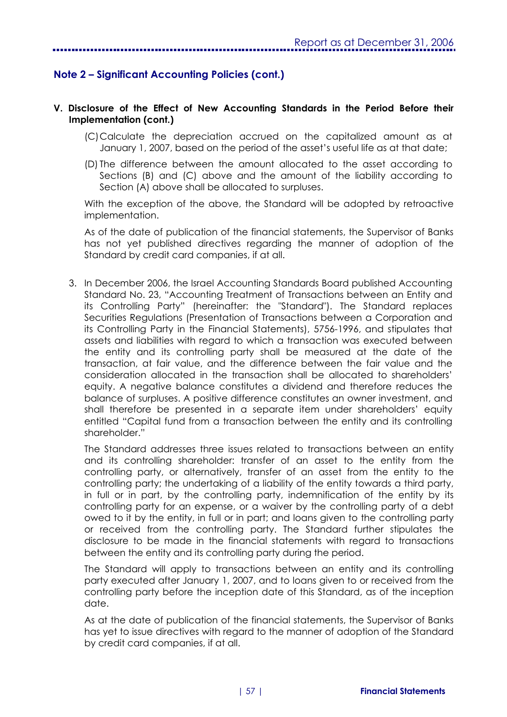#### **V. Disclosure of the Effect of New Accounting Standards in the Period Before their Implementation (cont.)**

- (C)Calculate the depreciation accrued on the capitalized amount as at January 1, 2007, based on the period of the asset's useful life as at that date;
- (D) The difference between the amount allocated to the asset according to Sections (B) and (C) above and the amount of the liability according to Section (A) above shall be allocated to surpluses.

With the exception of the above, the Standard will be adopted by retroactive implementation.

As of the date of publication of the financial statements, the Supervisor of Banks has not yet published directives regarding the manner of adoption of the Standard by credit card companies, if at all.

3. In December 2006, the Israel Accounting Standards Board published Accounting Standard No. 23, "Accounting Treatment of Transactions between an Entity and its Controlling Party" (hereinafter: the "Standard"). The Standard replaces Securities Regulations (Presentation of Transactions between a Corporation and its Controlling Party in the Financial Statements), 5756-1996, and stipulates that assets and liabilities with regard to which a transaction was executed between the entity and its controlling party shall be measured at the date of the transaction, at fair value, and the difference between the fair value and the consideration allocated in the transaction shall be allocated to shareholders' equity. A negative balance constitutes a dividend and therefore reduces the balance of surpluses. A positive difference constitutes an owner investment, and shall therefore be presented in a separate item under shareholders' equity entitled "Capital fund from a transaction between the entity and its controlling shareholder."

The Standard addresses three issues related to transactions between an entity and its controlling shareholder: transfer of an asset to the entity from the controlling party, or alternatively, transfer of an asset from the entity to the controlling party; the undertaking of a liability of the entity towards a third party, in full or in part, by the controlling party, indemnification of the entity by its controlling party for an expense, or a waiver by the controlling party of a debt owed to it by the entity, in full or in part; and loans given to the controlling party or received from the controlling party. The Standard further stipulates the disclosure to be made in the financial statements with regard to transactions between the entity and its controlling party during the period.

The Standard will apply to transactions between an entity and its controlling party executed after January 1, 2007, and to loans given to or received from the controlling party before the inception date of this Standard, as of the inception date.

As at the date of publication of the financial statements, the Supervisor of Banks has yet to issue directives with regard to the manner of adoption of the Standard by credit card companies, if at all.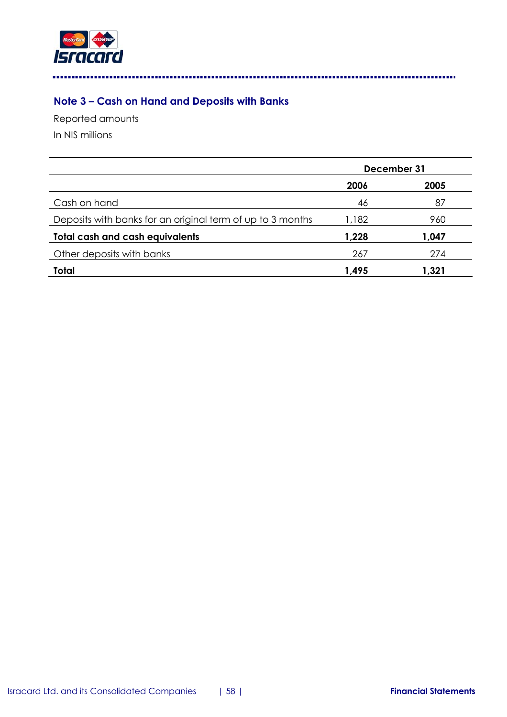

# **Note 3 – Cash on Hand and Deposits with Banks**

Reported amounts In NIS millions

|                                                            | December 31 |       |
|------------------------------------------------------------|-------------|-------|
|                                                            | 2006        | 2005  |
| Cash on hand                                               | 46          | 87    |
| Deposits with banks for an original term of up to 3 months | 1,182       | 960   |
| <b>Total cash and cash equivalents</b>                     | 1,228       | 1,047 |
| Other deposits with banks                                  | 267         | 274   |
| Total                                                      | 1,495       | 1,321 |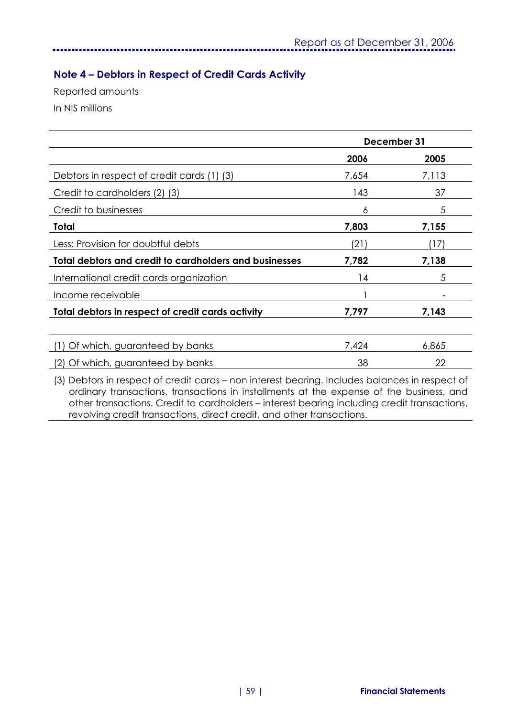# **Note 4 – Debtors in Respect of Credit Cards Activity**

Reported amounts In NIS millions

|                                                                                                | December 31 |       |
|------------------------------------------------------------------------------------------------|-------------|-------|
|                                                                                                | 2006        | 2005  |
| Debtors in respect of credit cards (1) (3)                                                     | 7,654       | 7,113 |
| Credit to cardholders (2) (3)                                                                  | 143         | 37    |
| Credit to businesses                                                                           | 6           | 5     |
| Total                                                                                          | 7,803       | 7,155 |
| Less: Provision for doubtful debts                                                             | (21)        | (17)  |
| Total debtors and credit to cardholders and businesses                                         | 7,782       | 7,138 |
| International credit cards organization                                                        | 14          | 5     |
| Income receivable                                                                              |             |       |
| Total debtors in respect of credit cards activity                                              | 7,797       | 7,143 |
| Of which, guaranteed by banks                                                                  | 7,424       | 6,865 |
| (2) Of which, guaranteed by banks                                                              | 38          | 22    |
| (3) Debtors in respect of credit cards – non interest bearing. Includes balances in respect of |             |       |

(3) Debtors in respect of credit cards – non interest bearing. Includes balances in respect of ordinary transactions, transactions in installments at the expense of the business, and other transactions. Credit to cardholders – interest bearing including credit transactions, revolving credit transactions, direct credit, and other transactions.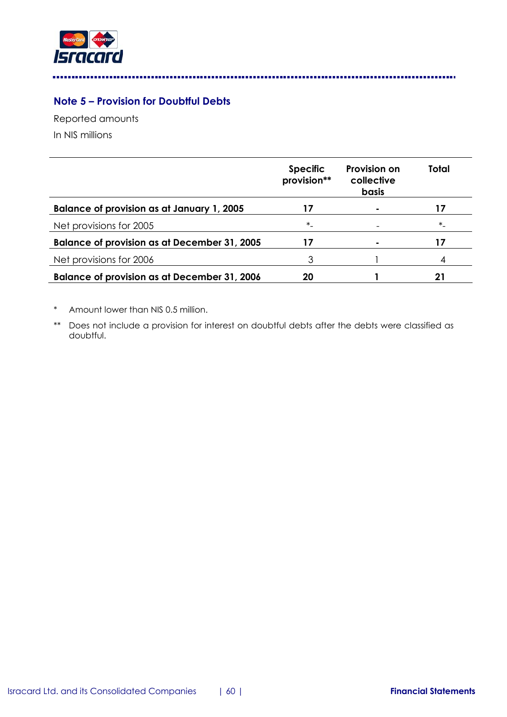

## **Note 5 – Provision for Doubtful Debts**

Reported amounts In NIS millions

|                                                     | <b>Specific</b><br>provision** | <b>Provision on</b><br>collective<br>basis | Total  |
|-----------------------------------------------------|--------------------------------|--------------------------------------------|--------|
| Balance of provision as at January 1, 2005          |                                |                                            |        |
| Net provisions for 2005                             | $*_{-}$                        |                                            | $\ast$ |
| <b>Balance of provision as at December 31, 2005</b> |                                |                                            |        |
| Net provisions for 2006                             |                                |                                            |        |
| <b>Balance of provision as at December 31, 2006</b> | 20                             |                                            |        |

\* Amount lower than NIS 0.5 million.

\*\* Does not include a provision for interest on doubtful debts after the debts were classified as doubtful.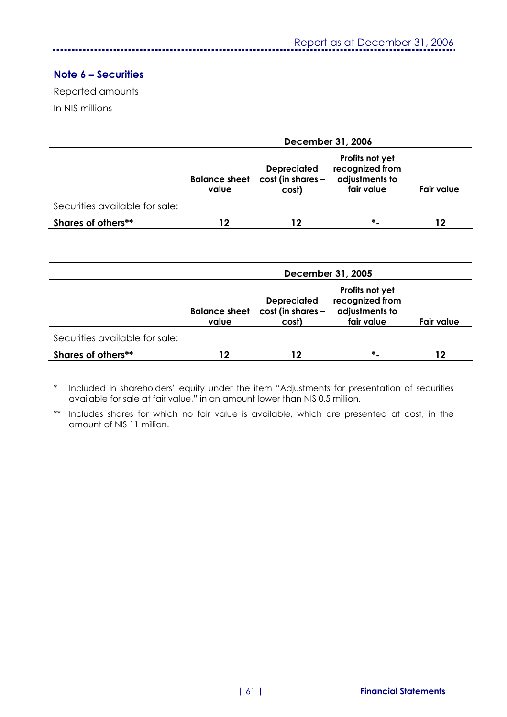## **Note 6 – Securities**

.....................

Reported amounts In NIS millions

|                                | December 31, 2006             |                                                  |                                                                    |            |
|--------------------------------|-------------------------------|--------------------------------------------------|--------------------------------------------------------------------|------------|
|                                | <b>Balance sheet</b><br>value | <b>Depreciated</b><br>cost (in shares -<br>cost) | Profits not yet<br>recognized from<br>adjustments to<br>fair value | Fair value |
| Securities available for sale: |                               |                                                  |                                                                    |            |
| <b>Shares of others**</b>      | 12                            | 12                                               | $\ast$ .                                                           | 12         |

..............................

|                                | December 31, 2005             |                                                  |                                                                    |            |  |
|--------------------------------|-------------------------------|--------------------------------------------------|--------------------------------------------------------------------|------------|--|
|                                | <b>Balance sheet</b><br>value | <b>Depreciated</b><br>cost (in shares -<br>cost) | Profits not yet<br>recognized from<br>adjustments to<br>fair value | Fair value |  |
| Securities available for sale: |                               |                                                  |                                                                    |            |  |
| Shares of others**             | 12                            | 12                                               | $\ast$ .                                                           | ני         |  |

- \* Included in shareholders' equity under the item "Adjustments for presentation of securities available for sale at fair value," in an amount lower than NIS 0.5 million.
- \*\* Includes shares for which no fair value is available, which are presented at cost, in the amount of NIS 11 million.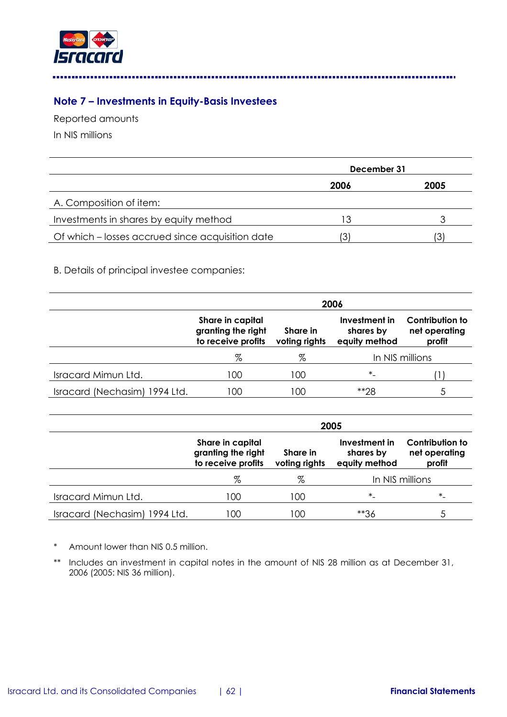

# **Note 7 – Investments in Equity-Basis Investees**

Reported amounts In NIS millions

|                                                  | December 31 |      |  |
|--------------------------------------------------|-------------|------|--|
|                                                  | 2006        | 2005 |  |
| A. Composition of item:                          |             |      |  |
| Investments in shares by equity method           | 13          |      |  |
| Of which – losses accrued since acquisition date | (3)         |      |  |

#### B. Details of principal investee companies:

|                               | 2006                                                                                                                                                                                   |     |                 |  |  |  |
|-------------------------------|----------------------------------------------------------------------------------------------------------------------------------------------------------------------------------------|-----|-----------------|--|--|--|
|                               | Contribution to<br>Share in capital<br>Investment in<br>granting the right<br>net operating<br>Share in<br>shares by<br>voting rights<br>to receive profits<br>equity method<br>profit |     |                 |  |  |  |
|                               | %<br>%                                                                                                                                                                                 |     | In NIS millions |  |  |  |
| Isracard Mimun Ltd.           | 100                                                                                                                                                                                    | 100 | $\ast$          |  |  |  |
| Isracard (Nechasim) 1994 Ltd. | 100                                                                                                                                                                                    | 100 | **28            |  |  |  |

|                               | 2005                                                                                                                                                                         |     |                 |        |  |  |
|-------------------------------|------------------------------------------------------------------------------------------------------------------------------------------------------------------------------|-----|-----------------|--------|--|--|
|                               | Share in capital<br>Contribution to<br>Investment in<br>granting the right<br>Share in<br>net operating<br>shares by<br>voting rights<br>to receive profits<br>equity method |     |                 |        |  |  |
|                               | %<br>%                                                                                                                                                                       |     | In NIS millions |        |  |  |
| Isracard Mimun Ltd.           | 100                                                                                                                                                                          | 100 | $\ast$          | $\ast$ |  |  |
| Isracard (Nechasim) 1994 Ltd. | 100                                                                                                                                                                          | 100 | $*36$           |        |  |  |

- \* Amount lower than NIS 0.5 million.
- \*\* Includes an investment in capital notes in the amount of NIS 28 million as at December 31, 2006 (2005: NIS 36 million).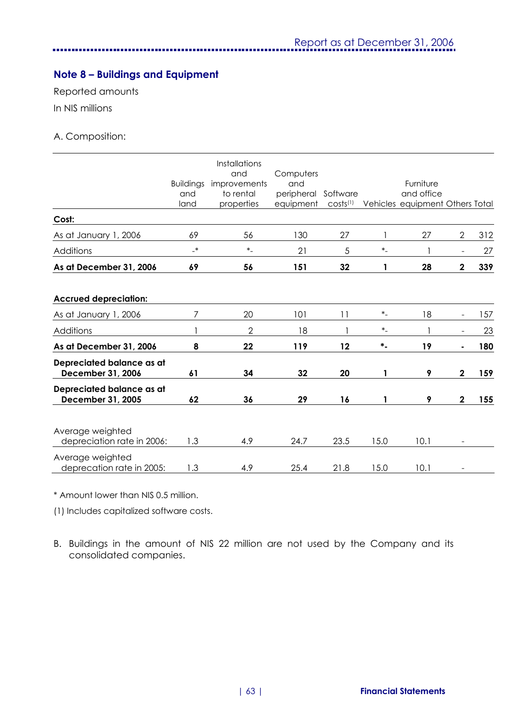# **Note 8 – Buildings and Equipment**

Reported amounts In NIS millions

...................

A. Composition:

|                                                | <b>Buildings</b><br>and<br>land | Installations<br>and<br>improvements<br>to rental<br>properties | Computers<br>and<br>peripheral<br>equipment | Software<br>$costs^{(1)}$ |          | Furniture<br>and office<br>Vehicles equipment Others Total |                |      |
|------------------------------------------------|---------------------------------|-----------------------------------------------------------------|---------------------------------------------|---------------------------|----------|------------------------------------------------------------|----------------|------|
| Cost:                                          |                                 |                                                                 |                                             |                           |          |                                                            |                |      |
| As at January 1, 2006                          | 69                              | 56                                                              | 130                                         | 27                        |          | 27                                                         | $\overline{2}$ | 312  |
| Additions                                      | $\mathbf{R}^*$                  | $*_{-}$                                                         | 21                                          | 5                         | $*_{-}$  |                                                            |                | $27$ |
| As at December 31, 2006                        | 69                              | 56                                                              | 151                                         | 32                        | 1        | 28                                                         | $\mathbf{2}$   | 339  |
| <b>Accrued depreciation:</b>                   |                                 |                                                                 |                                             |                           |          |                                                            |                |      |
| As at January 1, 2006                          | 7                               | 20                                                              | 101                                         | 11                        | $\ast$ _ | 18                                                         |                | 157  |
| Additions                                      |                                 | 2                                                               | 18                                          |                           | $*_{-}$  |                                                            |                | 23   |
| As at December 31, 2006                        | 8                               | 22                                                              | 119                                         | 12                        | $\ast$ . | 19                                                         |                | 180  |
| Depreciated balance as at<br>December 31, 2006 | 61                              | 34                                                              | 32                                          | 20                        | 1        | 9                                                          | $\mathbf 2$    | 159  |
| Depreciated balance as at<br>December 31, 2005 | 62                              | 36                                                              | 29                                          | 16                        | 1        | 9                                                          | $\overline{2}$ | 155  |
| Average weighted<br>depreciation rate in 2006: | 1.3                             | 4.9                                                             | 24.7                                        | 23.5                      | 15.0     | 10.1                                                       |                |      |
| Average weighted<br>deprecation rate in 2005:  | 1.3                             | 4.9                                                             | 25.4                                        | 21.8                      | 15.0     | 10.1                                                       |                |      |

\* Amount lower than NIS 0.5 million.

(1) Includes capitalized software costs.

B. Buildings in the amount of NIS 22 million are not used by the Company and its consolidated companies.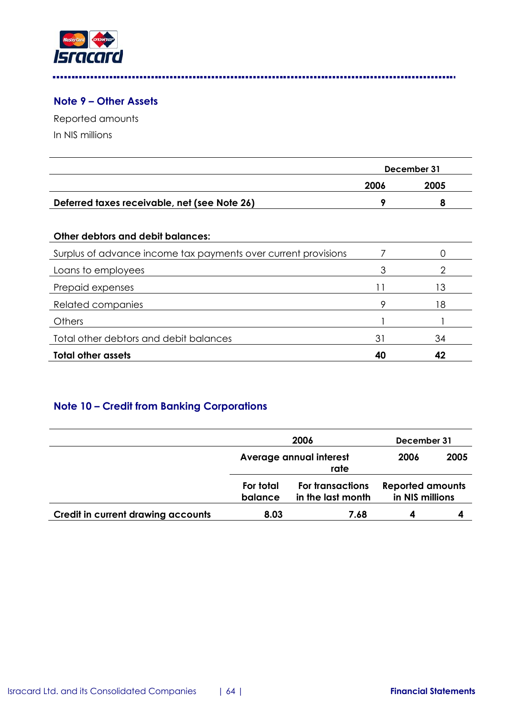

**Note 9 – Other Assets** 

Reported amounts In NIS millions

|                                              | December 31 |      |  |
|----------------------------------------------|-------------|------|--|
|                                              | 2006        | 2005 |  |
| Deferred taxes receivable, net (see Note 26) |             |      |  |

# **Other debtors and debit balances:**  Surplus of advance income tax payments over current provisions  $\qquad 7$  0 Loans to employees and the set of the set of the set of the set of the set of the set of the set of the set of the set of the set of the set of the set of the set of the set of the set of the set of the set of the set of t Prepaid expenses and the set of the set of the set of the set of the set of the set of the set of the set of the set of the set of the set of the set of the set of the set of the set of the set of the set of the set of the Related companies and the set of the set of the set of the set of the set of the set of the set of the set of the set of the set of the set of the set of the set of the set of the set of the set of the set of the set of th Others 1 1 Total other debtors and debit balances 31 34 34

**Total other assets 40 42** 

## **Note 10 – Credit from Banking Corporations**

|                                    | 2006                                                                                                    |      | December 31                                |      |
|------------------------------------|---------------------------------------------------------------------------------------------------------|------|--------------------------------------------|------|
|                                    | Average annual interest<br>rate<br>For transactions<br>For total<br>in the last month<br><b>balance</b> |      | 2006                                       | 2005 |
|                                    |                                                                                                         |      | <b>Reported amounts</b><br>in NIS millions |      |
| Credit in current drawing accounts | 8.03                                                                                                    | 7.68 | Δ                                          |      |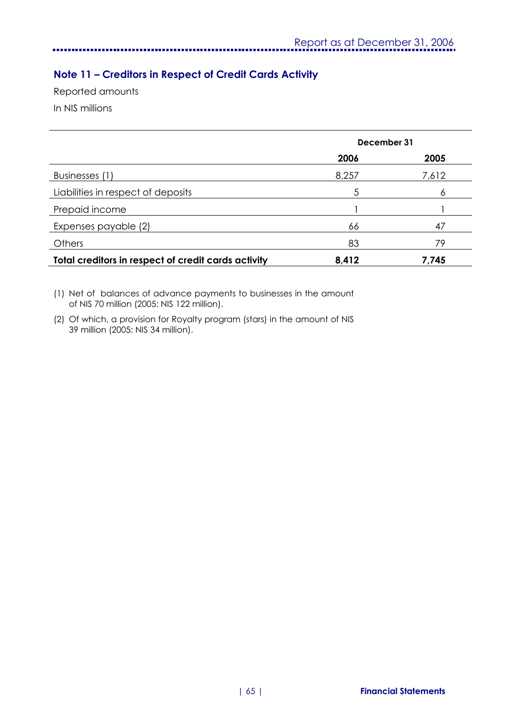# **Note 11 – Creditors in Respect of Credit Cards Activity**

Reported amounts In NIS millions

.....................

|                                                     | December 31 |       |  |
|-----------------------------------------------------|-------------|-------|--|
|                                                     | 2006        | 2005  |  |
| Businesses (1)                                      | 8,257       | 7,612 |  |
| Liabilities in respect of deposits                  | 5           | Ô     |  |
| Prepaid income                                      |             |       |  |
| Expenses payable (2)                                | 66          | 47    |  |
| Others                                              | 83          | 79    |  |
| Total creditors in respect of credit cards activity | 8,412       | 7,745 |  |

(1) Net of balances of advance payments to businesses in the amount of NIS 70 million (2005: NIS 122 million).

(2) Of which, a provision for Royalty program (stars) in the amount of NIS 39 million (2005: NIS 34 million).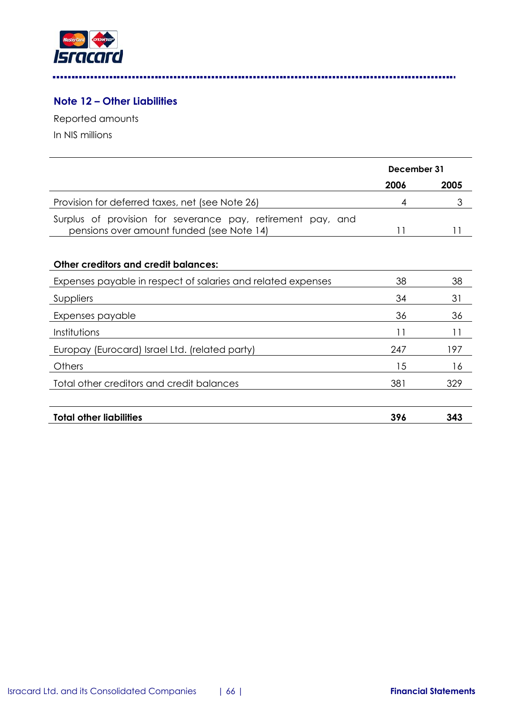

**Note 12 – Other Liabilities** 

Reported amounts In NIS millions

|                                                                                                          | December 31 |      |
|----------------------------------------------------------------------------------------------------------|-------------|------|
|                                                                                                          | 2006        | 2005 |
| Provision for deferred taxes, net (see Note 26)                                                          | 4           | 3    |
| Surplus of provision for severance pay, retirement pay, and<br>pensions over amount funded (see Note 14) | 11          | 11   |
| Other creditors and credit balances:                                                                     |             |      |
| Expenses payable in respect of salaries and related expenses                                             | 38          | 38   |
| Suppliers                                                                                                | 34          | 31   |
| Expenses payable                                                                                         | 36          | 36   |
| Institutions                                                                                             | 11          | 11   |
| Europay (Eurocard) Israel Ltd. (related party)                                                           | 247         | 197  |
| Others                                                                                                   | 15          | 16   |
| Total other creditors and credit balances                                                                | 381         | 329  |
| <b>Total other liabilities</b>                                                                           | 396         | 343  |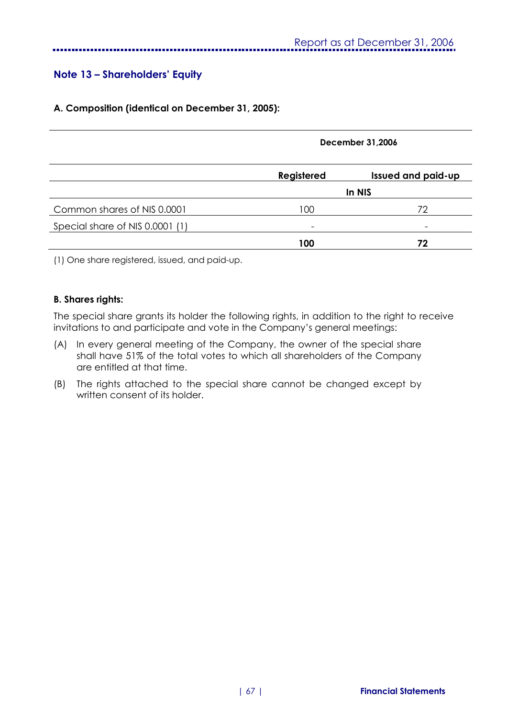# **Note 13 – Shareholders' Equity**

## **A. Composition (identical on December 31, 2005):**

|                                 | December 31,2006 |                           |  |  |
|---------------------------------|------------------|---------------------------|--|--|
|                                 | Registered       | <b>Issued and paid-up</b> |  |  |
|                                 | In NIS           |                           |  |  |
| Common shares of NIS 0.0001     | 100              | 72                        |  |  |
| Special share of NIS 0.0001 (1) |                  |                           |  |  |
|                                 | 100              | 72                        |  |  |

(1) One share registered, issued, and paid-up.

## **B. Shares rights:**

The special share grants its holder the following rights, in addition to the right to receive invitations to and participate and vote in the Company's general meetings:

- (A) In every general meeting of the Company, the owner of the special share shall have 51% of the total votes to which all shareholders of the Company are entitled at that time.
- (B) The rights attached to the special share cannot be changed except by written consent of its holder.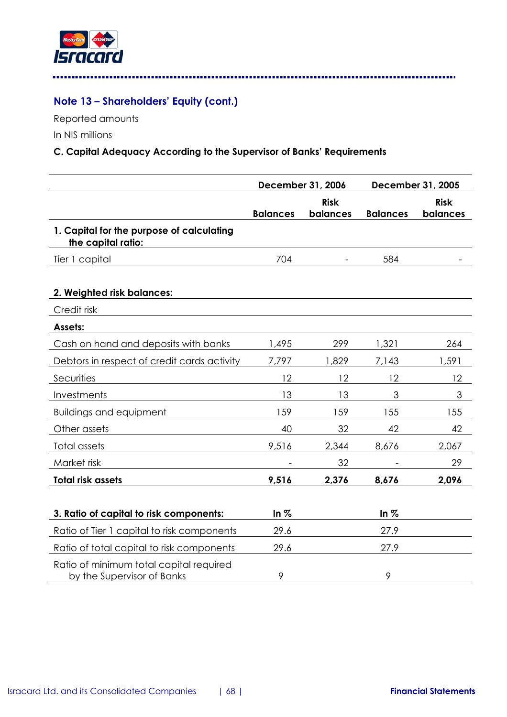

# **Note 13 – Shareholders' Equity (cont.)**

Reported amounts

In NIS millions

## **C. Capital Adequacy According to the Supervisor of Banks' Requirements**

|                                                                       | December 31, 2006 |                         | December 31, 2005 |                         |
|-----------------------------------------------------------------------|-------------------|-------------------------|-------------------|-------------------------|
|                                                                       | <b>Balances</b>   | <b>Risk</b><br>balances | <b>Balances</b>   | <b>Risk</b><br>balances |
| 1. Capital for the purpose of calculating<br>the capital ratio:       |                   |                         |                   |                         |
| Tier 1 capital                                                        | 704               |                         | 584               |                         |
|                                                                       |                   |                         |                   |                         |
| 2. Weighted risk balances:                                            |                   |                         |                   |                         |
| Credit risk                                                           |                   |                         |                   |                         |
| Assets:                                                               |                   |                         |                   |                         |
| Cash on hand and deposits with banks                                  | 1,495             | 299                     | 1,321             | 264                     |
| Debtors in respect of credit cards activity                           | 7,797             | 1,829                   | 7,143             | 1,591                   |
| Securities                                                            | 12                | 12                      | 12                | 12                      |
| Investments                                                           | 13                | 13                      | 3                 | 3                       |
| <b>Buildings and equipment</b>                                        | 159               | 159                     | 155               | 155                     |
| Other assets                                                          | 40                | 32                      | 42                | 42                      |
| <b>Total assets</b>                                                   | 9,516             | 2,344                   | 8,676             | 2,067                   |
| Market risk                                                           |                   | 32                      |                   | 29                      |
| <b>Total risk assets</b>                                              | 9,516             | 2,376                   | 8,676             | 2,096                   |
|                                                                       |                   |                         |                   |                         |
| 3. Ratio of capital to risk components:                               | In $%$            |                         | In $%$            |                         |
| Ratio of Tier 1 capital to risk components                            | 29.6              |                         | 27.9              |                         |
| Ratio of total capital to risk components                             | 29.6              |                         | 27.9              |                         |
| Ratio of minimum total capital required<br>by the Supervisor of Banks | 9                 |                         | 9                 |                         |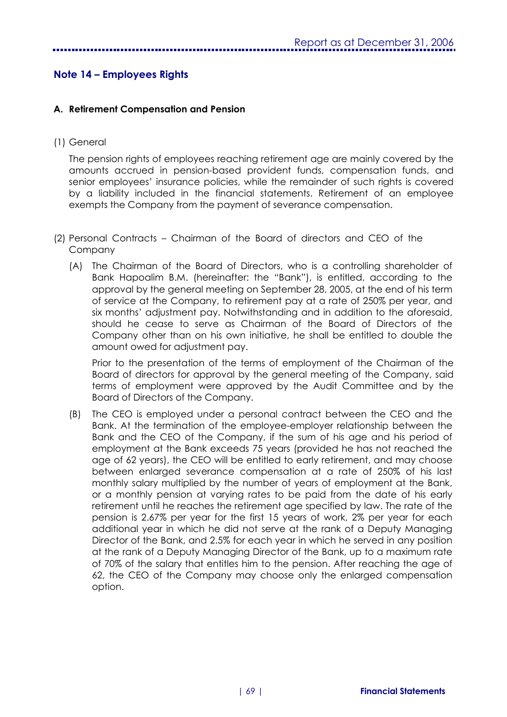## **Note 14 – Employees Rights**

#### **A. Retirement Compensation and Pension**

(1) General

The pension rights of employees reaching retirement age are mainly covered by the amounts accrued in pension-based provident funds, compensation funds, and senior employees' insurance policies, while the remainder of such rights is covered by a liability included in the financial statements. Retirement of an employee exempts the Company from the payment of severance compensation.

- (2) Personal Contracts Chairman of the Board of directors and CEO of the Company
	- (A) The Chairman of the Board of Directors, who is a controlling shareholder of Bank Hapoalim B.M. (hereinafter: the "Bank"), is entitled, according to the approval by the general meeting on September 28, 2005, at the end of his term of service at the Company, to retirement pay at a rate of 250% per year, and six months' adjustment pay. Notwithstanding and in addition to the aforesaid, should he cease to serve as Chairman of the Board of Directors of the Company other than on his own initiative, he shall be entitled to double the amount owed for adjustment pay.

Prior to the presentation of the terms of employment of the Chairman of the Board of directors for approval by the general meeting of the Company, said terms of employment were approved by the Audit Committee and by the Board of Directors of the Company.

(B) The CEO is employed under a personal contract between the CEO and the Bank. At the termination of the employee-employer relationship between the Bank and the CEO of the Company, if the sum of his age and his period of employment at the Bank exceeds 75 years (provided he has not reached the age of 62 years), the CEO will be entitled to early retirement, and may choose between enlarged severance compensation at a rate of 250% of his last monthly salary multiplied by the number of years of employment at the Bank, or a monthly pension at varying rates to be paid from the date of his early retirement until he reaches the retirement age specified by law. The rate of the pension is 2.67% per year for the first 15 years of work, 2% per year for each additional year in which he did not serve at the rank of a Deputy Managing Director of the Bank, and 2.5% for each year in which he served in any position at the rank of a Deputy Managing Director of the Bank, up to a maximum rate of 70% of the salary that entitles him to the pension. After reaching the age of 62, the CEO of the Company may choose only the enlarged compensation option.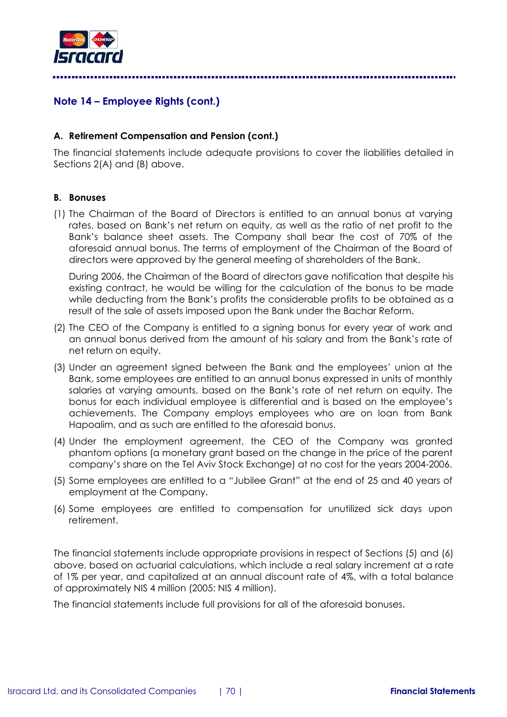

## **Note 14 – Employee Rights (cont.)**

## **A. Retirement Compensation and Pension (cont.)**

The financial statements include adequate provisions to cover the liabilities detailed in Sections 2(A) and (B) above.

#### **B. Bonuses**

(1) The Chairman of the Board of Directors is entitled to an annual bonus at varying rates, based on Bank's net return on equity, as well as the ratio of net profit to the Bank's balance sheet assets. The Company shall bear the cost of 70% of the aforesaid annual bonus. The terms of employment of the Chairman of the Board of directors were approved by the general meeting of shareholders of the Bank.

During 2006, the Chairman of the Board of directors gave notification that despite his existing contract, he would be willing for the calculation of the bonus to be made while deducting from the Bank's profits the considerable profits to be obtained as a result of the sale of assets imposed upon the Bank under the Bachar Reform.

- (2) The CEO of the Company is entitled to a signing bonus for every year of work and an annual bonus derived from the amount of his salary and from the Bank's rate of net return on equity.
- (3) Under an agreement signed between the Bank and the employees' union at the Bank, some employees are entitled to an annual bonus expressed in units of monthly salaries at varying amounts, based on the Bank's rate of net return on equity. The bonus for each individual employee is differential and is based on the employee's achievements. The Company employs employees who are on loan from Bank Hapoalim, and as such are entitled to the aforesaid bonus.
- (4) Under the employment agreement, the CEO of the Company was granted phantom options (a monetary grant based on the change in the price of the parent company's share on the Tel Aviv Stock Exchange) at no cost for the years 2004-2006.
- (5) Some employees are entitled to a "Jubilee Grant" at the end of 25 and 40 years of employment at the Company.
- (6) Some employees are entitled to compensation for unutilized sick days upon retirement.

The financial statements include appropriate provisions in respect of Sections (5) and (6) above, based on actuarial calculations, which include a real salary increment at a rate of 1% per year, and capitalized at an annual discount rate of 4%, with a total balance of approximately NIS 4 million (2005: NIS 4 million).

The financial statements include full provisions for all of the aforesaid bonuses.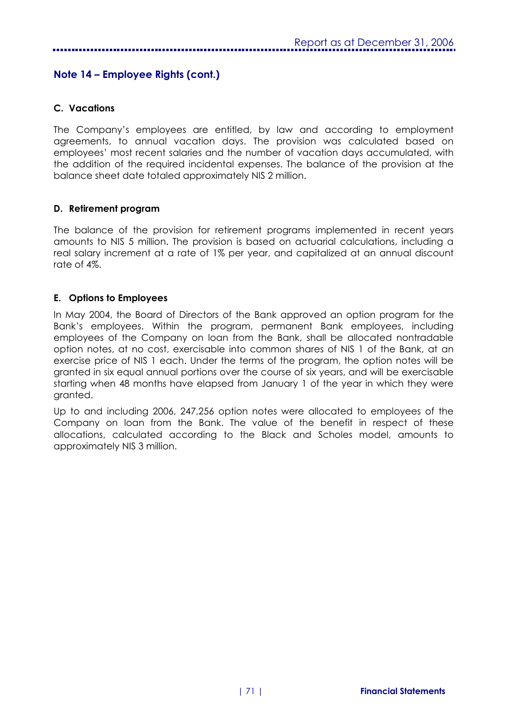## **Note 14 – Employee Rights (cont.)**

## **C. Vacations**

The Company's employees are entitled, by law and according to employment agreements, to annual vacation days. The provision was calculated based on employees' most recent salaries and the number of vacation days accumulated, with the addition of the required incidental expenses. The balance of the provision at the balance sheet date totaled approximately NIS 2 million.

#### **D. Retirement program**

The balance of the provision for retirement programs implemented in recent years amounts to NIS 5 million. The provision is based on actuarial calculations, including a real salary increment at a rate of 1% per year, and capitalized at an annual discount rate of 4%.

#### **E. Options to Employees**

In May 2004, the Board of Directors of the Bank approved an option program for the Bank's employees. Within the program, permanent Bank employees, including employees of the Company on loan from the Bank, shall be allocated nontradable option notes, at no cost, exercisable into common shares of NIS 1 of the Bank, at an exercise price of NIS 1 each. Under the terms of the program, the option notes will be granted in six equal annual portions over the course of six years, and will be exercisable starting when 48 months have elapsed from January 1 of the year in which they were granted.

Up to and including 2006, 247,256 option notes were allocated to employees of the Company on loan from the Bank. The value of the benefit in respect of these allocations, calculated according to the Black and Scholes model, amounts to approximately NIS 3 million.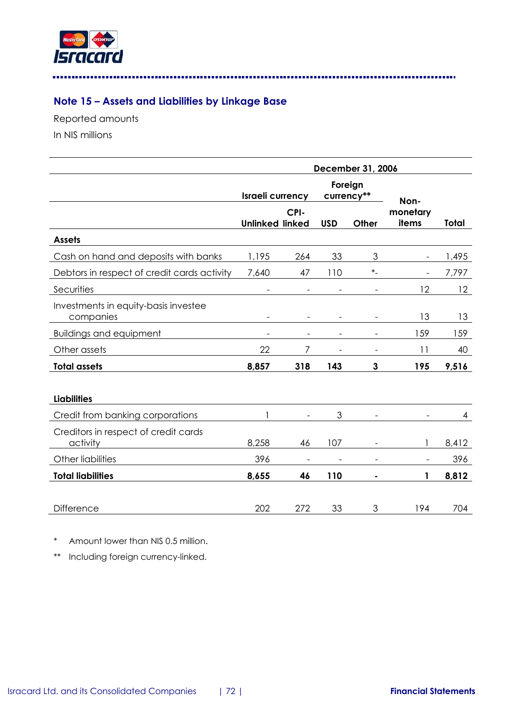

# **Note 15 – Assets and Liabilities by Linkage Base**

Reported amounts In NIS millions

**December 31, 2006 Israeli currency Foreign currency\*\* Unlinked linked USD Other CPI-Nonmonetary items Total Assets**  Cash on hand and deposits with banks 1,195 264 33 3 - 1,495 Debtors in respect of credit cards activity 7,640 47 110  $*$ - - 7,797 Securities **5** - - - - - - 12 12 Investments in equity-basis investee companies and the set of the set of the set of the set of the set of the set of the set of the set of the set of the set of the set of the set of the set of the set of the set of the set of the set of the set of the set of Buildings and equipment The Communication of the Communication of the Communication of the 159 159 Other assets 22 7 - - 11 40 **Total assets 8,857 318 143 3 195 9,516 Liabilities**  Credit from banking corporations 1 - 3 - - 4 Creditors in respect of credit cards activity 8,258 46 107 - 1 8,412 Other liabilities 396 - - - - - 396 **Total liabilities 8,655 46 110 - 1 8,812**  Difference 202 272 33 3 194 704

Amount lower than NIS 0.5 million.

\*\* Including foreign currency-linked.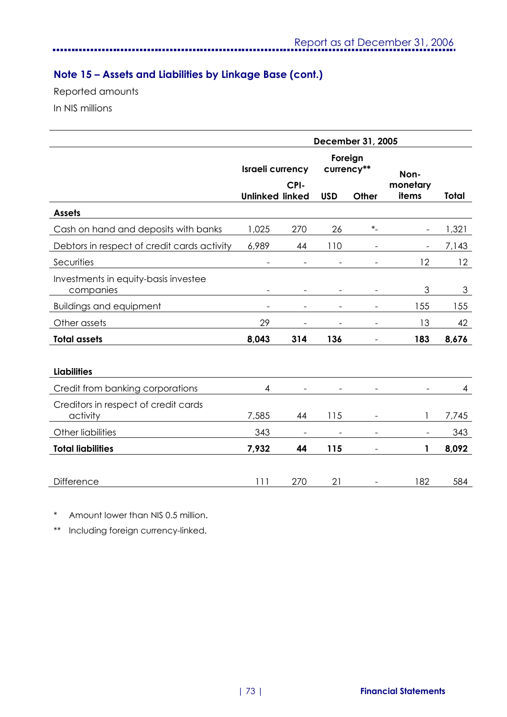# **Note 15 – Assets and Liabilities by Linkage Base (cont.)**

Reported amounts In NIS millions

.....................

|                                                   | December 31, 2005                         |                          |                          |         |                   |              |  |
|---------------------------------------------------|-------------------------------------------|--------------------------|--------------------------|---------|-------------------|--------------|--|
|                                                   | Foreign<br>currency**<br>Israeli currency |                          |                          |         | Non-              |              |  |
|                                                   | <b>Unlinked linked</b>                    | CPI-                     | <b>USD</b>               | Other   | monetary<br>items | <b>Total</b> |  |
| <b>Assets</b>                                     |                                           |                          |                          |         |                   |              |  |
| Cash on hand and deposits with banks              | 1,025                                     | 270                      | 26                       | $*_{-}$ |                   | 1,321        |  |
| Debtors in respect of credit cards activity       | 6,989                                     | 44                       | 110                      |         |                   | 7,143        |  |
| Securities                                        |                                           | $\overline{\phantom{0}}$ | $\overline{\phantom{a}}$ |         | 12                | 12           |  |
| Investments in equity-basis investee<br>companies |                                           |                          |                          |         | 3                 | 3            |  |
| <b>Buildings and equipment</b>                    |                                           |                          |                          |         | 155               | 155          |  |
| Other assets                                      | 29                                        |                          |                          |         | 13                | 42           |  |
| <b>Total assets</b>                               | 8,043                                     | 314                      | 136                      |         | 183               | 8,676        |  |
| <b>Liabilities</b>                                |                                           |                          |                          |         |                   |              |  |
| Credit from banking corporations                  | $\overline{4}$                            |                          |                          |         |                   | 4            |  |
| Creditors in respect of credit cards<br>activity  | 7,585                                     | 44                       | 115                      |         |                   | 7,745        |  |
| Other liabilities                                 | 343                                       |                          |                          |         |                   | 343          |  |
| <b>Total liabilities</b>                          | 7,932                                     | 44                       | 115                      |         | 1                 | 8,092        |  |
|                                                   |                                           |                          |                          |         |                   |              |  |
| <b>Difference</b>                                 | 111                                       | 270                      | 21                       |         | 182               | 584          |  |

\* Amount lower than NIS 0.5 million.

\*\* Including foreign currency-linked.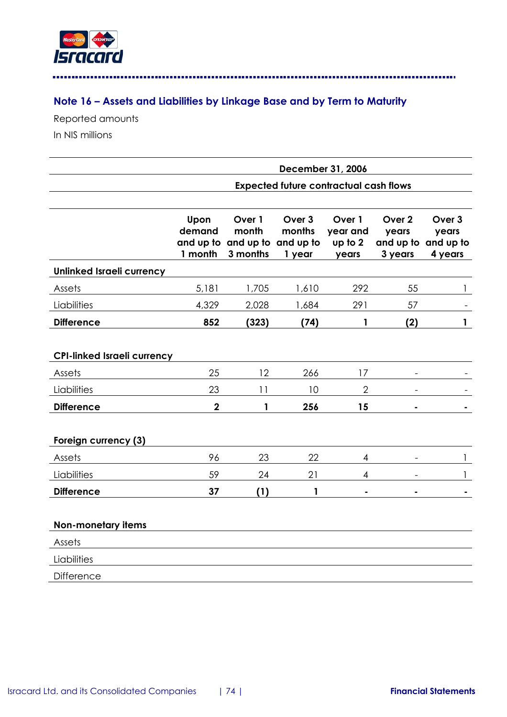

# **Note 16 – Assets and Liabilities by Linkage Base and by Term to Maturity**

Reported amounts In NIS millions

|                                              |                           |                             |                                                             | December 31, 2006                      |                                       |                                                              |
|----------------------------------------------|---------------------------|-----------------------------|-------------------------------------------------------------|----------------------------------------|---------------------------------------|--------------------------------------------------------------|
|                                              |                           |                             | <b>Expected future contractual cash flows</b>               |                                        |                                       |                                                              |
|                                              | Upon<br>demand<br>1 month | Over 1<br>month<br>3 months | Over 3<br>months<br>and up to and up to and up to<br>1 year | Over 1<br>year and<br>up to 2<br>years | Over <sub>2</sub><br>years<br>3 years | Over <sub>3</sub><br>years<br>and up to and up to<br>4 years |
| Unlinked Israeli currency                    |                           |                             |                                                             |                                        |                                       |                                                              |
| Assets                                       | 5,181                     | 1,705                       | 1,610                                                       | 292                                    | 55                                    | 1                                                            |
| Liabilities                                  | 4,329                     | 2,028                       | 1,684                                                       | 291                                    | 57                                    |                                                              |
| <b>Difference</b>                            | 852                       | (323)                       | (74)                                                        | 1                                      | (2)                                   | $\mathbf{1}$                                                 |
| <b>CPI-linked Israeli currency</b><br>Assets | 25                        | 12                          | 266                                                         | 17                                     |                                       |                                                              |
| Liabilities                                  | 23                        | 11                          | 10                                                          | $\overline{2}$                         |                                       |                                                              |
| <b>Difference</b>                            | $\mathbf 2$               | 1                           | 256                                                         | 15                                     | $\blacksquare$                        |                                                              |
| Foreign currency (3)                         |                           |                             |                                                             |                                        |                                       |                                                              |
| Assets                                       | 96                        | 23                          | 22                                                          | $\overline{4}$                         |                                       |                                                              |
| Liabilities                                  | 59                        | 24                          | 21                                                          | $\overline{4}$                         |                                       |                                                              |
| <b>Difference</b>                            | 37                        | (1)                         | 1                                                           |                                        |                                       |                                                              |
| Non-monetary items                           |                           |                             |                                                             |                                        |                                       |                                                              |
| Assets                                       |                           |                             |                                                             |                                        |                                       |                                                              |
| Liabilities                                  |                           |                             |                                                             |                                        |                                       |                                                              |

Difference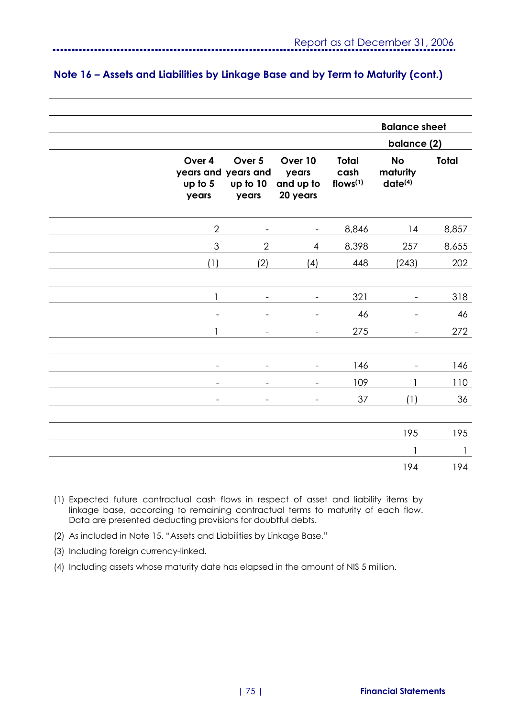## **Note 16 – Assets and Liabilities by Linkage Base and by Term to Maturity (cont.)**

|                                                   |                                        |                                           |                                       | <b>Balance sheet</b>                  |       |
|---------------------------------------------------|----------------------------------------|-------------------------------------------|---------------------------------------|---------------------------------------|-------|
|                                                   |                                        |                                           |                                       | balance (2)                           |       |
| Over 4<br>years and years and<br>up to 5<br>years | Over <sub>5</sub><br>up to 10<br>years | Over 10<br>years<br>and up to<br>20 years | <b>Total</b><br>cash<br>$flows^{(1)}$ | <b>No</b><br>maturity<br>$date^{(4)}$ | Total |
| $\overline{2}$                                    |                                        | $\overline{\phantom{a}}$                  | 8,846                                 | 14                                    | 8,857 |
| $\mathfrak{S}$                                    | $\overline{2}$                         | 4                                         | 8,398                                 | 257                                   | 8,655 |
| (1)                                               | (2)                                    | (4)                                       | 448                                   | (243)                                 | 202   |
| 1                                                 | $\overline{\phantom{a}}$               | $\overline{\phantom{a}}$                  | 321                                   | $\overline{\phantom{0}}$              | 318   |
|                                                   |                                        | $\qquad \qquad -$                         | 46                                    |                                       | 46    |
|                                                   |                                        |                                           | 275                                   |                                       | 272   |
| $\qquad \qquad -$                                 | $\overline{\phantom{a}}$               | $\overline{\phantom{a}}$                  | 146                                   |                                       | 146   |
| $\overline{\phantom{0}}$                          |                                        | $\qquad \qquad -$                         | 109                                   |                                       | 110   |
|                                                   |                                        |                                           | 37                                    | (1)                                   | 36    |
|                                                   |                                        |                                           |                                       | 195                                   | 195   |
|                                                   |                                        |                                           |                                       |                                       |       |
|                                                   |                                        |                                           |                                       | 194                                   | 194   |

(1) Expected future contractual cash flows in respect of asset and liability items by linkage base, according to remaining contractual terms to maturity of each flow. Data are presented deducting provisions for doubtful debts.

- (2) As included in Note 15, "Assets and Liabilities by Linkage Base."
- (3) Including foreign currency-linked.
- (4) Including assets whose maturity date has elapsed in the amount of NIS 5 million.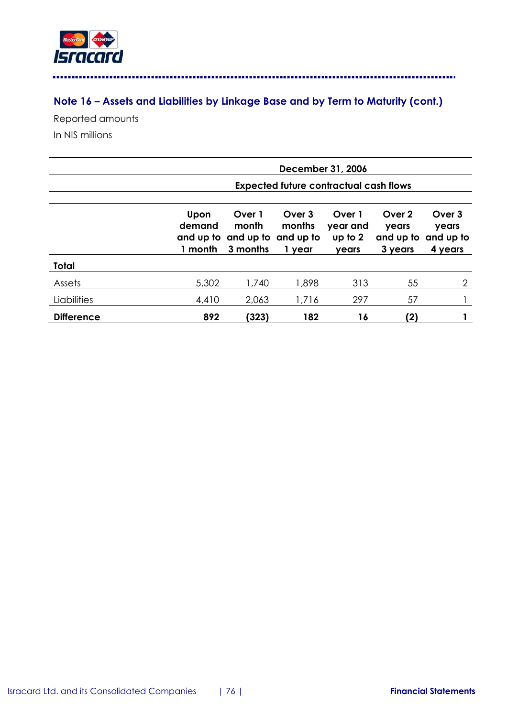

# **Note 16 – Assets and Liabilities by Linkage Base and by Term to Maturity (cont.)**

Reported amounts In NIS millions

|                   |                           |                                                              |                                               | December 31, 2006                             |                            |                                                   |
|-------------------|---------------------------|--------------------------------------------------------------|-----------------------------------------------|-----------------------------------------------|----------------------------|---------------------------------------------------|
|                   |                           |                                                              | <b>Expected future contractual cash flows</b> |                                               |                            |                                                   |
|                   | Upon<br>demand<br>1 month | Over 1<br>month<br>and up to and up to and up to<br>3 months | Over 3<br>months<br>1 year                    | Over 1<br>year and<br>up to 2<br><b>years</b> | Over 2<br>years<br>3 years | Over 3<br>years<br>and up to and up to<br>4 years |
| Total             |                           |                                                              |                                               |                                               |                            |                                                   |
| Assets            | 5,302                     | 1,740                                                        | 1,898                                         | 313                                           | 55                         | $\overline{2}$                                    |
| Liabilities       | 4,410                     | 2,063                                                        | 1,716                                         | 297                                           | 57                         |                                                   |
| <b>Difference</b> | 892                       | (323)                                                        | 182                                           | 16                                            | (2)                        |                                                   |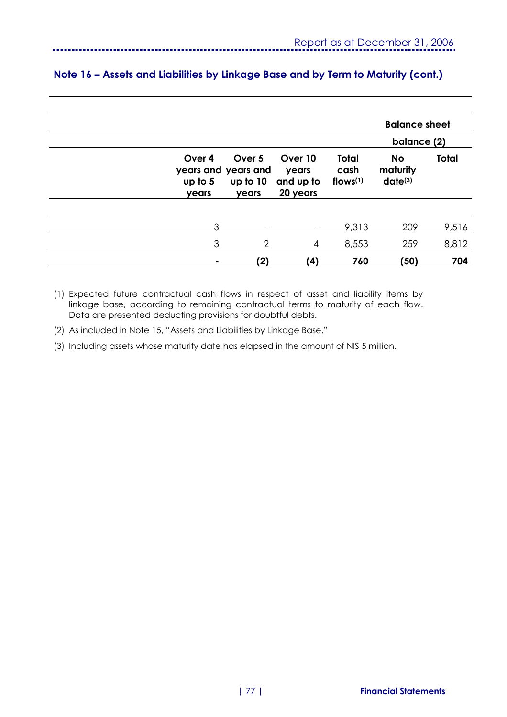|                                                   |                                            |                                                    |                                       | <b>Balance sheet</b><br>balance (2)   |                |
|---------------------------------------------------|--------------------------------------------|----------------------------------------------------|---------------------------------------|---------------------------------------|----------------|
| Over 4<br>years and years and<br>up to 5<br>years | Over 5<br>years                            | Over 10<br>years<br>up to 10 and up to<br>20 years | <b>Total</b><br>cash<br>$flows^{(1)}$ | <b>No</b><br>maturity<br>$date^{(3)}$ | <b>Total</b>   |
|                                                   |                                            |                                                    |                                       |                                       |                |
| 3<br>3                                            | $\overline{\phantom{a}}$<br>$\overline{2}$ | 4                                                  | 9,313<br>8,553                        | 209<br>259                            | 9,516<br>8,812 |
|                                                   | (2)                                        | $\bf(4)$                                           | 760                                   | (50)                                  | 704            |

## **Note 16 – Assets and Liabilities by Linkage Base and by Term to Maturity (cont.)**

- (1) Expected future contractual cash flows in respect of asset and liability items by linkage base, according to remaining contractual terms to maturity of each flow. Data are presented deducting provisions for doubtful debts.
- (2) As included in Note 15, "Assets and Liabilities by Linkage Base."
- (3) Including assets whose maturity date has elapsed in the amount of NIS 5 million.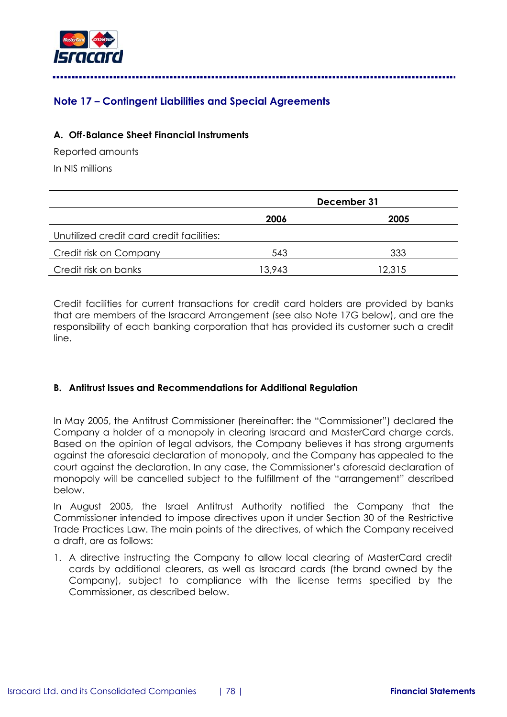

#### **A. Off-Balance Sheet Financial Instruments**

Reported amounts In NIS millions

**December 31 2006 2005**  Unutilized credit card credit facilities: Credit risk on Company 543 543 333 Credit risk on banks 13,943 12,315

Credit facilities for current transactions for credit card holders are provided by banks that are members of the Isracard Arrangement (see also Note 17G below), and are the responsibility of each banking corporation that has provided its customer such a credit line.

#### **B. Antitrust Issues and Recommendations for Additional Regulation**

In May 2005, the Antitrust Commissioner (hereinafter: the "Commissioner") declared the Company a holder of a monopoly in clearing Isracard and MasterCard charge cards. Based on the opinion of legal advisors, the Company believes it has strong arguments against the aforesaid declaration of monopoly, and the Company has appealed to the court against the declaration. In any case, the Commissioner's aforesaid declaration of monopoly will be cancelled subject to the fulfillment of the "arrangement" described below.

In August 2005, the Israel Antitrust Authority notified the Company that the Commissioner intended to impose directives upon it under Section 30 of the Restrictive Trade Practices Law. The main points of the directives, of which the Company received a draft, are as follows:

1. A directive instructing the Company to allow local clearing of MasterCard credit cards by additional clearers, as well as Isracard cards (the brand owned by the Company), subject to compliance with the license terms specified by the Commissioner, as described below.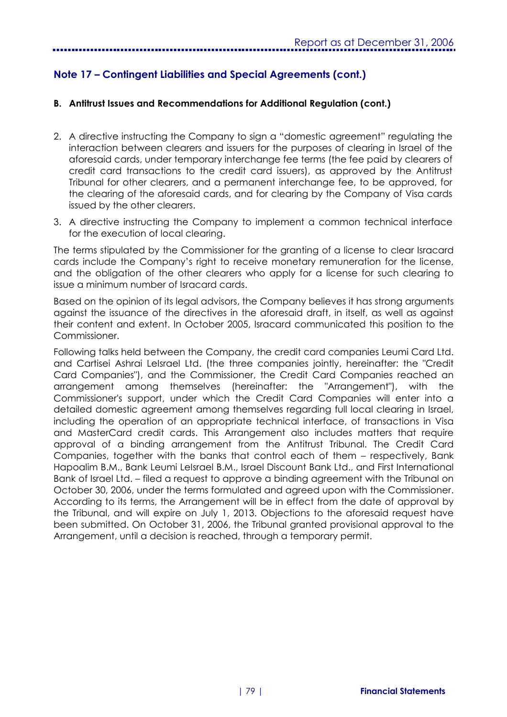#### **B. Antitrust Issues and Recommendations for Additional Regulation (cont.)**

- 2. A directive instructing the Company to sign a "domestic agreement" regulating the interaction between clearers and issuers for the purposes of clearing in Israel of the aforesaid cards, under temporary interchange fee terms (the fee paid by clearers of credit card transactions to the credit card issuers), as approved by the Antitrust Tribunal for other clearers, and a permanent interchange fee, to be approved, for the clearing of the aforesaid cards, and for clearing by the Company of Visa cards issued by the other clearers.
- 3. A directive instructing the Company to implement a common technical interface for the execution of local clearing.

The terms stipulated by the Commissioner for the granting of a license to clear Isracard cards include the Company's right to receive monetary remuneration for the license, and the obligation of the other clearers who apply for a license for such clearing to issue a minimum number of Isracard cards.

Based on the opinion of its legal advisors, the Company believes it has strong arguments against the issuance of the directives in the aforesaid draft, in itself, as well as against their content and extent. In October 2005, Isracard communicated this position to the Commissioner.

Following talks held between the Company, the credit card companies Leumi Card Ltd. and Cartisei Ashrai LeIsrael Ltd. (the three companies jointly, hereinafter: the "Credit Card Companies"), and the Commissioner, the Credit Card Companies reached an arrangement among themselves (hereinafter: the "Arrangement"), with the Commissioner's support, under which the Credit Card Companies will enter into a detailed domestic agreement among themselves regarding full local clearing in Israel, including the operation of an appropriate technical interface, of transactions in Visa and MasterCard credit cards. This Arrangement also includes matters that require approval of a binding arrangement from the Antitrust Tribunal. The Credit Card Companies, together with the banks that control each of them – respectively, Bank Hapoalim B.M., Bank Leumi LeIsrael B.M., Israel Discount Bank Ltd., and First International Bank of Israel Ltd. – filed a request to approve a binding agreement with the Tribunal on October 30, 2006, under the terms formulated and agreed upon with the Commissioner. According to its terms, the Arrangement will be in effect from the date of approval by the Tribunal, and will expire on July 1, 2013. Objections to the aforesaid request have been submitted. On October 31, 2006, the Tribunal granted provisional approval to the Arrangement, until a decision is reached, through a temporary permit.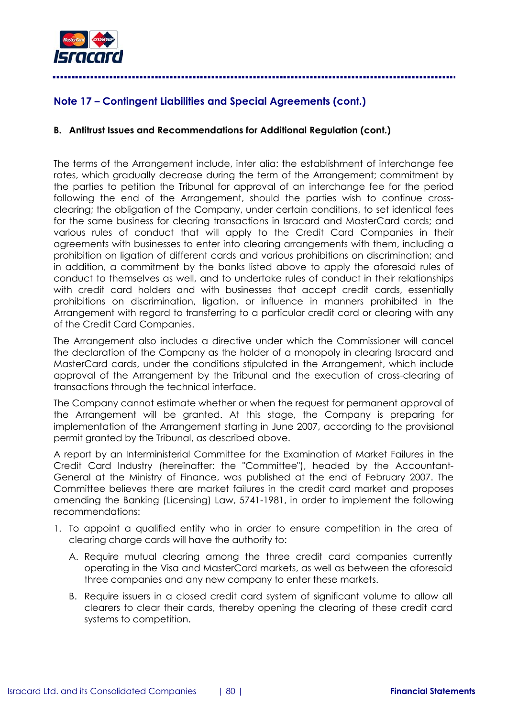

## **B. Antitrust Issues and Recommendations for Additional Regulation (cont.)**

The terms of the Arrangement include, inter alia: the establishment of interchange fee rates, which gradually decrease during the term of the Arrangement; commitment by the parties to petition the Tribunal for approval of an interchange fee for the period following the end of the Arrangement, should the parties wish to continue crossclearing; the obligation of the Company, under certain conditions, to set identical fees for the same business for clearing transactions in Isracard and MasterCard cards; and various rules of conduct that will apply to the Credit Card Companies in their agreements with businesses to enter into clearing arrangements with them, including a prohibition on ligation of different cards and various prohibitions on discrimination; and in addition, a commitment by the banks listed above to apply the aforesaid rules of conduct to themselves as well, and to undertake rules of conduct in their relationships with credit card holders and with businesses that accept credit cards, essentially prohibitions on discrimination, ligation, or influence in manners prohibited in the Arrangement with regard to transferring to a particular credit card or clearing with any of the Credit Card Companies.

The Arrangement also includes a directive under which the Commissioner will cancel the declaration of the Company as the holder of a monopoly in clearing Isracard and MasterCard cards, under the conditions stipulated in the Arrangement, which include approval of the Arrangement by the Tribunal and the execution of cross-clearing of transactions through the technical interface.

The Company cannot estimate whether or when the request for permanent approval of the Arrangement will be granted. At this stage, the Company is preparing for implementation of the Arrangement starting in June 2007, according to the provisional permit granted by the Tribunal, as described above.

A report by an Interministerial Committee for the Examination of Market Failures in the Credit Card Industry (hereinafter: the "Committee"), headed by the Accountant-General at the Ministry of Finance, was published at the end of February 2007. The Committee believes there are market failures in the credit card market and proposes amending the Banking (Licensing) Law, 5741-1981, in order to implement the following recommendations:

- 1. To appoint a qualified entity who in order to ensure competition in the area of clearing charge cards will have the authority to:
	- A. Require mutual clearing among the three credit card companies currently operating in the Visa and MasterCard markets, as well as between the aforesaid three companies and any new company to enter these markets.
	- B. Require issuers in a closed credit card system of significant volume to allow all clearers to clear their cards, thereby opening the clearing of these credit card systems to competition.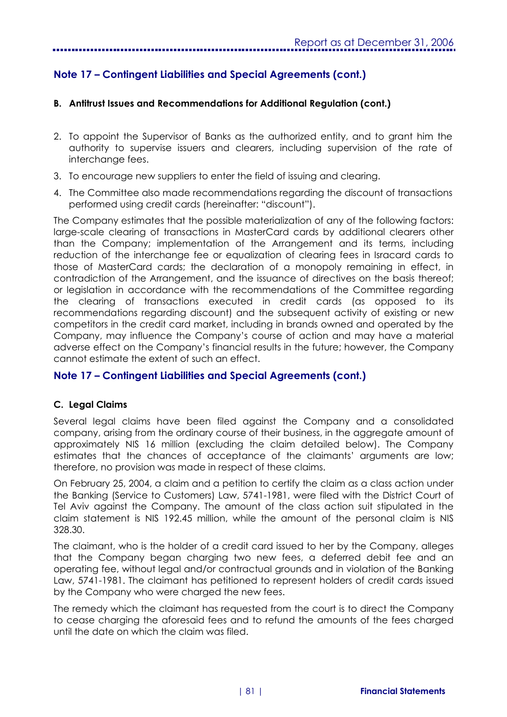#### **B. Antitrust Issues and Recommendations for Additional Regulation (cont.)**

- 2. To appoint the Supervisor of Banks as the authorized entity, and to grant him the authority to supervise issuers and clearers, including supervision of the rate of interchange fees.
- 3. To encourage new suppliers to enter the field of issuing and clearing.
- 4. The Committee also made recommendations regarding the discount of transactions performed using credit cards (hereinafter: "discount").

The Company estimates that the possible materialization of any of the following factors: large-scale clearing of transactions in MasterCard cards by additional clearers other than the Company; implementation of the Arrangement and its terms, including reduction of the interchange fee or equalization of clearing fees in Isracard cards to those of MasterCard cards; the declaration of a monopoly remaining in effect, in contradiction of the Arrangement, and the issuance of directives on the basis thereof; or legislation in accordance with the recommendations of the Committee regarding the clearing of transactions executed in credit cards (as opposed to its recommendations regarding discount) and the subsequent activity of existing or new competitors in the credit card market, including in brands owned and operated by the Company, may influence the Company's course of action and may have a material adverse effect on the Company's financial results in the future; however, the Company cannot estimate the extent of such an effect.

## **Note 17 – Contingent Liabilities and Special Agreements (cont.)**

#### **C. Legal Claims**

Several legal claims have been filed against the Company and a consolidated company, arising from the ordinary course of their business, in the aggregate amount of approximately NIS 16 million (excluding the claim detailed below). The Company estimates that the chances of acceptance of the claimants' arguments are low; therefore, no provision was made in respect of these claims.

On February 25, 2004, a claim and a petition to certify the claim as a class action under the Banking (Service to Customers) Law, 5741-1981, were filed with the District Court of Tel Aviv against the Company. The amount of the class action suit stipulated in the claim statement is NIS 192.45 million, while the amount of the personal claim is NIS 328.30.

The claimant, who is the holder of a credit card issued to her by the Company, alleges that the Company began charging two new fees, a deferred debit fee and an operating fee, without legal and/or contractual grounds and in violation of the Banking Law, 5741-1981. The claimant has petitioned to represent holders of credit cards issued by the Company who were charged the new fees.

The remedy which the claimant has requested from the court is to direct the Company to cease charging the aforesaid fees and to refund the amounts of the fees charged until the date on which the claim was filed.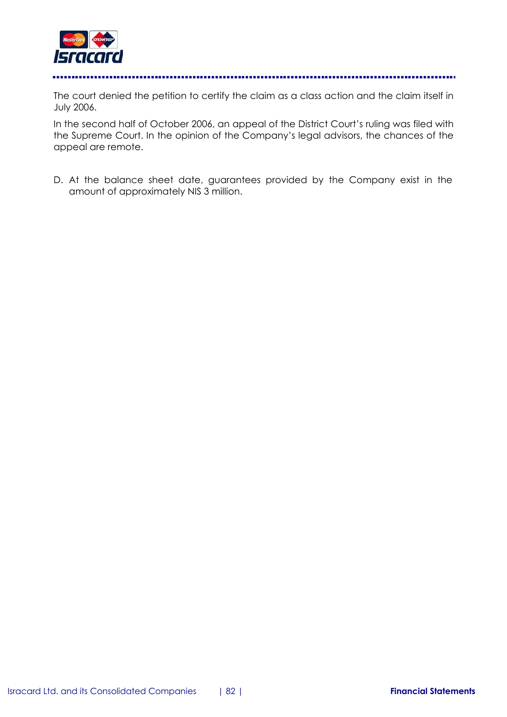

The court denied the petition to certify the claim as a class action and the claim itself in July 2006.

In the second half of October 2006, an appeal of the District Court's ruling was filed with the Supreme Court. In the opinion of the Company's legal advisors, the chances of the appeal are remote.

D. At the balance sheet date, guarantees provided by the Company exist in the amount of approximately NIS 3 million.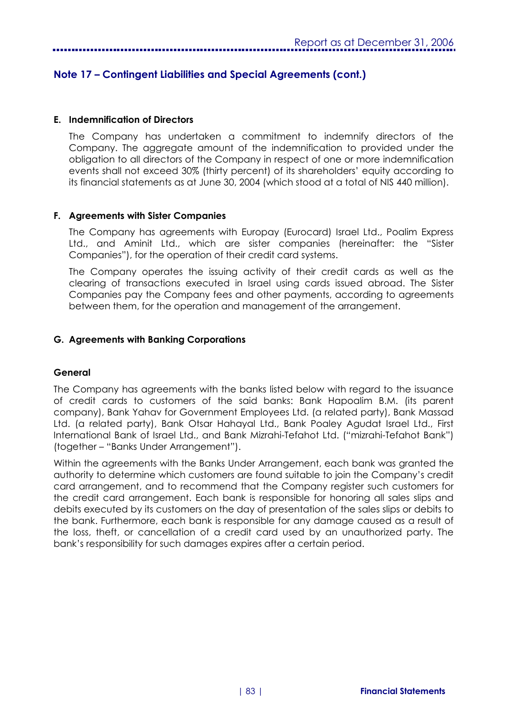#### **E. Indemnification of Directors**

The Company has undertaken a commitment to indemnify directors of the Company. The aggregate amount of the indemnification to provided under the obligation to all directors of the Company in respect of one or more indemnification events shall not exceed 30% (thirty percent) of its shareholders' equity according to its financial statements as at June 30, 2004 (which stood at a total of NIS 440 million).

#### **F. Agreements with Sister Companies**

The Company has agreements with Europay (Eurocard) Israel Ltd., Poalim Express Ltd., and Aminit Ltd., which are sister companies (hereinafter: the "Sister Companies"), for the operation of their credit card systems.

The Company operates the issuing activity of their credit cards as well as the clearing of transactions executed in Israel using cards issued abroad. The Sister Companies pay the Company fees and other payments, according to agreements between them, for the operation and management of the arrangement.

#### **G. Agreements with Banking Corporations**

#### **General**

The Company has agreements with the banks listed below with regard to the issuance of credit cards to customers of the said banks: Bank Hapoalim B.M. (its parent company), Bank Yahav for Government Employees Ltd. (a related party), Bank Massad Ltd. (a related party), Bank Otsar Hahayal Ltd., Bank Poaley Agudat Israel Ltd., First International Bank of Israel Ltd., and Bank Mizrahi-Tefahot Ltd. ("mizrahi-Tefahot Bank") (together – "Banks Under Arrangement").

Within the agreements with the Banks Under Arrangement, each bank was granted the authority to determine which customers are found suitable to join the Company's credit card arrangement, and to recommend that the Company register such customers for the credit card arrangement. Each bank is responsible for honoring all sales slips and debits executed by its customers on the day of presentation of the sales slips or debits to the bank. Furthermore, each bank is responsible for any damage caused as a result of the loss, theft, or cancellation of a credit card used by an unauthorized party. The bank's responsibility for such damages expires after a certain period.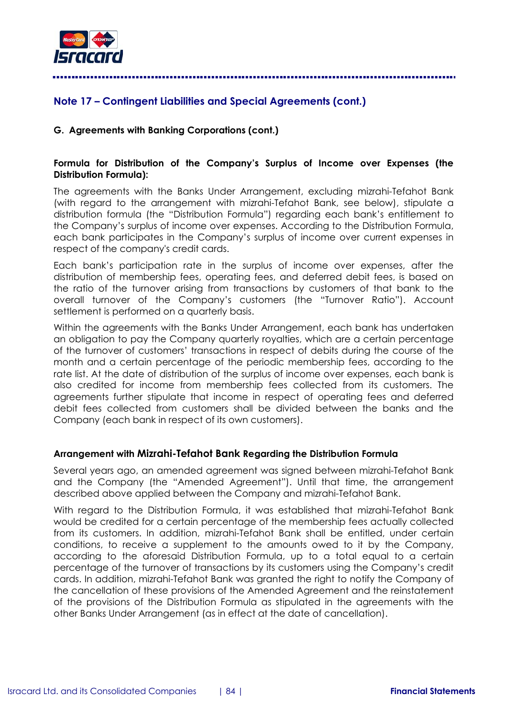

#### **G. Agreements with Banking Corporations (cont.)**

#### **Formula for Distribution of the Company's Surplus of Income over Expenses (the Distribution Formula):**

The agreements with the Banks Under Arrangement, excluding mizrahi-Tefahot Bank (with regard to the arrangement with mizrahi-Tefahot Bank, see below), stipulate a distribution formula (the "Distribution Formula") regarding each bank's entitlement to the Company's surplus of income over expenses. According to the Distribution Formula, each bank participates in the Company's surplus of income over current expenses in respect of the company's credit cards.

Each bank's participation rate in the surplus of income over expenses, after the distribution of membership fees, operating fees, and deferred debit fees, is based on the ratio of the turnover arising from transactions by customers of that bank to the overall turnover of the Company's customers (the "Turnover Ratio"). Account settlement is performed on a quarterly basis.

Within the agreements with the Banks Under Arrangement, each bank has undertaken an obligation to pay the Company quarterly royalties, which are a certain percentage of the turnover of customers' transactions in respect of debits during the course of the month and a certain percentage of the periodic membership fees, according to the rate list. At the date of distribution of the surplus of income over expenses, each bank is also credited for income from membership fees collected from its customers. The agreements further stipulate that income in respect of operating fees and deferred debit fees collected from customers shall be divided between the banks and the Company (each bank in respect of its own customers).

#### **Arrangement with Mizrahi-Tefahot Bank Regarding the Distribution Formula**

Several years ago, an amended agreement was signed between mizrahi-Tefahot Bank and the Company (the "Amended Agreement"). Until that time, the arrangement described above applied between the Company and mizrahi-Tefahot Bank.

With regard to the Distribution Formula, it was established that mizrahi-Tefahot Bank would be credited for a certain percentage of the membership fees actually collected from its customers. In addition, mizrahi-Tefahot Bank shall be entitled, under certain conditions, to receive a supplement to the amounts owed to it by the Company, according to the aforesaid Distribution Formula, up to a total equal to a certain percentage of the turnover of transactions by its customers using the Company's credit cards. In addition, mizrahi-Tefahot Bank was granted the right to notify the Company of the cancellation of these provisions of the Amended Agreement and the reinstatement of the provisions of the Distribution Formula as stipulated in the agreements with the other Banks Under Arrangement (as in effect at the date of cancellation).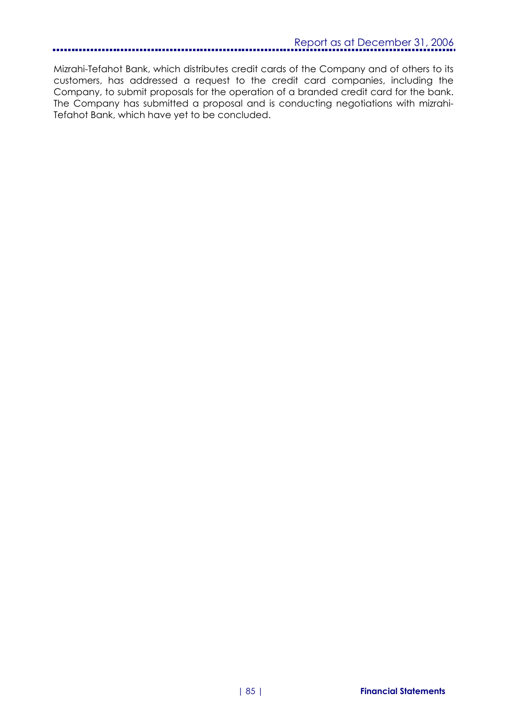Mizrahi-Tefahot Bank, which distributes credit cards of the Company and of others to its customers, has addressed a request to the credit card companies, including the Company, to submit proposals for the operation of a branded credit card for the bank. The Company has submitted a proposal and is conducting negotiations with mizrahi-Tefahot Bank, which have yet to be concluded.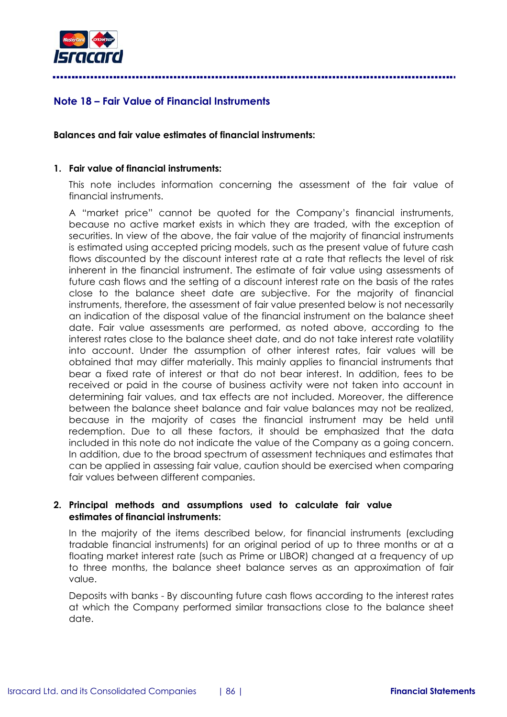

## **Note 18 – Fair Value of Financial Instruments**

**Balances and fair value estimates of financial instruments:** 

## **1. Fair value of financial instruments:**

This note includes information concerning the assessment of the fair value of financial instruments.

A "market price" cannot be quoted for the Company's financial instruments, because no active market exists in which they are traded, with the exception of securities. In view of the above, the fair value of the majority of financial instruments is estimated using accepted pricing models, such as the present value of future cash flows discounted by the discount interest rate at a rate that reflects the level of risk inherent in the financial instrument. The estimate of fair value using assessments of future cash flows and the setting of a discount interest rate on the basis of the rates close to the balance sheet date are subjective. For the majority of financial instruments, therefore, the assessment of fair value presented below is not necessarily an indication of the disposal value of the financial instrument on the balance sheet date. Fair value assessments are performed, as noted above, according to the interest rates close to the balance sheet date, and do not take interest rate volatility into account. Under the assumption of other interest rates, fair values will be obtained that may differ materially. This mainly applies to financial instruments that bear a fixed rate of interest or that do not bear interest. In addition, fees to be received or paid in the course of business activity were not taken into account in determining fair values, and tax effects are not included. Moreover, the difference between the balance sheet balance and fair value balances may not be realized, because in the majority of cases the financial instrument may be held until redemption. Due to all these factors, it should be emphasized that the data included in this note do not indicate the value of the Company as a going concern. In addition, due to the broad spectrum of assessment techniques and estimates that can be applied in assessing fair value, caution should be exercised when comparing fair values between different companies.

#### **2. Principal methods and assumptions used to calculate fair value estimates of financial instruments:**

In the majority of the items described below, for financial instruments (excluding tradable financial instruments) for an original period of up to three months or at a floating market interest rate (such as Prime or LIBOR) changed at a frequency of up to three months, the balance sheet balance serves as an approximation of fair value.

Deposits with banks - By discounting future cash flows according to the interest rates at which the Company performed similar transactions close to the balance sheet date.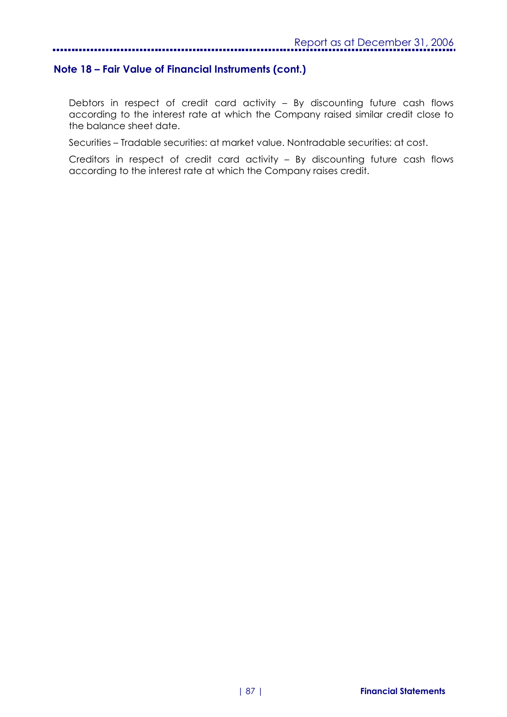## **Note 18 – Fair Value of Financial Instruments (cont.)**

Debtors in respect of credit card activity – By discounting future cash flows according to the interest rate at which the Company raised similar credit close to the balance sheet date.

Securities – Tradable securities: at market value. Nontradable securities: at cost.

Creditors in respect of credit card activity – By discounting future cash flows according to the interest rate at which the Company raises credit.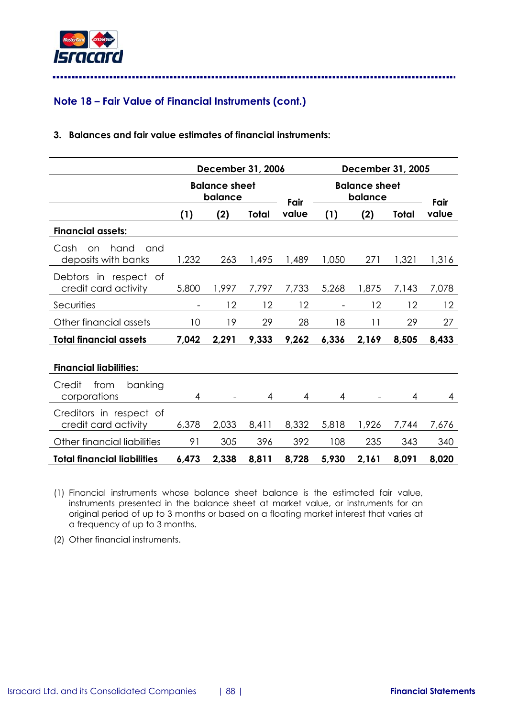

## **Note 18 – Fair Value of Financial Instruments (cont.)**

## **3. Balances and fair value estimates of financial instruments:**

|                                                  | December 31, 2006 |                                 |              |       | December 31, 2005 |                                 |       |       |
|--------------------------------------------------|-------------------|---------------------------------|--------------|-------|-------------------|---------------------------------|-------|-------|
|                                                  |                   | <b>Balance sheet</b><br>balance |              | Fair  |                   | <b>Balance sheet</b><br>balance |       | Fair  |
|                                                  | (1)               | (2)                             | <b>Total</b> | value | (1)               | (2)                             | Total | value |
| <b>Financial assets:</b>                         |                   |                                 |              |       |                   |                                 |       |       |
| hand<br>Cash<br>and<br>on<br>deposits with banks | 1,232             | 263                             | 1,495        | 1,489 | 1,050             | 271                             | 1,321 | 1,316 |
| Debtors in respect of<br>credit card activity    | 5,800             | 1,997                           | 7,797        | 7,733 | 5,268             | 1,875                           | 7,143 | 7,078 |
| Securities                                       |                   | 12                              | 12           | 12    |                   | 12                              | 12    | 12    |
| Other financial assets                           | 10                | 19                              | 29           | 28    | 18                | 11                              | 29    | 27    |
| <b>Total financial assets</b>                    | 7,042             | 2,291                           | 9,333        | 9,262 | 6,336             | 2,169                           | 8,505 | 8,433 |
| <b>Financial liabilities:</b>                    |                   |                                 |              |       |                   |                                 |       |       |
| Credit<br>banking<br>from<br>corporations        | 4                 |                                 | 4            | 4     | 4                 |                                 | 4     | 4     |
| Creditors in respect of<br>credit card activity  | 6,378             | 2,033                           | 8,411        | 8,332 | 5,818             | 1,926                           | 7,744 | 7,676 |
| Other financial liabilities                      | 91                | 305                             | 396          | 392   | 108               | 235                             | 343   | 340   |
| <b>Total financial liabilities</b>               | 6,473             | 2,338                           | 8,811        | 8,728 | 5,930             | 2,161                           | 8,091 | 8,020 |

(1) Financial instruments whose balance sheet balance is the estimated fair value, instruments presented in the balance sheet at market value, or instruments for an original period of up to 3 months or based on a floating market interest that varies at a frequency of up to 3 months.

(2) Other financial instruments.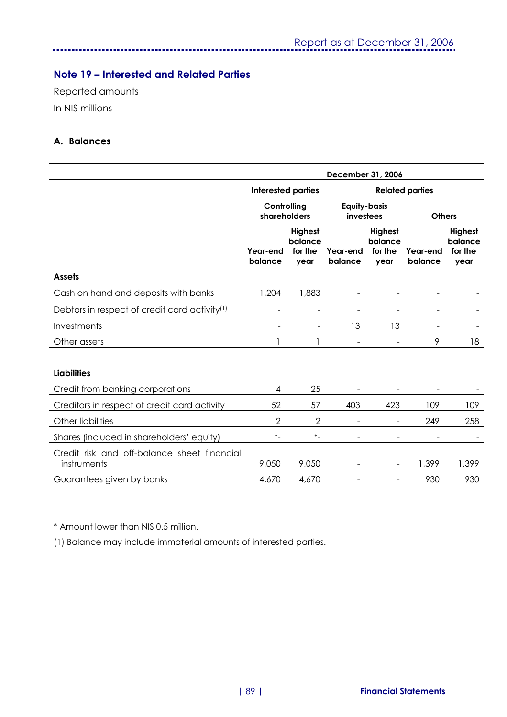## **Note 19 – Interested and Related Parties**

Reported amounts In NIS millions

.................

#### **A. Balances**

|                                                            |                             | December 31, 2006                     |                                  |                                       |                     |                                              |  |  |
|------------------------------------------------------------|-----------------------------|---------------------------------------|----------------------------------|---------------------------------------|---------------------|----------------------------------------------|--|--|
|                                                            | <b>Interested parties</b>   |                                       | <b>Related parties</b>           |                                       |                     |                                              |  |  |
|                                                            | Controlling<br>shareholders |                                       | <b>Equity-basis</b><br>investees |                                       | <b>Others</b>       |                                              |  |  |
|                                                            | Year-end<br>balance         | Highest<br>balance<br>for the<br>year | Year-end<br>balance              | Highest<br>balance<br>for the<br>year | Year-end<br>balance | <b>Highest</b><br>balance<br>for the<br>year |  |  |
| <b>Assets</b>                                              |                             |                                       |                                  |                                       |                     |                                              |  |  |
| Cash on hand and deposits with banks                       | 1,204                       | 1,883                                 | $\overline{\phantom{0}}$         | $\overline{\phantom{0}}$              |                     |                                              |  |  |
| Debtors in respect of credit card activity <sup>(1)</sup>  |                             | $\qquad \qquad -$                     |                                  |                                       |                     |                                              |  |  |
| Investments                                                |                             | $\overline{\phantom{0}}$              | 13                               | 13                                    |                     |                                              |  |  |
| Other assets                                               |                             |                                       | $\overline{\phantom{a}}$         | $\blacksquare$                        | 9                   | 18                                           |  |  |
| <b>Liabilities</b>                                         |                             |                                       |                                  |                                       |                     |                                              |  |  |
| Credit from banking corporations                           | 4                           | 25                                    |                                  |                                       | $\overline{a}$      |                                              |  |  |
| Creditors in respect of credit card activity               | 52                          | 57                                    | 403                              | 423                                   | 109                 | 109                                          |  |  |
| Other liabilities                                          | $\overline{2}$              | $\overline{2}$                        | L,                               | $\blacksquare$                        | 249                 | 258                                          |  |  |
| Shares (included in shareholders' equity)                  | $\ast$ _                    | $\ast_-$                              | $\qquad \qquad \blacksquare$     |                                       |                     |                                              |  |  |
| Credit risk and off-balance sheet financial<br>instruments | 9,050                       | 9,050                                 | $\overline{\phantom{a}}$         | $\overline{\phantom{a}}$              | 1,399               | 1,399                                        |  |  |
| Guarantees given by banks                                  | 4,670                       | 4,670                                 |                                  | $\overline{\phantom{m}}$              | 930                 | 930                                          |  |  |

\* Amount lower than NIS 0.5 million.

(1) Balance may include immaterial amounts of interested parties.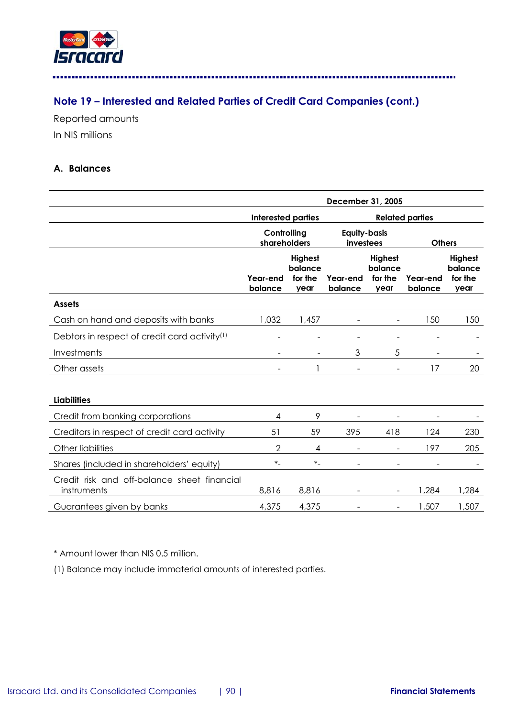

# **Note 19 – Interested and Related Parties of Credit Card Companies (cont.)**

Reported amounts In NIS millions

## **A. Balances**

|                                                            | December 31, 2005           |                                       |                                  |                                       |                        |                                              |  |
|------------------------------------------------------------|-----------------------------|---------------------------------------|----------------------------------|---------------------------------------|------------------------|----------------------------------------------|--|
|                                                            | <b>Interested parties</b>   |                                       |                                  |                                       | <b>Related parties</b> |                                              |  |
|                                                            | Controlling<br>shareholders |                                       | <b>Equity-basis</b><br>investees |                                       | <b>Others</b>          |                                              |  |
|                                                            | Year-end<br>balance         | Highest<br>balance<br>for the<br>year | Year-end<br>balance              | Highest<br>balance<br>for the<br>year | Year-end<br>balance    | <b>Highest</b><br>balance<br>for the<br>year |  |
| <b>Assets</b>                                              |                             |                                       |                                  |                                       |                        |                                              |  |
| Cash on hand and deposits with banks                       | 1,032                       | 1,457                                 |                                  |                                       | 150                    | 150                                          |  |
| Debtors in respect of credit card activity <sup>(1)</sup>  |                             | -                                     |                                  |                                       |                        |                                              |  |
| Investments                                                |                             |                                       | 3                                | 5                                     |                        |                                              |  |
| Other assets                                               |                             |                                       | $\overline{\phantom{a}}$         | $\blacksquare$                        | 17                     | 20                                           |  |
| <b>Liabilities</b>                                         |                             |                                       |                                  |                                       |                        |                                              |  |
| Credit from banking corporations                           | 4                           | 9                                     |                                  |                                       |                        |                                              |  |
| Creditors in respect of credit card activity               | 51                          | 59                                    | 395                              | 418                                   | 124                    | 230                                          |  |
| Other liabilities                                          | $\overline{2}$              | 4                                     |                                  |                                       | 197                    | 205                                          |  |
| Shares (included in shareholders' equity)                  | $*_{-}$                     | $*$                                   | ÷,                               | $\overline{\phantom{0}}$              |                        |                                              |  |
| Credit risk and off-balance sheet financial<br>instruments | 8,816                       | 8,816                                 | $\overline{\phantom{a}}$         | $\overline{\phantom{a}}$              | 1,284                  | 1,284                                        |  |
| Guarantees given by banks                                  | 4,375                       | 4,375                                 |                                  | $\overline{\phantom{a}}$              | 1,507                  | 1,507                                        |  |

\* Amount lower than NIS 0.5 million.

(1) Balance may include immaterial amounts of interested parties.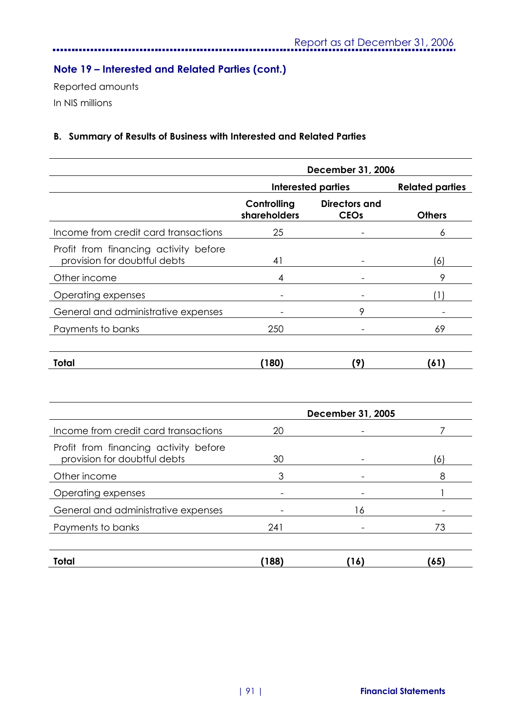## **Note 19 – Interested and Related Parties (cont.)**

Reported amounts In NIS millions

,,,,,,,,,,,,,,,

## **B. Summary of Results of Business with Interested and Related Parties**

|                                                                       | December 31, 2006                  |                                     |                        |  |  |  |
|-----------------------------------------------------------------------|------------------------------------|-------------------------------------|------------------------|--|--|--|
|                                                                       |                                    | Interested parties                  | <b>Related parties</b> |  |  |  |
|                                                                       | Controlling<br><b>shareholders</b> | <b>Directors and</b><br><b>CEOs</b> | <b>Others</b>          |  |  |  |
| Income from credit card transactions                                  | 25                                 |                                     | 6                      |  |  |  |
| Profit from financing activity before<br>provision for doubtful debts | 41                                 |                                     | '6)                    |  |  |  |
| Other income                                                          | 4                                  |                                     | 9                      |  |  |  |
| Operating expenses                                                    |                                    |                                     |                        |  |  |  |
| General and administrative expenses                                   |                                    | 9                                   |                        |  |  |  |
| Payments to banks                                                     | 250                                |                                     | 69                     |  |  |  |
|                                                                       |                                    |                                     |                        |  |  |  |
| Total                                                                 | (180)                              | 91                                  | (61)                   |  |  |  |

|                                                                       |      | December 31, 2005 |      |
|-----------------------------------------------------------------------|------|-------------------|------|
| Income from credit card transactions                                  | 20   |                   |      |
| Profit from financing activity before<br>provision for doubtful debts | 30   |                   | 6.   |
| Other income                                                          | 3    |                   |      |
| Operating expenses                                                    |      |                   |      |
| General and administrative expenses                                   |      | 16                |      |
| Payments to banks                                                     | 241  |                   | 73   |
|                                                                       |      |                   |      |
| Total                                                                 | 188) | 16                | (65) |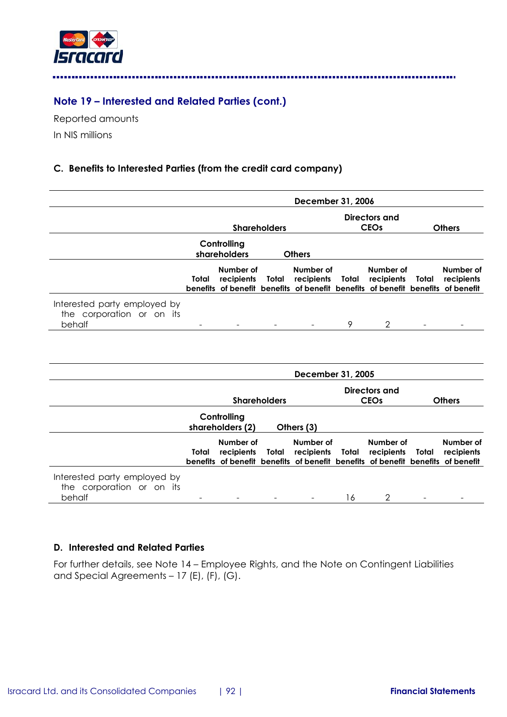

## **Note 19 – Interested and Related Parties (cont.)**

Reported amounts In NIS millions

#### **C. Benefits to Interested Parties (from the credit card company)**

|                                                                     |                                                                                                                     |                     | December 31, 2006       |       |                                     |       |                         |
|---------------------------------------------------------------------|---------------------------------------------------------------------------------------------------------------------|---------------------|-------------------------|-------|-------------------------------------|-------|-------------------------|
|                                                                     |                                                                                                                     | <b>Shareholders</b> |                         |       | Directors and<br><b>CEOs</b>        |       | <b>Others</b>           |
|                                                                     | Controlling<br>shareholders                                                                                         |                     | <b>Others</b>           |       |                                     |       |                         |
|                                                                     | Number of<br>recipients<br>Total<br>benefits of benefit benefits of benefit benefits of benefit benefits of benefit | Total               | Number of<br>recipients | Total | Number of<br>recipients             | Total | Number of<br>recipients |
| Interested party employed by<br>the corporation or on its<br>behalf | $\overline{\phantom{m}}$                                                                                            |                     |                         | 9     | 2                                   |       |                         |
|                                                                     |                                                                                                                     |                     | December 31, 2005       |       |                                     |       |                         |
|                                                                     |                                                                                                                     | <b>Shareholders</b> |                         |       | <b>Directors and</b><br><b>CEOs</b> |       | <b>Others</b>           |
|                                                                     | Controlling<br>shareholders (2)                                                                                     |                     | Others (3)              |       |                                     |       |                         |
|                                                                     | Number of                                                                                                           |                     | Number of               |       | Number of                           |       | Number of               |

**Total recipients Total recipients Total recipients Total recipients benefits of benefit benefits of benefit benefits of benefit benefits of benefit**  Interested party employed by the corporation or on its behalf - - - - - 16 2 -

#### **D. Interested and Related Parties**

For further details, see Note 14 – Employee Rights, and the Note on Contingent Liabilities and Special Agreements – 17 (E), (F), (G).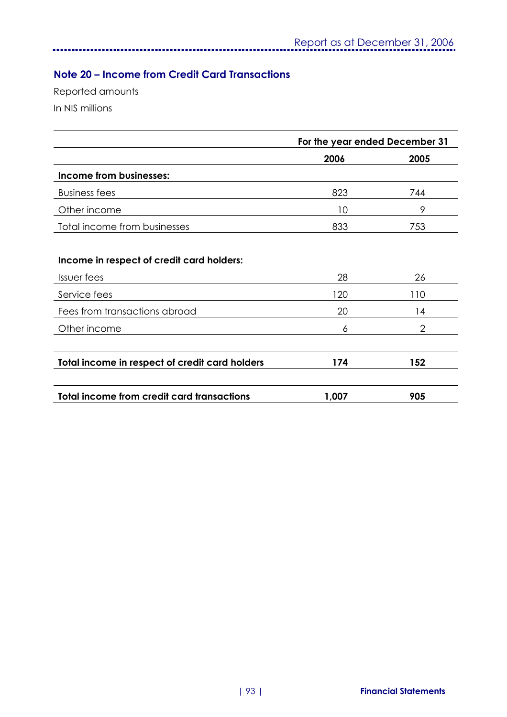## **Note 20 – Income from Credit Card Transactions**

Reported amounts In NIS millions

.............................

|                                                   | For the year ended December 31 |                |
|---------------------------------------------------|--------------------------------|----------------|
|                                                   | 2006                           | 2005           |
| Income from businesses:                           |                                |                |
| <b>Business fees</b>                              | 823                            | 744            |
| Other income                                      | 10                             | 9              |
| Total income from businesses                      | 833                            | 753            |
|                                                   |                                |                |
| Income in respect of credit card holders:         |                                |                |
| <b>Issuer fees</b>                                | 28                             | 26             |
| Service fees                                      | 120                            | 110            |
| Fees from transactions abroad                     | 20                             | 14             |
| Other income                                      | 6                              | $\overline{2}$ |
|                                                   |                                |                |
| Total income in respect of credit card holders    | 174                            | 152            |
| <b>Total income from credit card transactions</b> | 1,007                          | 905            |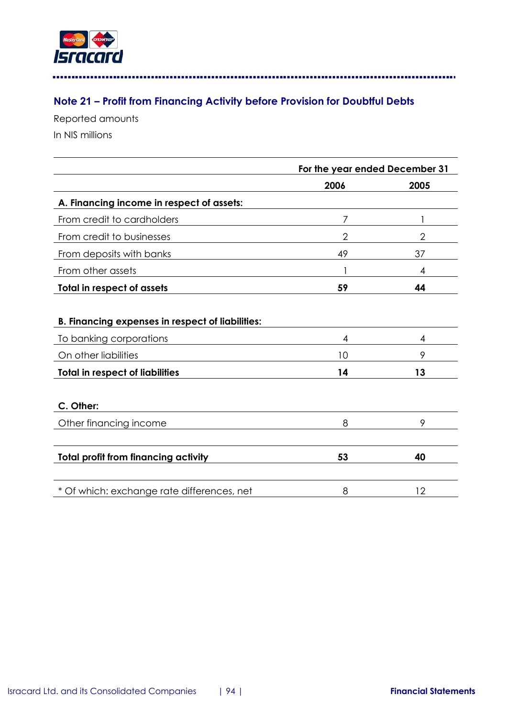

## **Note 21 – Profit from Financing Activity before Provision for Doubtful Debts**

Reported amounts In NIS millions

|                                                  | For the year ended December 31 |                |  |
|--------------------------------------------------|--------------------------------|----------------|--|
|                                                  | 2006                           | 2005           |  |
| A. Financing income in respect of assets:        |                                |                |  |
| From credit to cardholders                       | 7                              | 1              |  |
| From credit to businesses                        | $\overline{2}$                 | $\overline{2}$ |  |
| From deposits with banks                         | 49                             | 37             |  |
| From other assets                                |                                | 4              |  |
| Total in respect of assets                       | 59                             | 44             |  |
|                                                  |                                |                |  |
| B. Financing expenses in respect of liabilities: |                                |                |  |
| To banking corporations                          | 4                              | 4              |  |
| On other liabilities                             | 10                             | 9              |  |
| <b>Total in respect of liabilities</b>           | 14                             | 13             |  |
|                                                  |                                |                |  |
| C. Other:                                        |                                |                |  |
| Other financing income                           | 8                              | 9              |  |
|                                                  |                                |                |  |
| <b>Total profit from financing activity</b>      | 53                             | 40             |  |
|                                                  |                                |                |  |
| * Of which: exchange rate differences, net       | 8                              | 12             |  |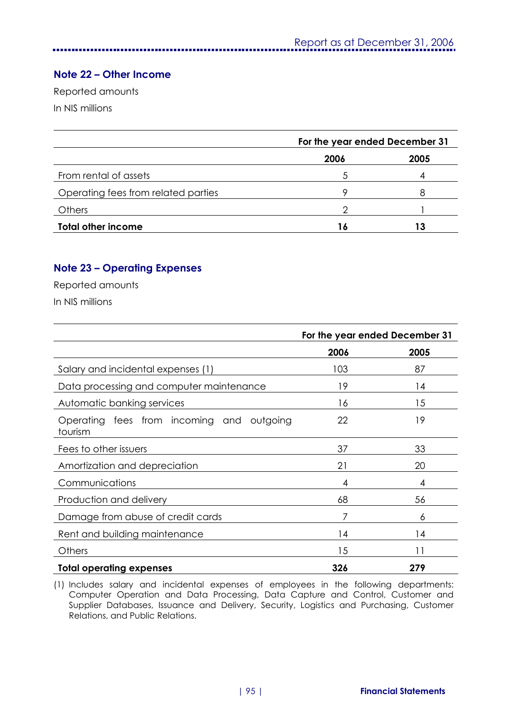## **Note 22 – Other Income**

Reported amounts In NIS millions

.....................

|                                     | For the year ended December 31 |      |  |
|-------------------------------------|--------------------------------|------|--|
|                                     | 2006                           | 2005 |  |
| From rental of assets               |                                |      |  |
| Operating fees from related parties |                                |      |  |
| Others                              |                                |      |  |
| <b>Total other income</b>           | 16                             |      |  |

...................

## **Note 23 – Operating Expenses**

Reported amounts In NIS millions

|                                                         | For the year ended December 31 |      |  |
|---------------------------------------------------------|--------------------------------|------|--|
|                                                         | 2006                           | 2005 |  |
| Salary and incidental expenses (1)                      | 103                            | 87   |  |
| Data processing and computer maintenance                | 19                             | 14   |  |
| Automatic banking services                              | 16                             | 15   |  |
| Operating fees from incoming and<br>outgoing<br>tourism | 22                             | 19   |  |
| Fees to other issuers                                   | 37                             | 33   |  |
| Amortization and depreciation                           | 21                             | 20   |  |
| Communications                                          | 4                              | 4    |  |
| Production and delivery                                 | 68                             | 56   |  |
| Damage from abuse of credit cards                       |                                | 6    |  |
| Rent and building maintenance                           | 14                             | 14   |  |
| Others                                                  | 15                             | 11   |  |
| <b>Total operating expenses</b>                         | 326                            | 279  |  |

(1) Includes salary and incidental expenses of employees in the following departments: Computer Operation and Data Processing, Data Capture and Control, Customer and Supplier Databases, Issuance and Delivery, Security, Logistics and Purchasing, Customer Relations, and Public Relations.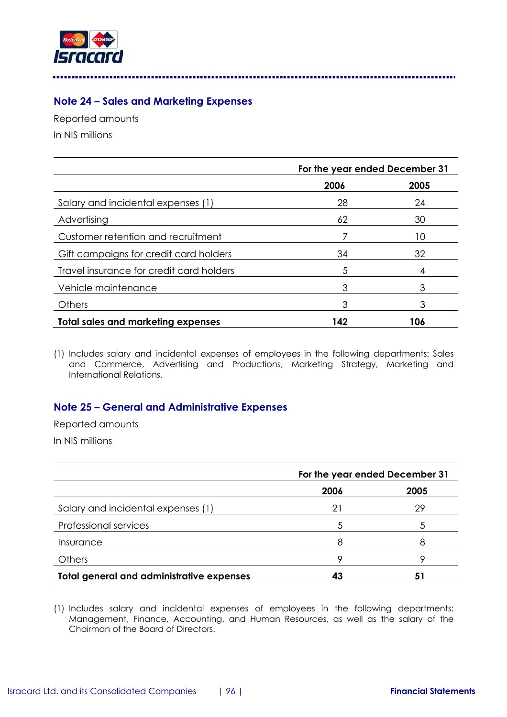

## **Note 24 – Sales and Marketing Expenses**

Reported amounts In NIS millions

|                                           | For the year ended December 31 |      |  |
|-------------------------------------------|--------------------------------|------|--|
|                                           | 2006                           | 2005 |  |
| Salary and incidental expenses (1)        | 28                             | 24   |  |
| Advertising                               | 62                             | 30   |  |
| Customer retention and recruitment        |                                | 10   |  |
| Gift campaigns for credit card holders    | 34                             | 32   |  |
| Travel insurance for credit card holders  | 5                              | 4    |  |
| Vehicle maintenance                       | 3                              | 3    |  |
| Others                                    | 3                              | 3    |  |
| <b>Total sales and marketing expenses</b> | 142                            | 106  |  |

(1) Includes salary and incidental expenses of employees in the following departments: Sales and Commerce, Advertising and Productions, Marketing Strategy, Marketing and International Relations.

## **Note 25 – General and Administrative Expenses**

Reported amounts

In NIS millions

|                                                  |      | For the year ended December 31 |  |  |
|--------------------------------------------------|------|--------------------------------|--|--|
|                                                  | 2006 | 2005                           |  |  |
| Salary and incidental expenses (1)               | 21   | 29                             |  |  |
| Professional services                            | 5    |                                |  |  |
| Insurance                                        |      |                                |  |  |
| Others                                           |      |                                |  |  |
| <b>Total general and administrative expenses</b> | 43   |                                |  |  |

(1) Includes salary and incidental expenses of employees in the following departments: Management, Finance, Accounting, and Human Resources, as well as the salary of the Chairman of the Board of Directors.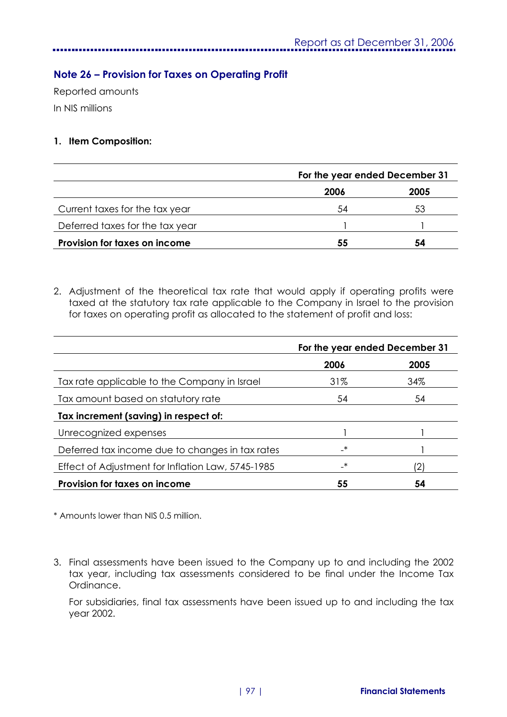## **Note 26 – Provision for Taxes on Operating Profit**

Reported amounts In NIS millions

#### **1. Item Composition:**

|                                 | For the year ended December 31 |      |  |
|---------------------------------|--------------------------------|------|--|
|                                 | 2006                           | 2005 |  |
| Current taxes for the tax year  | 54                             | 53   |  |
| Deferred taxes for the tax year |                                |      |  |
| Provision for taxes on income   | 55                             | 54   |  |

2. Adjustment of the theoretical tax rate that would apply if operating profits were taxed at the statutory tax rate applicable to the Company in Israel to the provision for taxes on operating profit as allocated to the statement of profit and loss:

|                                                   | For the year ended December 31 |      |  |
|---------------------------------------------------|--------------------------------|------|--|
|                                                   | 2006                           | 2005 |  |
| Tax rate applicable to the Company in Israel      | 31%                            | 34%  |  |
| Tax amount based on statutory rate                | 54                             | 54   |  |
| Tax increment (saving) in respect of:             |                                |      |  |
| Unrecognized expenses                             |                                |      |  |
| Deferred tax income due to changes in tax rates   | _*                             |      |  |
| Effect of Adjustment for Inflation Law, 5745-1985 | _*                             |      |  |
| Provision for taxes on income                     | 55                             | 54   |  |

\* Amounts lower than NIS 0.5 million.

3. Final assessments have been issued to the Company up to and including the 2002 tax year, including tax assessments considered to be final under the Income Tax Ordinance.

 For subsidiaries, final tax assessments have been issued up to and including the tax year 2002.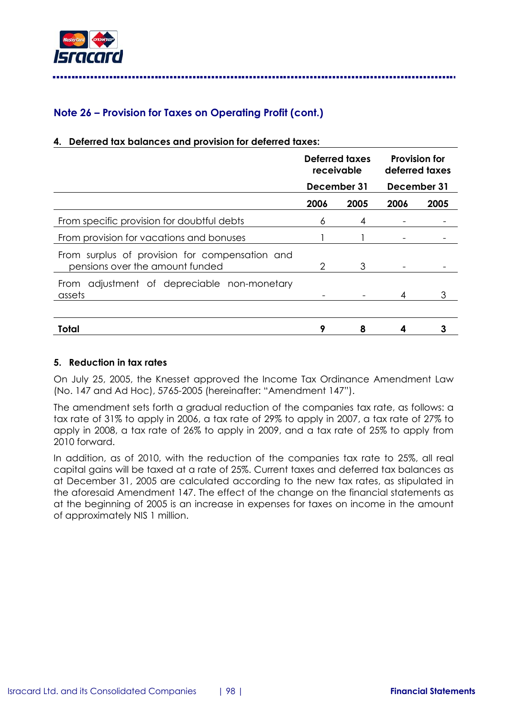

## **Note 26 – Provision for Taxes on Operating Profit (cont.)**

| Deferred taxes<br>receivable<br>December 31 |   | <b>Provision for</b><br>deferred taxes<br>December 31 |   |
|---------------------------------------------|---|-------------------------------------------------------|---|
|                                             |   |                                                       |   |
| 6                                           | 4 |                                                       |   |
|                                             |   |                                                       |   |
| 2                                           | 3 |                                                       |   |
|                                             |   | 4                                                     |   |
|                                             |   |                                                       |   |
|                                             | 9 |                                                       | 8 |

#### **4. Deferred tax balances and provision for deferred taxes:**

#### **5. Reduction in tax rates**

On July 25, 2005, the Knesset approved the Income Tax Ordinance Amendment Law (No. 147 and Ad Hoc), 5765-2005 (hereinafter: "Amendment 147").

The amendment sets forth a gradual reduction of the companies tax rate, as follows: a tax rate of 31% to apply in 2006, a tax rate of 29% to apply in 2007, a tax rate of 27% to apply in 2008, a tax rate of 26% to apply in 2009, and a tax rate of 25% to apply from 2010 forward.

In addition, as of 2010, with the reduction of the companies tax rate to 25%, all real capital gains will be taxed at a rate of 25%. Current taxes and deferred tax balances as at December 31, 2005 are calculated according to the new tax rates, as stipulated in the aforesaid Amendment 147. The effect of the change on the financial statements as at the beginning of 2005 is an increase in expenses for taxes on income in the amount of approximately NIS 1 million.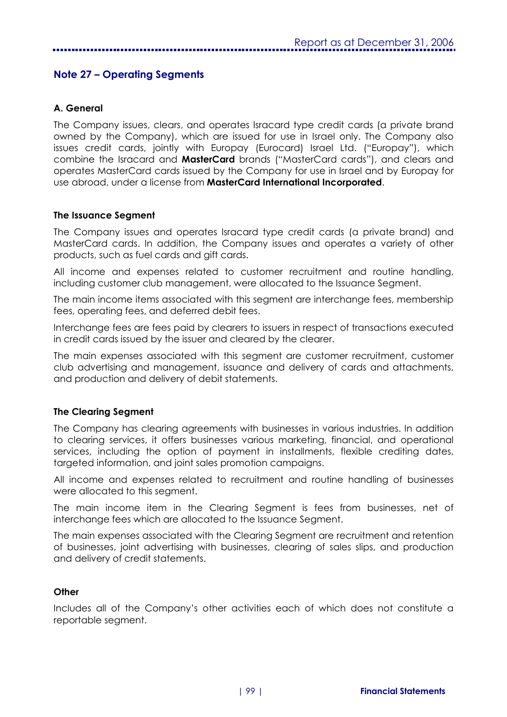## **Note 27 – Operating Segments**

#### **A. General**

The Company issues, clears, and operates Isracard type credit cards (a private brand owned by the Company), which are issued for use in Israel only. The Company also issues credit cards, jointly with Europay (Eurocard) Israel Ltd. ("Europay"), which combine the Isracard and **MasterCard** brands ("MasterCard cards"), and clears and operates MasterCard cards issued by the Company for use in Israel and by Europay for use abroad, under a license from **MasterCard International Incorporated**.

#### **The Issuance Segment**

The Company issues and operates Isracard type credit cards (a private brand) and MasterCard cards. In addition, the Company issues and operates a variety of other products, such as fuel cards and gift cards.

All income and expenses related to customer recruitment and routine handling, including customer club management, were allocated to the Issuance Segment.

The main income items associated with this segment are interchange fees, membership fees, operating fees, and deferred debit fees.

Interchange fees are fees paid by clearers to issuers in respect of transactions executed in credit cards issued by the issuer and cleared by the clearer.

The main expenses associated with this segment are customer recruitment, customer club advertising and management, issuance and delivery of cards and attachments, and production and delivery of debit statements.

#### **The Clearing Segment**

The Company has clearing agreements with businesses in various industries. In addition to clearing services, it offers businesses various marketing, financial, and operational services, including the option of payment in installments, flexible crediting dates, targeted information, and joint sales promotion campaigns.

All income and expenses related to recruitment and routine handling of businesses were allocated to this segment.

The main income item in the Clearing Segment is fees from businesses, net of interchange fees which are allocated to the Issuance Segment.

The main expenses associated with the Clearing Segment are recruitment and retention of businesses, joint advertising with businesses, clearing of sales slips, and production and delivery of credit statements.

#### **Other**

Includes all of the Company's other activities each of which does not constitute a reportable segment.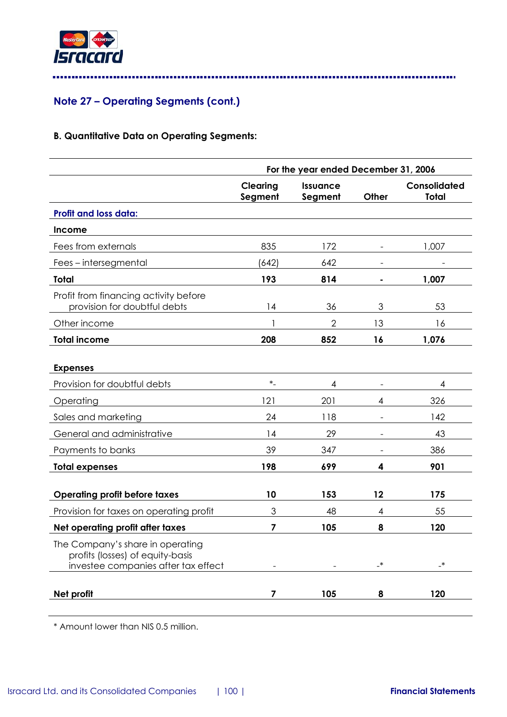

## **Note 27 – Operating Segments (cont.)**

## **B. Quantitative Data on Operating Segments:**

|                                                                                                             | For the year ended December 31, 2006 |                     |                            |                              |
|-------------------------------------------------------------------------------------------------------------|--------------------------------------|---------------------|----------------------------|------------------------------|
|                                                                                                             | <b>Clearing</b><br>Segment           | Issuance<br>Segment | Other                      | Consolidated<br><b>Total</b> |
| <b>Profit and loss data:</b>                                                                                |                                      |                     |                            |                              |
| Income                                                                                                      |                                      |                     |                            |                              |
| Fees from externals                                                                                         | 835                                  | 172                 |                            | 1,007                        |
| Fees – intersegmental                                                                                       | (642)                                | 642                 |                            |                              |
| Total                                                                                                       | 193                                  | 814                 |                            | 1,007                        |
| Profit from financing activity before<br>provision for doubtful debts                                       | 14                                   | 36                  | 3                          | 53                           |
| Other income                                                                                                |                                      | $\overline{2}$      | 13                         | 16                           |
| <b>Total income</b>                                                                                         | 208                                  | 852                 | 16                         | 1,076                        |
| <b>Expenses</b>                                                                                             |                                      |                     |                            |                              |
| Provision for doubtful debts                                                                                | $\ast$ _                             | 4                   |                            | 4                            |
| Operating                                                                                                   | 121                                  | 201                 | 4                          | 326                          |
| Sales and marketing                                                                                         | 24                                   | 118                 |                            | 142                          |
| General and administrative                                                                                  | 14                                   | 29                  |                            | 43                           |
| Payments to banks                                                                                           | 39                                   | 347                 |                            | 386                          |
| <b>Total expenses</b>                                                                                       | 198                                  | 699                 | 4                          | 901                          |
| <b>Operating profit before taxes</b>                                                                        | 10                                   | 153                 | 12                         | 175                          |
| Provision for taxes on operating profit                                                                     | 3                                    | 48                  | 4                          | 55                           |
| Net operating profit after taxes                                                                            | 7                                    | 105                 | 8                          | 120                          |
| The Company's share in operating<br>profits (losses) of equity-basis<br>investee companies after tax effect |                                      |                     | $\overline{\phantom{a}}^*$ | $\overline{\phantom{a}}^*$   |
| Net profit                                                                                                  | 7                                    | 105                 | 8                          | 120                          |

\* Amount lower than NIS 0.5 million.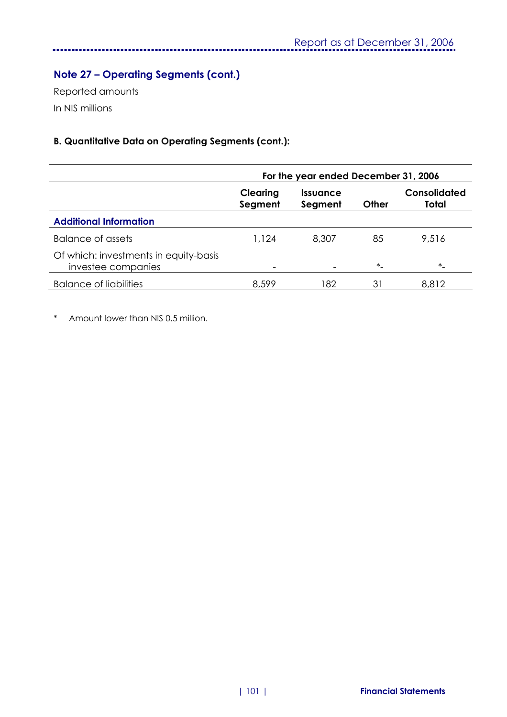## **Note 27 – Operating Segments (cont.)**

Reported amounts In NIS millions

...........................

## **B. Quantitative Data on Operating Segments (cont.):**

. . . . . . . . . . . . . . . . . . . .

|                                                             | For the year ended December 31, 2006 |                                          |       |                       |
|-------------------------------------------------------------|--------------------------------------|------------------------------------------|-------|-----------------------|
|                                                             | Clearing<br>Segment                  | <i><u><b>Issuance</b></u></i><br>Segment | Other | Consolidated<br>Total |
| <b>Additional Information</b>                               |                                      |                                          |       |                       |
| <b>Balance of assets</b>                                    | 1,124                                | 8,307                                    | 85    | 9,516                 |
| Of which: investments in equity-basis<br>investee companies |                                      |                                          | $*$   | $*_{-}$               |
| <b>Balance of liabilities</b>                               | 8,599                                | 182                                      | 31    | 8,812                 |

\* Amount lower than NIS 0.5 million.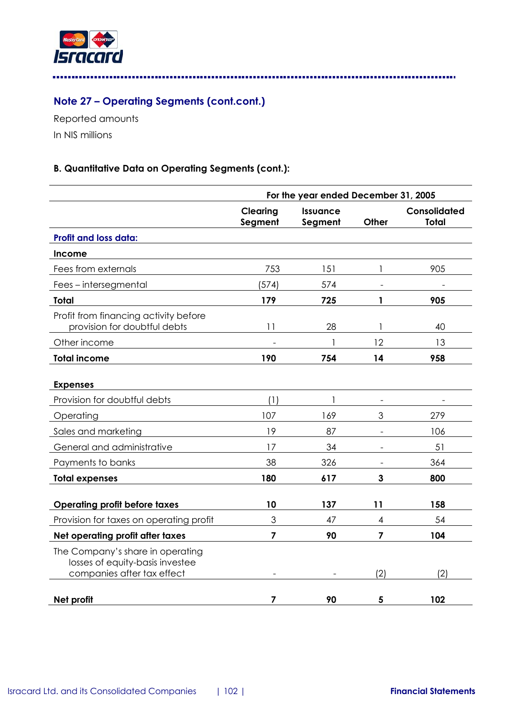

## **Note 27 – Operating Segments (cont.cont.)**

Reported amounts In NIS millions

## **B. Quantitative Data on Operating Segments (cont.):**

|                                                                                                   | For the year ended December 31, 2005 |                            |                |                              |
|---------------------------------------------------------------------------------------------------|--------------------------------------|----------------------------|----------------|------------------------------|
|                                                                                                   | <b>Clearing</b><br>Segment           | <b>Issuance</b><br>Segment | Other          | Consolidated<br><b>Total</b> |
| <b>Profit and loss data:</b>                                                                      |                                      |                            |                |                              |
| Income                                                                                            |                                      |                            |                |                              |
| Fees from externals                                                                               | 753                                  | 151                        | $\mathbf{1}$   | 905                          |
| Fees-intersegmental                                                                               | (574)                                | 574                        |                |                              |
| <b>Total</b>                                                                                      | 179                                  | 725                        | 1              | 905                          |
| Profit from financing activity before<br>provision for doubtful debts                             | 11                                   | 28                         | 1              | 40                           |
| Other income                                                                                      |                                      | 1                          | 12             | 13                           |
| <b>Total income</b>                                                                               | 190                                  | 754                        | 14             | 958                          |
| <b>Expenses</b>                                                                                   |                                      |                            |                |                              |
| Provision for doubtful debts                                                                      | (1)                                  | 1                          |                |                              |
| Operating                                                                                         | 107                                  | 169                        | 3              | 279                          |
| Sales and marketing                                                                               | 19                                   | 87                         |                | 106                          |
| General and administrative                                                                        | 17                                   | 34                         | $\overline{a}$ | 51                           |
| Payments to banks                                                                                 | 38                                   | 326                        |                | 364                          |
| <b>Total expenses</b>                                                                             | 180                                  | 617                        | 3              | 800                          |
| <b>Operating profit before taxes</b>                                                              | 10                                   | 137                        | 11             | 158                          |
| Provision for taxes on operating profit                                                           | 3                                    | 47                         | $\overline{4}$ | 54                           |
| Net operating profit after taxes                                                                  | $\overline{7}$                       | 90                         | $\overline{7}$ | 104                          |
| The Company's share in operating<br>losses of equity-basis investee<br>companies after tax effect |                                      |                            | (2)            | (2)                          |
| Net profit                                                                                        | 7                                    | 90                         | 5              | 102                          |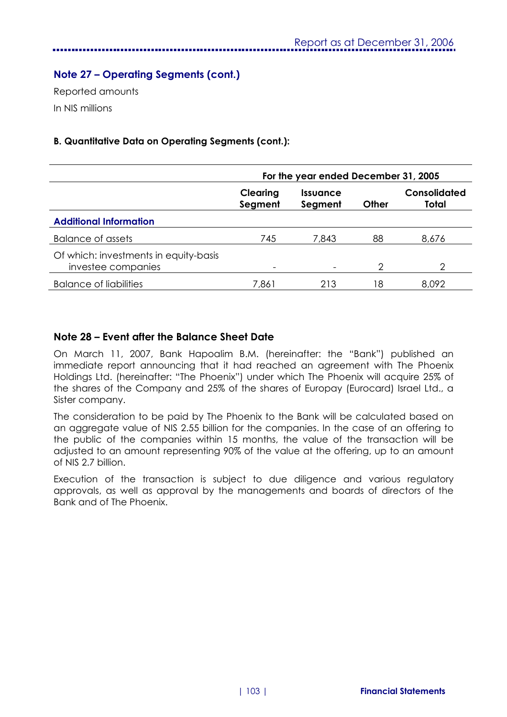## **Note 27 – Operating Segments (cont.)**

Reported amounts In NIS millions

#### **B. Quantitative Data on Operating Segments (cont.):**

|                                                             | For the year ended December 31, 2005 |                                          |                |                              |
|-------------------------------------------------------------|--------------------------------------|------------------------------------------|----------------|------------------------------|
|                                                             | Clearing<br>Segment                  | <i><u><b>Issuance</b></u></i><br>Segment | Other          | <b>Consolidated</b><br>Total |
| <b>Additional Information</b>                               |                                      |                                          |                |                              |
| <b>Balance of assets</b>                                    | 745                                  | 7,843                                    | 88             | 8,676                        |
| Of which: investments in equity-basis<br>investee companies |                                      |                                          | $\overline{2}$ |                              |
| Balance of liabilities                                      | 7,861                                |                                          | 8 ا            | 8.092                        |

## **Note 28 – Event after the Balance Sheet Date**

On March 11, 2007, Bank Hapoalim B.M. (hereinafter: the "Bank") published an immediate report announcing that it had reached an agreement with The Phoenix Holdings Ltd. (hereinafter: "The Phoenix") under which The Phoenix will acquire 25% of the shares of the Company and 25% of the shares of Europay (Eurocard) Israel Ltd., a Sister company.

The consideration to be paid by The Phoenix to the Bank will be calculated based on an aggregate value of NIS 2.55 billion for the companies. In the case of an offering to the public of the companies within 15 months, the value of the transaction will be adjusted to an amount representing 90% of the value at the offering, up to an amount of NIS 2.7 billion.

Execution of the transaction is subject to due diligence and various regulatory approvals, as well as approval by the managements and boards of directors of the Bank and of The Phoenix.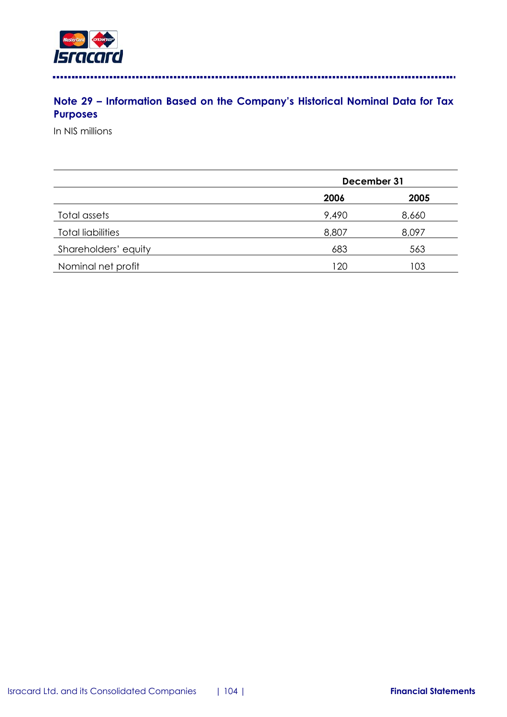

## **Note 29 – Information Based on the Company's Historical Nominal Data for Tax Purposes**

In NIS millions

|                      | December 31 |       |
|----------------------|-------------|-------|
|                      | 2006        | 2005  |
| Total assets         | 9,490       | 8,660 |
| Total liabilities    | 8,807       | 8,097 |
| Shareholders' equity | 683         | 563   |
| Nominal net profit   | 120         | 103   |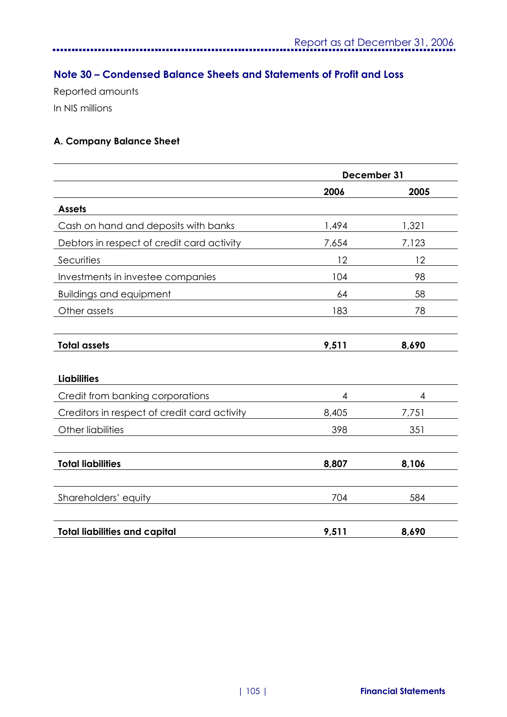## **Note 30 – Condensed Balance Sheets and Statements of Profit and Loss**

Reported amounts In NIS millions

............................

## **A. Company Balance Sheet**

|                                              | December 31 |                |
|----------------------------------------------|-------------|----------------|
|                                              | 2006        | 2005           |
| <b>Assets</b>                                |             |                |
| Cash on hand and deposits with banks         | 1,494       | 1,321          |
| Debtors in respect of credit card activity   | 7,654       | 7,123          |
| Securities                                   | 12          | 12             |
| Investments in investee companies            | 104         | 98             |
| <b>Buildings and equipment</b>               | 64          | 58             |
| Other assets                                 | 183         | 78             |
|                                              |             |                |
| <b>Total assets</b>                          | 9,511       | 8,690          |
|                                              |             |                |
| <b>Liabilities</b>                           |             |                |
| Credit from banking corporations             | 4           | $\overline{4}$ |
| Creditors in respect of credit card activity | 8,405       | 7,751          |
| Other liabilities                            | 398         | 351            |
|                                              |             |                |
| <b>Total liabilities</b>                     | 8,807       | 8,106          |
|                                              |             |                |
| Shareholders' equity                         | 704         | 584            |
|                                              |             |                |
| <b>Total liabilities and capital</b>         | 9,511       | 8,690          |